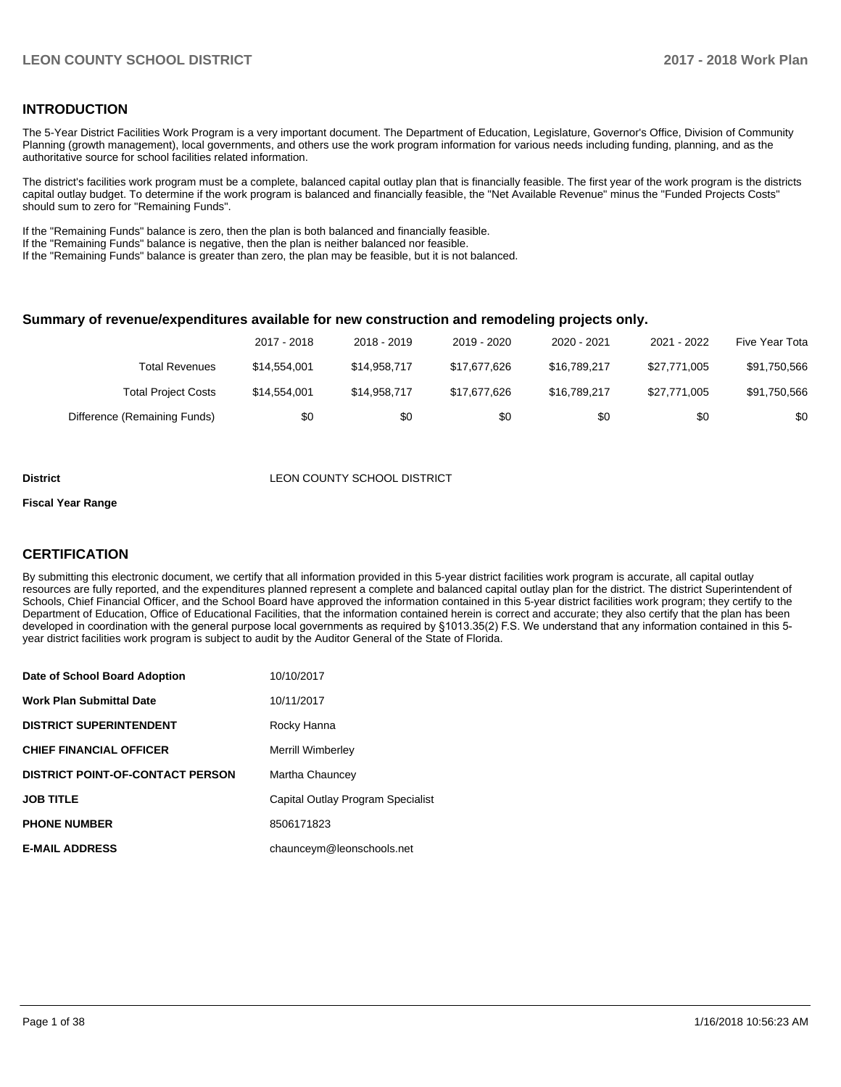## **INTRODUCTION**

The 5-Year District Facilities Work Program is a very important document. The Department of Education, Legislature, Governor's Office, Division of Community Planning (growth management), local governments, and others use the work program information for various needs including funding, planning, and as the authoritative source for school facilities related information.

The district's facilities work program must be a complete, balanced capital outlay plan that is financially feasible. The first year of the work program is the districts capital outlay budget. To determine if the work program is balanced and financially feasible, the "Net Available Revenue" minus the "Funded Projects Costs" should sum to zero for "Remaining Funds".

If the "Remaining Funds" balance is zero, then the plan is both balanced and financially feasible.

If the "Remaining Funds" balance is negative, then the plan is neither balanced nor feasible.

If the "Remaining Funds" balance is greater than zero, the plan may be feasible, but it is not balanced.

#### **Summary of revenue/expenditures available for new construction and remodeling projects only.**

|                              | 2017 - 2018  | 2018 - 2019  | 2019 - 2020  | 2020 - 2021  | 2021 - 2022  | Five Year Tota |
|------------------------------|--------------|--------------|--------------|--------------|--------------|----------------|
| <b>Total Revenues</b>        | \$14.554.001 | \$14,958,717 | \$17,677,626 | \$16,789,217 | \$27.771.005 | \$91,750,566   |
| <b>Total Project Costs</b>   | \$14,554,001 | \$14,958,717 | \$17,677,626 | \$16,789,217 | \$27.771.005 | \$91,750,566   |
| Difference (Remaining Funds) | \$0          | \$0          | \$0          | \$0          | \$0          | \$0            |

#### **District** LEON COUNTY SCHOOL DISTRICT

#### **Fiscal Year Range**

## **CERTIFICATION**

By submitting this electronic document, we certify that all information provided in this 5-year district facilities work program is accurate, all capital outlay resources are fully reported, and the expenditures planned represent a complete and balanced capital outlay plan for the district. The district Superintendent of Schools, Chief Financial Officer, and the School Board have approved the information contained in this 5-year district facilities work program; they certify to the Department of Education, Office of Educational Facilities, that the information contained herein is correct and accurate; they also certify that the plan has been developed in coordination with the general purpose local governments as required by §1013.35(2) F.S. We understand that any information contained in this 5year district facilities work program is subject to audit by the Auditor General of the State of Florida.

| Date of School Board Adoption           | 10/10/2017                        |
|-----------------------------------------|-----------------------------------|
| Work Plan Submittal Date                | 10/11/2017                        |
| <b>DISTRICT SUPERINTENDENT</b>          | Rocky Hanna                       |
| <b>CHIEF FINANCIAL OFFICER</b>          | <b>Merrill Wimberley</b>          |
| <b>DISTRICT POINT-OF-CONTACT PERSON</b> | Martha Chauncey                   |
| JOB TITLE                               | Capital Outlay Program Specialist |
| <b>PHONE NUMBER</b>                     | 8506171823                        |
| <b>E-MAIL ADDRESS</b>                   | chaunceym@leonschools.net         |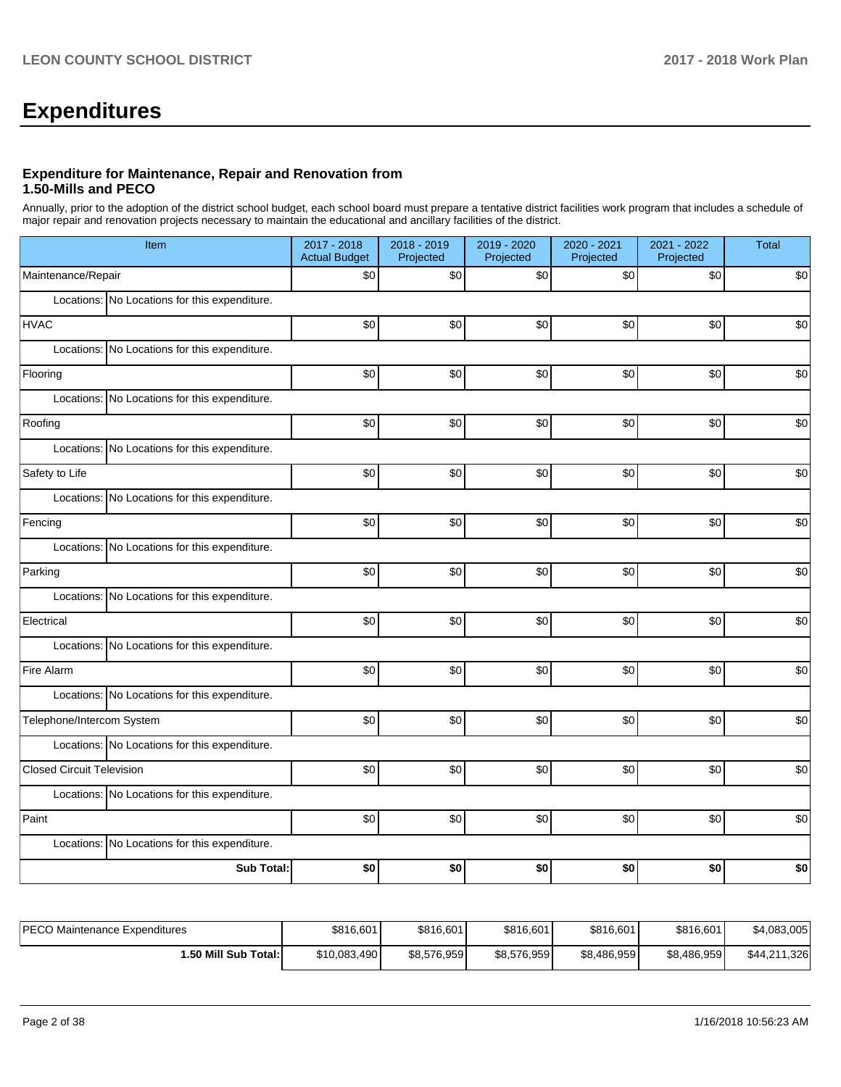# **Expenditures**

### **Expenditure for Maintenance, Repair and Renovation from 1.50-Mills and PECO**

Annually, prior to the adoption of the district school budget, each school board must prepare a tentative district facilities work program that includes a schedule of major repair and renovation projects necessary to maintain the educational and ancillary facilities of the district.

| Item                                          | 2017 - 2018<br><b>Actual Budget</b> | 2018 - 2019<br>Projected | 2019 - 2020<br>Projected | 2020 - 2021<br>Projected | 2021 - 2022<br>Projected | <b>Total</b> |
|-----------------------------------------------|-------------------------------------|--------------------------|--------------------------|--------------------------|--------------------------|--------------|
| Maintenance/Repair                            | \$0                                 | \$0                      | \$0                      | \$0                      | \$0                      | \$0          |
| Locations: No Locations for this expenditure. |                                     |                          |                          |                          |                          |              |
| <b>HVAC</b>                                   | \$0                                 | \$0                      | \$0                      | \$0                      | \$0                      | \$0          |
| Locations: No Locations for this expenditure. |                                     |                          |                          |                          |                          |              |
| Flooring                                      | \$0                                 | \$0                      | \$0                      | \$0                      | \$0                      | \$0          |
| Locations: No Locations for this expenditure. |                                     |                          |                          |                          |                          |              |
| Roofing                                       | \$0                                 | \$0                      | \$0                      | \$0                      | \$0                      | \$0          |
| Locations: No Locations for this expenditure. |                                     |                          |                          |                          |                          |              |
| Safety to Life                                | \$0                                 | \$0                      | \$0                      | \$0                      | \$0                      | \$0          |
| Locations: No Locations for this expenditure. |                                     |                          |                          |                          |                          |              |
| Fencing                                       | \$0                                 | \$0                      | \$0                      | \$0                      | \$0                      | \$0          |
| Locations: No Locations for this expenditure. |                                     |                          |                          |                          |                          |              |
| Parking                                       | \$0                                 | \$0                      | \$0                      | \$0                      | \$0                      | \$0          |
| Locations: No Locations for this expenditure. |                                     |                          |                          |                          |                          |              |
| Electrical                                    | \$0                                 | \$0                      | \$0                      | \$0                      | \$0                      | \$0          |
| Locations: No Locations for this expenditure. |                                     |                          |                          |                          |                          |              |
| Fire Alarm                                    | \$0                                 | \$0                      | \$0                      | \$0                      | \$0                      | \$0          |
| Locations: No Locations for this expenditure. |                                     |                          |                          |                          |                          |              |
| Telephone/Intercom System                     | \$0                                 | \$0                      | \$0                      | \$0                      | \$0                      | \$0          |
| Locations: No Locations for this expenditure. |                                     |                          |                          |                          |                          |              |
| <b>Closed Circuit Television</b>              | \$0                                 | \$0                      | \$0                      | \$0                      | \$0                      | \$0          |
| Locations: No Locations for this expenditure. |                                     |                          |                          |                          |                          |              |
| Paint                                         | \$0                                 | \$0                      | \$0                      | \$0                      | \$0                      | \$0          |
| Locations: No Locations for this expenditure. |                                     |                          |                          |                          |                          |              |
| <b>Sub Total:</b>                             | \$0                                 | \$0                      | \$0                      | \$0                      | \$0                      | \$0          |

| <b>IPECO Maintenance Expenditures</b> | \$816,601    | \$816,601   | \$816,601   | \$816,601   | \$816,601   | \$4,083,005  |
|---------------------------------------|--------------|-------------|-------------|-------------|-------------|--------------|
| I.50 Mill Sub Total:İ                 | \$10,083,490 | \$8,576,959 | \$8,576,959 | \$8,486,959 | \$8,486,959 | \$44,211,326 |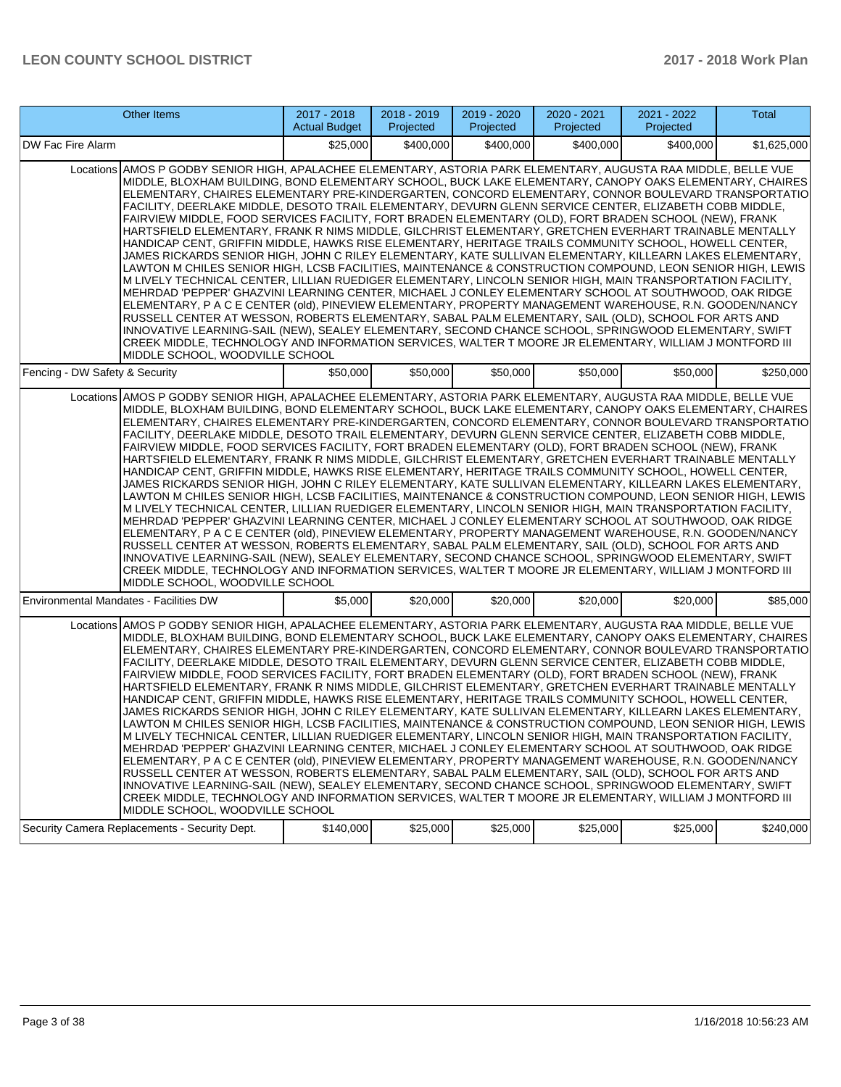| Other Items                                                                                                                                                                                                                                                                                                                                                                                                                                                                                                                                                                                                                                                                                                                                                                                                                                                                                                                                                                                                                                                                                                                                                                                                                                                                                                                                                                                                                                                                                                                                                                                                                                                                                             | 2017 - 2018<br><b>Actual Budget</b> | 2018 - 2019<br>Projected | 2019 - 2020<br>Projected | 2020 - 2021<br>Projected | 2021 - 2022<br>Projected | <b>Total</b> |
|---------------------------------------------------------------------------------------------------------------------------------------------------------------------------------------------------------------------------------------------------------------------------------------------------------------------------------------------------------------------------------------------------------------------------------------------------------------------------------------------------------------------------------------------------------------------------------------------------------------------------------------------------------------------------------------------------------------------------------------------------------------------------------------------------------------------------------------------------------------------------------------------------------------------------------------------------------------------------------------------------------------------------------------------------------------------------------------------------------------------------------------------------------------------------------------------------------------------------------------------------------------------------------------------------------------------------------------------------------------------------------------------------------------------------------------------------------------------------------------------------------------------------------------------------------------------------------------------------------------------------------------------------------------------------------------------------------|-------------------------------------|--------------------------|--------------------------|--------------------------|--------------------------|--------------|
| DW Fac Fire Alarm                                                                                                                                                                                                                                                                                                                                                                                                                                                                                                                                                                                                                                                                                                                                                                                                                                                                                                                                                                                                                                                                                                                                                                                                                                                                                                                                                                                                                                                                                                                                                                                                                                                                                       | \$25,000                            | \$400,000                | \$400,000                | \$400,000                | \$400,000                | \$1,625,000  |
| Locations AMOS P GODBY SENIOR HIGH, APALACHEE ELEMENTARY, ASTORIA PARK ELEMENTARY, AUGUSTA RAA MIDDLE, BELLE VUE<br>MIDDLE, BLOXHAM BUILDING, BOND ELEMENTARY SCHOOL, BUCK LAKE ELEMENTARY, CANOPY OAKS ELEMENTARY, CHAIRES<br>ELEMENTARY, CHAIRES ELEMENTARY PRE-KINDERGARTEN, CONCORD ELEMENTARY, CONNOR BOULEVARD TRANSPORTATIO<br>FACILITY, DEERLAKE MIDDLE, DESOTO TRAIL ELEMENTARY, DEVURN GLENN SERVICE CENTER, ELIZABETH COBB MIDDLE,<br>FAIRVIEW MIDDLE, FOOD SERVICES FACILITY, FORT BRADEN ELEMENTARY (OLD), FORT BRADEN SCHOOL (NEW), FRANK<br>HARTSFIELD ELEMENTARY, FRANK R NIMS MIDDLE, GILCHRIST ELEMENTARY, GRETCHEN EVERHART TRAINABLE MENTALLY<br>HANDICAP CENT, GRIFFIN MIDDLE, HAWKS RISE ELEMENTARY, HERITAGE TRAILS COMMUNITY SCHOOL, HOWELL CENTER,<br>JAMES RICKARDS SENIOR HIGH, JOHN C RILEY ELEMENTARY, KATE SULLIVAN ELEMENTARY, KILLEARN LAKES ELEMENTARY,<br>LAWTON M CHILES SENIOR HIGH. LCSB FACILITIES. MAINTENANCE & CONSTRUCTION COMPOUND. LEON SENIOR HIGH. LEWIS<br>M LIVELY TECHNICAL CENTER, LILLIAN RUEDIGER ELEMENTARY, LINCOLN SENIOR HIGH, MAIN TRANSPORTATION FACILITY,<br>MEHRDAD 'PEPPER' GHAZVINI LEARNING CENTER, MICHAEL J CONLEY ELEMENTARY SCHOOL AT SOUTHWOOD, OAK RIDGE<br>ELEMENTARY, P A C E CENTER (old), PINEVIEW ELEMENTARY, PROPERTY MANAGEMENT WAREHOUSE, R.N. GOODEN/NANCY<br>RUSSELL CENTER AT WESSON, ROBERTS ELEMENTARY, SABAL PALM ELEMENTARY, SAIL (OLD), SCHOOL FOR ARTS AND<br>INNOVATIVE LEARNING-SAIL (NEW), SEALEY ELEMENTARY, SECOND CHANCE SCHOOL, SPRINGWOOD ELEMENTARY, SWIFT<br>CREEK MIDDLE, TECHNOLOGY AND INFORMATION SERVICES, WALTER T MOORE JR ELEMENTARY, WILLIAM J MONTFORD III<br>MIDDLE SCHOOL, WOODVILLE SCHOOL |                                     |                          |                          |                          |                          |              |
| Fencing - DW Safety & Security                                                                                                                                                                                                                                                                                                                                                                                                                                                                                                                                                                                                                                                                                                                                                                                                                                                                                                                                                                                                                                                                                                                                                                                                                                                                                                                                                                                                                                                                                                                                                                                                                                                                          | \$50,000                            | \$50,000                 | \$50,000                 | \$50,000                 | \$50,000                 | \$250,000    |
| Locations AMOS P GODBY SENIOR HIGH, APALACHEE ELEMENTARY, ASTORIA PARK ELEMENTARY, AUGUSTA RAA MIDDLE, BELLE VUE<br>MIDDLE, BLOXHAM BUILDING, BOND ELEMENTARY SCHOOL, BUCK LAKE ELEMENTARY, CANOPY OAKS ELEMENTARY, CHAIRES<br>ELEMENTARY, CHAIRES ELEMENTARY PRE-KINDERGARTEN, CONCORD ELEMENTARY, CONNOR BOULEVARD TRANSPORTATIO<br>FACILITY, DEERLAKE MIDDLE, DESOTO TRAIL ELEMENTARY, DEVURN GLENN SERVICE CENTER, ELIZABETH COBB MIDDLE,<br>FAIRVIEW MIDDLE, FOOD SERVICES FACILITY, FORT BRADEN ELEMENTARY (OLD), FORT BRADEN SCHOOL (NEW), FRANK<br>HARTSFIELD ELEMENTARY, FRANK R NIMS MIDDLE, GILCHRIST ELEMENTARY, GRETCHEN EVERHART TRAINABLE MENTALLY<br>HANDICAP CENT, GRIFFIN MIDDLE, HAWKS RISE ELEMENTARY, HERITAGE TRAILS COMMUNITY SCHOOL, HOWELL CENTER,<br>JAMES RICKARDS SENIOR HIGH, JOHN C RILEY ELEMENTARY, KATE SULLIVAN ELEMENTARY, KILLEARN LAKES ELEMENTARY,<br>LAWTON M CHILES SENIOR HIGH, LCSB FACILITIES, MAINTENANCE & CONSTRUCTION COMPOUND, LEON SENIOR HIGH, LEWIS<br>M LIVELY TECHNICAL CENTER, LILLIAN RUEDIGER ELEMENTARY, LINCOLN SENIOR HIGH, MAIN TRANSPORTATION FACILITY,<br>MEHRDAD 'PEPPER' GHAZVINI LEARNING CENTER, MICHAEL J CONLEY ELEMENTARY SCHOOL AT SOUTHWOOD, OAK RIDGE<br>ELEMENTARY, P A C E CENTER (old), PINEVIEW ELEMENTARY, PROPERTY MANAGEMENT WAREHOUSE, R.N. GOODEN/NANCY<br>RUSSELL CENTER AT WESSON, ROBERTS ELEMENTARY, SABAL PALM ELEMENTARY, SAIL (OLD), SCHOOL FOR ARTS AND<br>INNOVATIVE LEARNING-SAIL (NEW), SEALEY ELEMENTARY, SECOND CHANCE SCHOOL, SPRINGWOOD ELEMENTARY, SWIFT<br>CREEK MIDDLE, TECHNOLOGY AND INFORMATION SERVICES, WALTER T MOORE JR ELEMENTARY, WILLIAM J MONTFORD III<br>MIDDLE SCHOOL, WOODVILLE SCHOOL |                                     |                          |                          |                          |                          |              |
| Environmental Mandates - Facilities DW                                                                                                                                                                                                                                                                                                                                                                                                                                                                                                                                                                                                                                                                                                                                                                                                                                                                                                                                                                                                                                                                                                                                                                                                                                                                                                                                                                                                                                                                                                                                                                                                                                                                  | \$5,000                             | \$20,000                 | \$20,000                 | \$20,000                 | \$20,000                 | \$85,000     |
| Locations AMOS P GODBY SENIOR HIGH, APALACHEE ELEMENTARY, ASTORIA PARK ELEMENTARY, AUGUSTA RAA MIDDLE, BELLE VUE<br>MIDDLE, BLOXHAM BUILDING, BOND ELEMENTARY SCHOOL, BUCK LAKE ELEMENTARY, CANOPY OAKS ELEMENTARY, CHAIRES<br>ELEMENTARY, CHAIRES ELEMENTARY PRE-KINDERGARTEN, CONCORD ELEMENTARY, CONNOR BOULEVARD TRANSPORTATIO<br>FACILITY, DEERLAKE MIDDLE, DESOTO TRAIL ELEMENTARY, DEVURN GLENN SERVICE CENTER, ELIZABETH COBB MIDDLE,<br>FAIRVIEW MIDDLE, FOOD SERVICES FACILITY, FORT BRADEN ELEMENTARY (OLD), FORT BRADEN SCHOOL (NEW), FRANK<br>HARTSFIELD ELEMENTARY, FRANK R NIMS MIDDLE, GILCHRIST ELEMENTARY, GRETCHEN EVERHART TRAINABLE MENTALLY<br>HANDICAP CENT, GRIFFIN MIDDLE, HAWKS RISE ELEMENTARY, HERITAGE TRAILS COMMUNITY SCHOOL, HOWELL CENTER,<br>JAMES RICKARDS SENIOR HIGH, JOHN C RILEY ELEMENTARY, KATE SULLIVAN ELEMENTARY, KILLEARN LAKES ELEMENTARY,<br>LAWTON M CHILES SENIOR HIGH, LCSB FACILITIES, MAINTENANCE & CONSTRUCTION COMPOUND, LEON SENIOR HIGH, LEWIS<br>M LIVELY TECHNICAL CENTER, LILLIAN RUEDIGER ELEMENTARY, LINCOLN SENIOR HIGH, MAIN TRANSPORTATION FACILITY,<br>MEHRDAD 'PEPPER' GHAZVINI LEARNING CENTER, MICHAEL J CONLEY ELEMENTARY SCHOOL AT SOUTHWOOD, OAK RIDGE<br>ELEMENTARY, P A C E CENTER (old), PINEVIEW ELEMENTARY, PROPERTY MANAGEMENT WAREHOUSE, R.N. GOODEN/NANCY<br>RUSSELL CENTER AT WESSON, ROBERTS ELEMENTARY, SABAL PALM ELEMENTARY, SAIL (OLD), SCHOOL FOR ARTS AND<br>INNOVATIVE LEARNING-SAIL (NEW), SEALEY ELEMENTARY, SECOND CHANCE SCHOOL, SPRINGWOOD ELEMENTARY, SWIFT<br>CREEK MIDDLE, TECHNOLOGY AND INFORMATION SERVICES, WALTER T MOORE JR ELEMENTARY, WILLIAM J MONTFORD III<br>MIDDLE SCHOOL, WOODVILLE SCHOOL |                                     |                          |                          |                          |                          |              |
| Security Camera Replacements - Security Dept.                                                                                                                                                                                                                                                                                                                                                                                                                                                                                                                                                                                                                                                                                                                                                                                                                                                                                                                                                                                                                                                                                                                                                                                                                                                                                                                                                                                                                                                                                                                                                                                                                                                           | \$140,000                           | \$25,000                 | \$25,000                 | \$25,000                 | \$25,000                 | \$240,000    |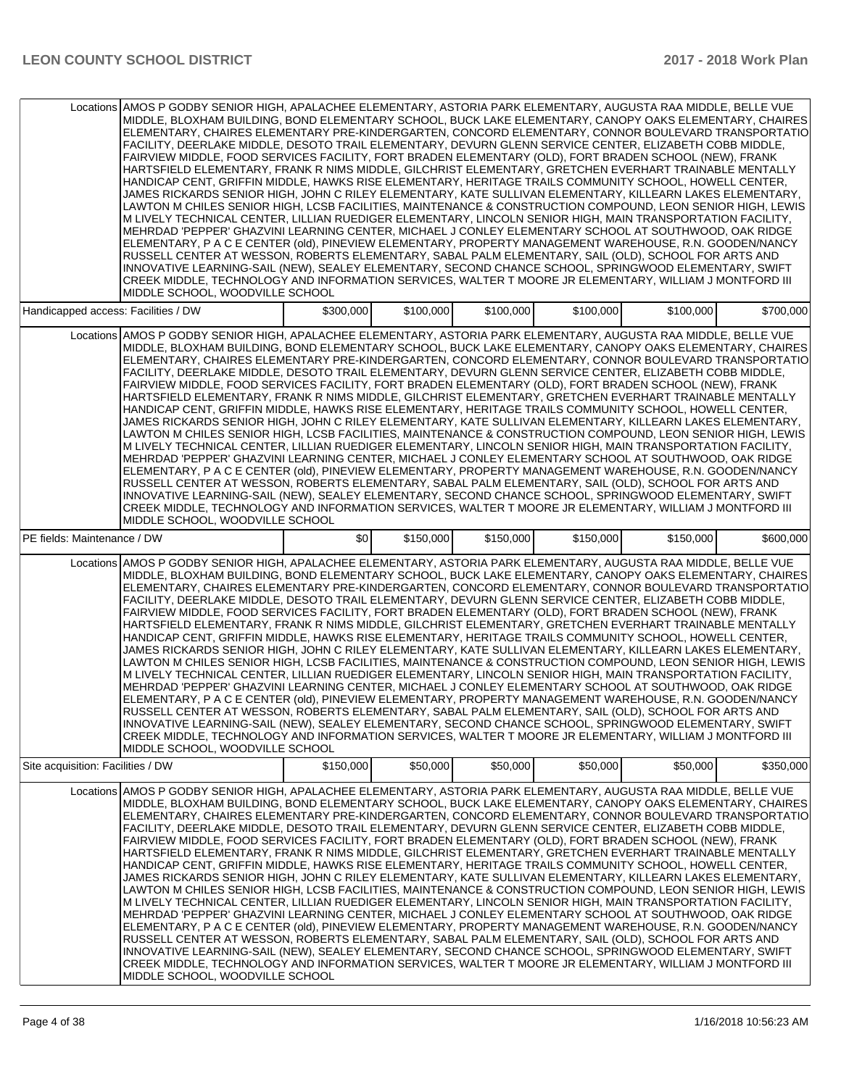|                                     | Locations AMOS P GODBY SENIOR HIGH, APALACHEE ELEMENTARY, ASTORIA PARK ELEMENTARY, AUGUSTA RAA MIDDLE, BELLE VUE<br>MIDDLE, BLOXHAM BUILDING, BOND ELEMENTARY SCHOOL, BUCK LAKE ELEMENTARY, CANOPY OAKS ELEMENTARY, CHAIRES<br>ELEMENTARY, CHAIRES ELEMENTARY PRE-KINDERGARTEN, CONCORD ELEMENTARY, CONNOR BOULEVARD TRANSPORTATIO<br>FACILITY, DEERLAKE MIDDLE, DESOTO TRAIL ELEMENTARY, DEVURN GLENN SERVICE CENTER, ELIZABETH COBB MIDDLE,<br>FAIRVIEW MIDDLE, FOOD SERVICES FACILITY, FORT BRADEN ELEMENTARY (OLD), FORT BRADEN SCHOOL (NEW), FRANK<br>HARTSFIELD ELEMENTARY, FRANK R NIMS MIDDLE, GILCHRIST ELEMENTARY, GRETCHEN EVERHART TRAINABLE MENTALLY<br>HANDICAP CENT, GRIFFIN MIDDLE, HAWKS RISE ELEMENTARY, HERITAGE TRAILS COMMUNITY SCHOOL, HOWELL CENTER,<br>JAMES RICKARDS SENIOR HIGH, JOHN C RILEY ELEMENTARY, KATE SULLIVAN ELEMENTARY, KILLEARN LAKES ELEMENTARY,<br>LAWTON M CHILES SENIOR HIGH, LCSB FACILITIES, MAINTENANCE & CONSTRUCTION COMPOUND, LEON SENIOR HIGH, LEWIS<br>M LIVELY TECHNICAL CENTER, LILLIAN RUEDIGER ELEMENTARY, LINCOLN SENIOR HIGH, MAIN TRANSPORTATION FACILITY,<br>MEHRDAD 'PEPPER' GHAZVINI LEARNING CENTER, MICHAEL J CONLEY ELEMENTARY SCHOOL AT SOUTHWOOD, OAK RIDGE<br>ELEMENTARY, P A C E CENTER (old), PINEVIEW ELEMENTARY, PROPERTY MANAGEMENT WAREHOUSE, R.N. GOODEN/NANCY<br>RUSSELL CENTER AT WESSON, ROBERTS ELEMENTARY, SABAL PALM ELEMENTARY, SAIL (OLD), SCHOOL FOR ARTS AND<br>INNOVATIVE LEARNING-SAIL (NEW), SEALEY ELEMENTARY, SECOND CHANCE SCHOOL, SPRINGWOOD ELEMENTARY, SWIFT<br>CREEK MIDDLE, TECHNOLOGY AND INFORMATION SERVICES, WALTER T MOORE JR ELEMENTARY, WILLIAM J MONTFORD III<br>MIDDLE SCHOOL, WOODVILLE SCHOOL   |           |           |           |           |           |           |
|-------------------------------------|-----------------------------------------------------------------------------------------------------------------------------------------------------------------------------------------------------------------------------------------------------------------------------------------------------------------------------------------------------------------------------------------------------------------------------------------------------------------------------------------------------------------------------------------------------------------------------------------------------------------------------------------------------------------------------------------------------------------------------------------------------------------------------------------------------------------------------------------------------------------------------------------------------------------------------------------------------------------------------------------------------------------------------------------------------------------------------------------------------------------------------------------------------------------------------------------------------------------------------------------------------------------------------------------------------------------------------------------------------------------------------------------------------------------------------------------------------------------------------------------------------------------------------------------------------------------------------------------------------------------------------------------------------------------------------------------------------------|-----------|-----------|-----------|-----------|-----------|-----------|
| Handicapped access: Facilities / DW |                                                                                                                                                                                                                                                                                                                                                                                                                                                                                                                                                                                                                                                                                                                                                                                                                                                                                                                                                                                                                                                                                                                                                                                                                                                                                                                                                                                                                                                                                                                                                                                                                                                                                                           | \$300,000 | \$100,000 | \$100,000 | \$100,000 | \$100,000 | \$700,000 |
|                                     | Locations AMOS P GODBY SENIOR HIGH, APALACHEE ELEMENTARY, ASTORIA PARK ELEMENTARY, AUGUSTA RAA MIDDLE, BELLE VUE<br>MIDDLE, BLOXHAM BUILDING, BOND ELEMENTARY SCHOOL, BUCK LAKE ELEMENTARY, CANOPY OAKS ELEMENTARY, CHAIRES<br>ELEMENTARY, CHAIRES ELEMENTARY PRE-KINDERGARTEN, CONCORD ELEMENTARY, CONNOR BOULEVARD TRANSPORTATIO<br>FACILITY, DEERLAKE MIDDLE, DESOTO TRAIL ELEMENTARY, DEVURN GLENN SERVICE CENTER, ELIZABETH COBB MIDDLE,<br>FAIRVIEW MIDDLE, FOOD SERVICES FACILITY, FORT BRADEN ELEMENTARY (OLD), FORT BRADEN SCHOOL (NEW), FRANK<br>HARTSFIELD ELEMENTARY, FRANK R NIMS MIDDLE, GILCHRIST ELEMENTARY, GRETCHEN EVERHART TRAINABLE MENTALLY<br>HANDICAP CENT, GRIFFIN MIDDLE, HAWKS RISE ELEMENTARY, HERITAGE TRAILS COMMUNITY SCHOOL, HOWELL CENTER,<br>JAMES RICKARDS SENIOR HIGH, JOHN C RILEY ELEMENTARY, KATE SULLIVAN ELEMENTARY, KILLEARN LAKES ELEMENTARY,<br>LAWTON M CHILES SENIOR HIGH, LCSB FACILITIES, MAINTENANCE & CONSTRUCTION COMPOUND, LEON SENIOR HIGH, LEWIS<br>M LIVELY TECHNICAL CENTER, LILLIAN RUEDIGER ELEMENTARY, LINCOLN SENIOR HIGH, MAIN TRANSPORTATION FACILITY,<br>MEHRDAD 'PEPPER' GHAZVINI LEARNING CENTER, MICHAEL J CONLEY ELEMENTARY SCHOOL AT SOUTHWOOD, OAK RIDGE<br>ELEMENTARY, P A C E CENTER (old), PINEVIEW ELEMENTARY, PROPERTY MANAGEMENT WAREHOUSE, R.N. GOODEN/NANCY<br>RUSSELL CENTER AT WESSON, ROBERTS ELEMENTARY, SABAL PALM ELEMENTARY, SAIL (OLD), SCHOOL FOR ARTS AND<br>INNOVATIVE LEARNING-SAIL (NEW), SEALEY ELEMENTARY, SECOND CHANCE SCHOOL, SPRINGWOOD ELEMENTARY, SWIFT<br>CREEK MIDDLE, TECHNOLOGY AND INFORMATION SERVICES, WALTER T MOORE JR ELEMENTARY, WILLIAM J MONTFORD III<br>MIDDLE SCHOOL, WOODVILLE SCHOOL   |           |           |           |           |           |           |
| PE fields: Maintenance / DW         |                                                                                                                                                                                                                                                                                                                                                                                                                                                                                                                                                                                                                                                                                                                                                                                                                                                                                                                                                                                                                                                                                                                                                                                                                                                                                                                                                                                                                                                                                                                                                                                                                                                                                                           | \$0       | \$150,000 | \$150,000 | \$150,000 | \$150,000 | \$600,000 |
|                                     | Locations AMOS P GODBY SENIOR HIGH, APALACHEE ELEMENTARY, ASTORIA PARK ELEMENTARY, AUGUSTA RAA MIDDLE, BELLE VUE<br>MIDDLE, BLOXHAM BUILDING, BOND ELEMENTARY SCHOOL, BUCK LAKE ELEMENTARY, CANOPY OAKS ELEMENTARY, CHAIRES<br>ELEMENTARY, CHAIRES ELEMENTARY PRE-KINDERGARTEN, CONCORD ELEMENTARY, CONNOR BOULEVARD TRANSPORTATIO<br>FACILITY, DEERLAKE MIDDLE, DESOTO TRAIL ELEMENTARY, DEVURN GLENN SERVICE CENTER, ELIZABETH COBB MIDDLE,<br>FAIRVIEW MIDDLE, FOOD SERVICES FACILITY, FORT BRADEN ELEMENTARY (OLD), FORT BRADEN SCHOOL (NEW), FRANK<br>HARTSFIELD ELEMENTARY, FRANK R NIMS MIDDLE, GILCHRIST ELEMENTARY, GRETCHEN EVERHART TRAINABLE MENTALLY<br>HANDICAP CENT, GRIFFIN MIDDLE, HAWKS RISE ELEMENTARY, HERITAGE TRAILS COMMUNITY SCHOOL, HOWELL CENTER,<br>JAMES RICKARDS SENIOR HIGH, JOHN C RILEY ELEMENTARY, KATE SULLIVAN ELEMENTARY, KILLEARN LAKES ELEMENTARY,<br>LAWTON M CHILES SENIOR HIGH, LCSB FACILITIES, MAINTENANCE & CONSTRUCTION COMPOUND, LEON SENIOR HIGH, LEWIS<br>M LIVELY TECHNICAL CENTER, LILLIAN RUEDIGER ELEMENTARY, LINCOLN SENIOR HIGH, MAIN TRANSPORTATION FACILITY,<br>MEHRDAD 'PEPPER' GHAZVINI LEARNING CENTER, MICHAEL J CONLEY ELEMENTARY SCHOOL AT SOUTHWOOD, OAK RIDGE<br>ELEMENTARY, P A C E CENTER (old), PINEVIEW ELEMENTARY, PROPERTY MANAGEMENT WAREHOUSE, R.N. GOODEN/NANCY <br>RUSSELL CENTER AT WESSON, ROBERTS ELEMENTARY, SABAL PALM ELEMENTARY, SAIL (OLD), SCHOOL FOR ARTS AND<br>INNOVATIVE LEARNING-SAIL (NEW), SEALEY ELEMENTARY, SECOND CHANCE SCHOOL, SPRINGWOOD ELEMENTARY, SWIFT <br>CREEK MIDDLE, TECHNOLOGY AND INFORMATION SERVICES, WALTER T MOORE JR ELEMENTARY, WILLIAM J MONTFORD III<br>MIDDLE SCHOOL, WOODVILLE SCHOOL |           |           |           |           |           |           |
| Site acquisition: Facilities / DW   |                                                                                                                                                                                                                                                                                                                                                                                                                                                                                                                                                                                                                                                                                                                                                                                                                                                                                                                                                                                                                                                                                                                                                                                                                                                                                                                                                                                                                                                                                                                                                                                                                                                                                                           | \$150,000 | \$50,000  | \$50,000  | \$50,000  | \$50,000  | \$350,000 |
|                                     | Locations AMOS P GODBY SENIOR HIGH, APALACHEE ELEMENTARY, ASTORIA PARK ELEMENTARY, AUGUSTA RAA MIDDLE, BELLE VUE<br>MIDDLE, BLOXHAM BUILDING, BOND ELEMENTARY SCHOOL, BUCK LAKE ELEMENTARY, CANOPY OAKS ELEMENTARY, CHAIRES<br>ELEMENTARY. CHAIRES ELEMENTARY PRE-KINDERGARTEN. CONCORD ELEMENTARY. CONNOR BOULEVARD TRANSPORTATIO<br>FACILITY, DEERLAKE MIDDLE, DESOTO TRAIL ELEMENTARY, DEVURN GLENN SERVICE CENTER, ELIZABETH COBB MIDDLE,<br>FAIRVIEW MIDDLE, FOOD SERVICES FACILITY, FORT BRADEN ELEMENTARY (OLD), FORT BRADEN SCHOOL (NEW), FRANK<br>HARTSFIELD ELEMENTARY, FRANK R NIMS MIDDLE, GILCHRIST ELEMENTARY, GRETCHEN EVERHART TRAINABLE MENTALLY<br>HANDICAP CENT, GRIFFIN MIDDLE, HAWKS RISE ELEMENTARY, HERITAGE TRAILS COMMUNITY SCHOOL, HOWELL CENTER,<br>JAMES RICKARDS SENIOR HIGH, JOHN C RILEY ELEMENTARY, KATE SULLIVAN ELEMENTARY, KILLEARN LAKES ELEMENTARY,<br>LAWTON M CHILES SENIOR HIGH, LCSB FACILITIES, MAINTENANCE & CONSTRUCTION COMPOUND, LEON SENIOR HIGH, LEWIS<br>M LIVELY TECHNICAL CENTER, LILLIAN RUEDIGER ELEMENTARY, LINCOLN SENIOR HIGH, MAIN TRANSPORTATION FACILITY,<br>MEHRDAD 'PEPPER' GHAZVINI LEARNING CENTER, MICHAEL J CONLEY ELEMENTARY SCHOOL AT SOUTHWOOD, OAK RIDGE<br>ELEMENTARY, P A C E CENTER (old), PINEVIEW ELEMENTARY, PROPERTY MANAGEMENT WAREHOUSE, R.N. GOODEN/NANCY<br>RUSSELL CENTER AT WESSON, ROBERTS ELEMENTARY, SABAL PALM ELEMENTARY, SAIL (OLD), SCHOOL FOR ARTS AND<br>INNOVATIVE LEARNING-SAIL (NEW), SEALEY ELEMENTARY, SECOND CHANCE SCHOOL, SPRINGWOOD ELEMENTARY, SWIFT<br>CREEK MIDDLE, TECHNOLOGY AND INFORMATION SERVICES, WALTER T MOORE JR ELEMENTARY, WILLIAM J MONTFORD III<br>MIDDLE SCHOOL, WOODVILLE SCHOOL   |           |           |           |           |           |           |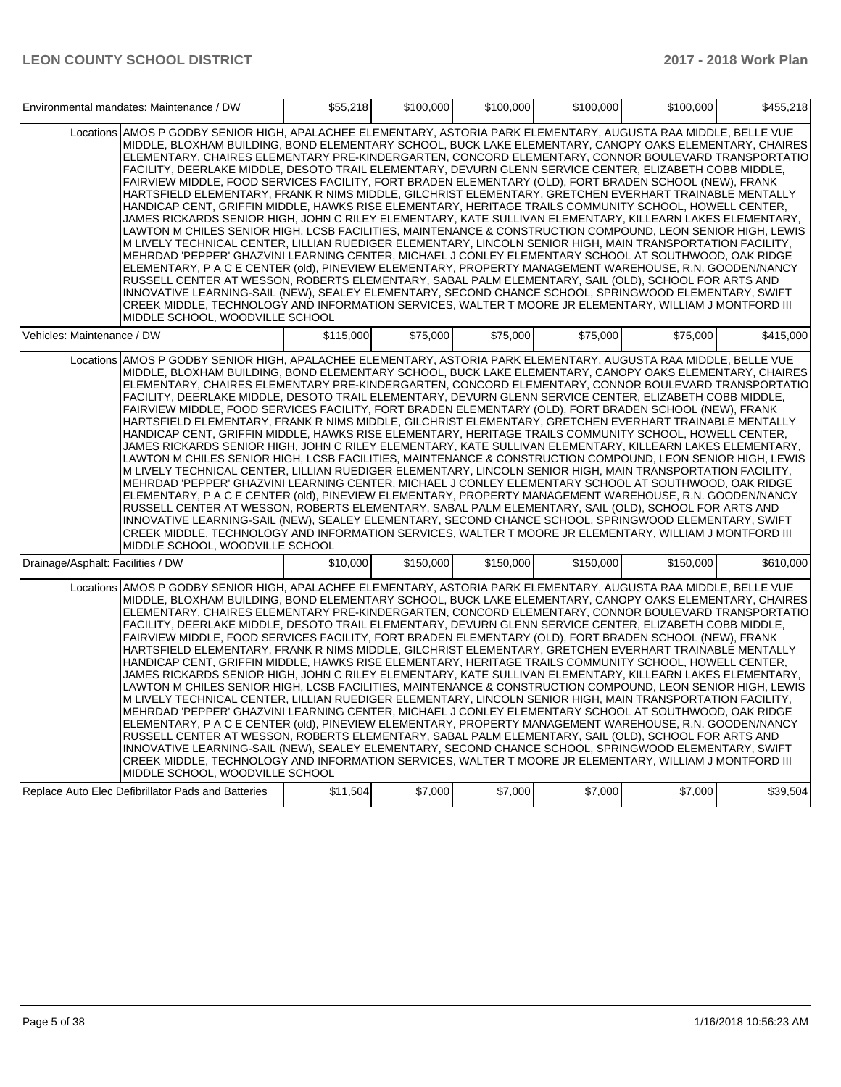|                                   | Environmental mandates: Maintenance / DW                                                                                                                                                                                                                                                                                                                                                                                                                                                                                                                                                                                                                                                                                                                                                                                                                                                                                                                                                                                                                                                                                                                                                                                                                                                                                                                                                                                                                                                                                                                                                                                                                                                                | \$55,218  | \$100,000 | \$100,000 | \$100,000 | \$100,000 | \$455,218 |
|-----------------------------------|---------------------------------------------------------------------------------------------------------------------------------------------------------------------------------------------------------------------------------------------------------------------------------------------------------------------------------------------------------------------------------------------------------------------------------------------------------------------------------------------------------------------------------------------------------------------------------------------------------------------------------------------------------------------------------------------------------------------------------------------------------------------------------------------------------------------------------------------------------------------------------------------------------------------------------------------------------------------------------------------------------------------------------------------------------------------------------------------------------------------------------------------------------------------------------------------------------------------------------------------------------------------------------------------------------------------------------------------------------------------------------------------------------------------------------------------------------------------------------------------------------------------------------------------------------------------------------------------------------------------------------------------------------------------------------------------------------|-----------|-----------|-----------|-----------|-----------|-----------|
|                                   | Locations AMOS P GODBY SENIOR HIGH, APALACHEE ELEMENTARY, ASTORIA PARK ELEMENTARY, AUGUSTA RAA MIDDLE, BELLE VUE<br>MIDDLE, BLOXHAM BUILDING, BOND ELEMENTARY SCHOOL, BUCK LAKE ELEMENTARY, CANOPY OAKS ELEMENTARY, CHAIRES<br>ELEMENTARY, CHAIRES ELEMENTARY PRE-KINDERGARTEN, CONCORD ELEMENTARY, CONNOR BOULEVARD TRANSPORTATIO<br>FACILITY, DEERLAKE MIDDLE, DESOTO TRAIL ELEMENTARY, DEVURN GLENN SERVICE CENTER, ELIZABETH COBB MIDDLE,<br>FAIRVIEW MIDDLE, FOOD SERVICES FACILITY, FORT BRADEN ELEMENTARY (OLD), FORT BRADEN SCHOOL (NEW), FRANK<br>HARTSFIELD ELEMENTARY, FRANK R NIMS MIDDLE, GILCHRIST ELEMENTARY, GRETCHEN EVERHART TRAINABLE MENTALLY<br>HANDICAP CENT, GRIFFIN MIDDLE, HAWKS RISE ELEMENTARY, HERITAGE TRAILS COMMUNITY SCHOOL, HOWELL CENTER,<br>JAMES RICKARDS SENIOR HIGH, JOHN C RILEY ELEMENTARY, KATE SULLIVAN ELEMENTARY, KILLEARN LAKES ELEMENTARY,<br>LAWTON M CHILES SENIOR HIGH, LCSB FACILITIES, MAINTENANCE & CONSTRUCTION COMPOUND, LEON SENIOR HIGH, LEWIS<br>M LIVELY TECHNICAL CENTER, LILLIAN RUEDIGER ELEMENTARY, LINCOLN SENIOR HIGH, MAIN TRANSPORTATION FACILITY,<br>MEHRDAD 'PEPPER' GHAZVINI LEARNING CENTER, MICHAEL J CONLEY ELEMENTARY SCHOOL AT SOUTHWOOD, OAK RIDGE<br>ELEMENTARY, P A C E CENTER (old), PINEVIEW ELEMENTARY, PROPERTY MANAGEMENT WAREHOUSE, R.N. GOODEN/NANCY<br>RUSSELL CENTER AT WESSON, ROBERTS ELEMENTARY, SABAL PALM ELEMENTARY, SAIL (OLD), SCHOOL FOR ARTS AND<br>INNOVATIVE LEARNING-SAIL (NEW), SEALEY ELEMENTARY, SECOND CHANCE SCHOOL, SPRINGWOOD ELEMENTARY, SWIFT<br>CREEK MIDDLE, TECHNOLOGY AND INFORMATION SERVICES, WALTER T MOORE JR ELEMENTARY, WILLIAM J MONTFORD III<br>MIDDLE SCHOOL, WOODVILLE SCHOOL |           |           |           |           |           |           |
| Vehicles: Maintenance / DW        |                                                                                                                                                                                                                                                                                                                                                                                                                                                                                                                                                                                                                                                                                                                                                                                                                                                                                                                                                                                                                                                                                                                                                                                                                                                                                                                                                                                                                                                                                                                                                                                                                                                                                                         | \$115,000 | \$75,000  | \$75,000  | \$75,000  | \$75,000  | \$415,000 |
|                                   | Locations AMOS P GODBY SENIOR HIGH, APALACHEE ELEMENTARY, ASTORIA PARK ELEMENTARY, AUGUSTA RAA MIDDLE, BELLE VUE<br>MIDDLE, BLOXHAM BUILDING, BOND ELEMENTARY SCHOOL, BUCK LAKE ELEMENTARY, CANOPY OAKS ELEMENTARY, CHAIRES<br>ELEMENTARY, CHAIRES ELEMENTARY PRE-KINDERGARTEN, CONCORD ELEMENTARY, CONNOR BOULEVARD TRANSPORTATIO<br>FACILITY, DEERLAKE MIDDLE, DESOTO TRAIL ELEMENTARY, DEVURN GLENN SERVICE CENTER, ELIZABETH COBB MIDDLE,<br>FAIRVIEW MIDDLE, FOOD SERVICES FACILITY, FORT BRADEN ELEMENTARY (OLD), FORT BRADEN SCHOOL (NEW), FRANK<br>HARTSFIELD ELEMENTARY, FRANK R NIMS MIDDLE, GILCHRIST ELEMENTARY, GRETCHEN EVERHART TRAINABLE MENTALLY<br>HANDICAP CENT, GRIFFIN MIDDLE, HAWKS RISE ELEMENTARY, HERITAGE TRAILS COMMUNITY SCHOOL, HOWELL CENTER,<br>JAMES RICKARDS SENIOR HIGH, JOHN C RILEY ELEMENTARY, KATE SULLIVAN ELEMENTARY, KILLEARN LAKES ELEMENTARY,<br>LAWTON M CHILES SENIOR HIGH, LCSB FACILITIES, MAINTENANCE & CONSTRUCTION COMPOUND, LEON SENIOR HIGH, LEWIS<br>M LIVELY TECHNICAL CENTER, LILLIAN RUEDIGER ELEMENTARY, LINCOLN SENIOR HIGH, MAIN TRANSPORTATION FACILITY,<br>MEHRDAD 'PEPPER' GHAZVINI LEARNING CENTER, MICHAEL J CONLEY ELEMENTARY SCHOOL AT SOUTHWOOD, OAK RIDGE<br>ELEMENTARY, P A C E CENTER (old), PINEVIEW ELEMENTARY, PROPERTY MANAGEMENT WAREHOUSE, R.N. GOODEN/NANCY<br>RUSSELL CENTER AT WESSON, ROBERTS ELEMENTARY, SABAL PALM ELEMENTARY, SAIL (OLD), SCHOOL FOR ARTS AND<br>INNOVATIVE LEARNING-SAIL (NEW), SEALEY ELEMENTARY, SECOND CHANCE SCHOOL, SPRINGWOOD ELEMENTARY, SWIFT<br>CREEK MIDDLE, TECHNOLOGY AND INFORMATION SERVICES, WALTER T MOORE JR ELEMENTARY, WILLIAM J MONTFORD III<br>MIDDLE SCHOOL, WOODVILLE SCHOOL |           |           |           |           |           |           |
| Drainage/Asphalt: Facilities / DW |                                                                                                                                                                                                                                                                                                                                                                                                                                                                                                                                                                                                                                                                                                                                                                                                                                                                                                                                                                                                                                                                                                                                                                                                                                                                                                                                                                                                                                                                                                                                                                                                                                                                                                         | \$10,000  | \$150,000 | \$150,000 | \$150,000 | \$150,000 | \$610,000 |
|                                   | Locations AMOS P GODBY SENIOR HIGH, APALACHEE ELEMENTARY, ASTORIA PARK ELEMENTARY, AUGUSTA RAA MIDDLE, BELLE VUE<br>MIDDLE, BLOXHAM BUILDING, BOND ELEMENTARY SCHOOL, BUCK LAKE ELEMENTARY, CANOPY OAKS ELEMENTARY, CHAIRES<br>ELEMENTARY, CHAIRES ELEMENTARY PRE-KINDERGARTEN, CONCORD ELEMENTARY, CONNOR BOULEVARD TRANSPORTATIO<br>FACILITY, DEERLAKE MIDDLE, DESOTO TRAIL ELEMENTARY, DEVURN GLENN SERVICE CENTER, ELIZABETH COBB MIDDLE,<br>FAIRVIEW MIDDLE, FOOD SERVICES FACILITY, FORT BRADEN ELEMENTARY (OLD), FORT BRADEN SCHOOL (NEW), FRANK<br>HARTSFIELD ELEMENTARY, FRANK R NIMS MIDDLE, GILCHRIST ELEMENTARY, GRETCHEN EVERHART TRAINABLE MENTALLY<br>HANDICAP CENT, GRIFFIN MIDDLE, HAWKS RISE ELEMENTARY, HERITAGE TRAILS COMMUNITY SCHOOL, HOWELL CENTER,<br>JAMES RICKARDS SENIOR HIGH, JOHN C RILEY ELEMENTARY, KATE SULLIVAN ELEMENTARY, KILLEARN LAKES ELEMENTARY,<br>LAWTON M CHILES SENIOR HIGH, LCSB FACILITIES, MAINTENANCE & CONSTRUCTION COMPOUND, LEON SENIOR HIGH, LEWIS<br>M LIVELY TECHNICAL CENTER, LILLIAN RUEDIGER ELEMENTARY, LINCOLN SENIOR HIGH, MAIN TRANSPORTATION FACILITY,<br>MEHRDAD 'PEPPER' GHAZVINI LEARNING CENTER, MICHAEL J CONLEY ELEMENTARY SCHOOL AT SOUTHWOOD, OAK RIDGE<br>ELEMENTARY, P A C E CENTER (old), PINEVIEW ELEMENTARY, PROPERTY MANAGEMENT WAREHOUSE, R.N. GOODEN/NANCY<br>RUSSELL CENTER AT WESSON, ROBERTS ELEMENTARY, SABAL PALM ELEMENTARY, SAIL (OLD), SCHOOL FOR ARTS AND<br>INNOVATIVE LEARNING-SAIL (NEW), SEALEY ELEMENTARY, SECOND CHANCE SCHOOL, SPRINGWOOD ELEMENTARY, SWIFT<br>CREEK MIDDLE, TECHNOLOGY AND INFORMATION SERVICES, WALTER T MOORE JR ELEMENTARY, WILLIAM J MONTFORD III<br>MIDDLE SCHOOL, WOODVILLE SCHOOL |           |           |           |           |           |           |
|                                   | Replace Auto Elec Defibrillator Pads and Batteries                                                                                                                                                                                                                                                                                                                                                                                                                                                                                                                                                                                                                                                                                                                                                                                                                                                                                                                                                                                                                                                                                                                                                                                                                                                                                                                                                                                                                                                                                                                                                                                                                                                      | \$11,504  | \$7,000   | \$7,000   | \$7,000   | \$7,000   | \$39,504  |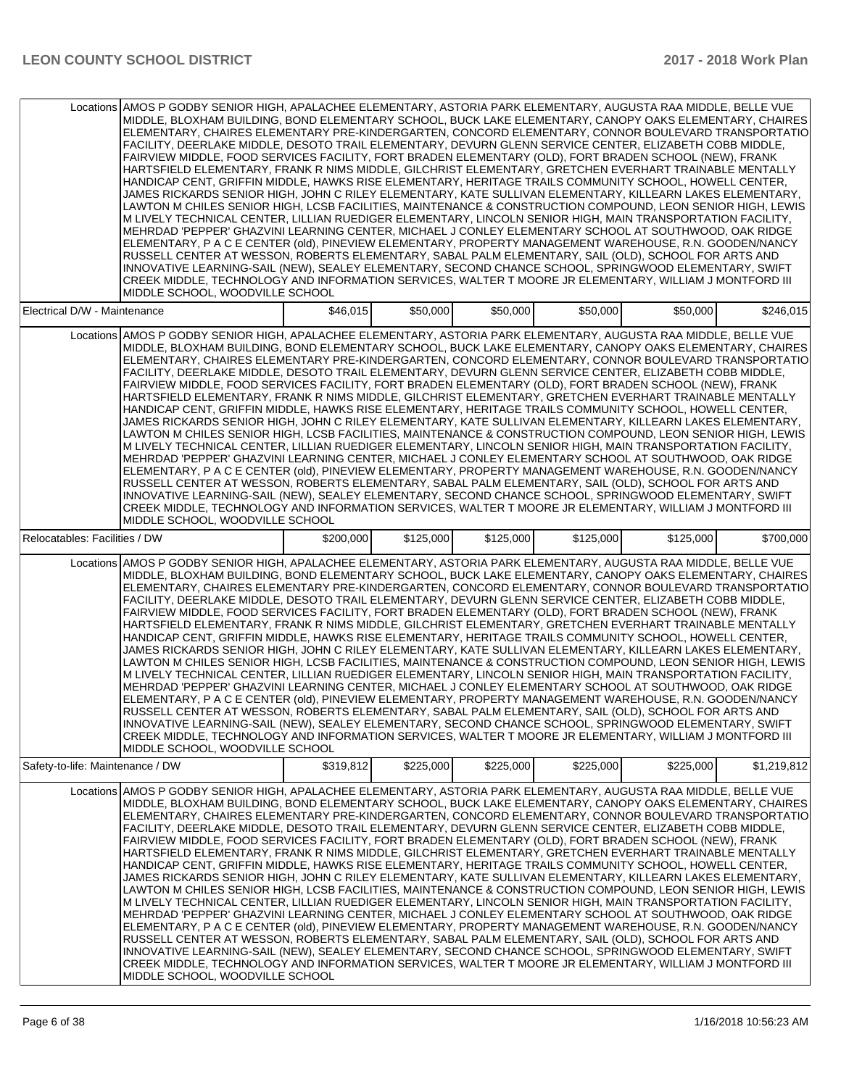|                                  | Locations AMOS P GODBY SENIOR HIGH, APALACHEE ELEMENTARY, ASTORIA PARK ELEMENTARY, AUGUSTA RAA MIDDLE, BELLE VUE<br>MIDDLE, BLOXHAM BUILDING, BOND ELEMENTARY SCHOOL, BUCK LAKE ELEMENTARY, CANOPY OAKS ELEMENTARY, CHAIRES<br>ELEMENTARY, CHAIRES ELEMENTARY PRE-KINDERGARTEN, CONCORD ELEMENTARY, CONNOR BOULEVARD TRANSPORTATIO<br>FACILITY. DEERLAKE MIDDLE. DESOTO TRAIL ELEMENTARY. DEVURN GLENN SERVICE CENTER. ELIZABETH COBB MIDDLE.<br>FAIRVIEW MIDDLE, FOOD SERVICES FACILITY, FORT BRADEN ELEMENTARY (OLD), FORT BRADEN SCHOOL (NEW), FRANK<br>HARTSFIELD ELEMENTARY, FRANK R NIMS MIDDLE, GILCHRIST ELEMENTARY, GRETCHEN EVERHART TRAINABLE MENTALLY<br>HANDICAP CENT, GRIFFIN MIDDLE, HAWKS RISE ELEMENTARY, HERITAGE TRAILS COMMUNITY SCHOOL, HOWELL CENTER,<br>JAMES RICKARDS SENIOR HIGH, JOHN C RILEY ELEMENTARY, KATE SULLIVAN ELEMENTARY, KILLEARN LAKES ELEMENTARY,<br>LAWTON M CHILES SENIOR HIGH, LCSB FACILITIES, MAINTENANCE & CONSTRUCTION COMPOUND, LEON SENIOR HIGH, LEWIS<br>M LIVELY TECHNICAL CENTER, LILLIAN RUEDIGER ELEMENTARY, LINCOLN SENIOR HIGH, MAIN TRANSPORTATION FACILITY,<br>MEHRDAD 'PEPPER' GHAZVINI LEARNING CENTER, MICHAEL J CONLEY ELEMENTARY SCHOOL AT SOUTHWOOD, OAK RIDGE<br>ELEMENTARY, P A C E CENTER (old), PINEVIEW ELEMENTARY, PROPERTY MANAGEMENT WAREHOUSE, R.N. GOODEN/NANCY<br>RUSSELL CENTER AT WESSON, ROBERTS ELEMENTARY, SABAL PALM ELEMENTARY, SAIL (OLD), SCHOOL FOR ARTS AND<br>INNOVATIVE LEARNING-SAIL (NEW), SEALEY ELEMENTARY, SECOND CHANCE SCHOOL, SPRINGWOOD ELEMENTARY, SWIFT<br>CREEK MIDDLE, TECHNOLOGY AND INFORMATION SERVICES, WALTER T MOORE JR ELEMENTARY, WILLIAM J MONTFORD III<br>MIDDLE SCHOOL, WOODVILLE SCHOOL  |           |           |           |           |           |             |
|----------------------------------|----------------------------------------------------------------------------------------------------------------------------------------------------------------------------------------------------------------------------------------------------------------------------------------------------------------------------------------------------------------------------------------------------------------------------------------------------------------------------------------------------------------------------------------------------------------------------------------------------------------------------------------------------------------------------------------------------------------------------------------------------------------------------------------------------------------------------------------------------------------------------------------------------------------------------------------------------------------------------------------------------------------------------------------------------------------------------------------------------------------------------------------------------------------------------------------------------------------------------------------------------------------------------------------------------------------------------------------------------------------------------------------------------------------------------------------------------------------------------------------------------------------------------------------------------------------------------------------------------------------------------------------------------------------------------------------------------------|-----------|-----------|-----------|-----------|-----------|-------------|
| Electrical D/W - Maintenance     |                                                                                                                                                                                                                                                                                                                                                                                                                                                                                                                                                                                                                                                                                                                                                                                                                                                                                                                                                                                                                                                                                                                                                                                                                                                                                                                                                                                                                                                                                                                                                                                                                                                                                                          | \$46,015  | \$50,000  | \$50,000  | \$50,000  | \$50,000  | \$246,015   |
|                                  | Locations AMOS P GODBY SENIOR HIGH, APALACHEE ELEMENTARY, ASTORIA PARK ELEMENTARY, AUGUSTA RAA MIDDLE, BELLE VUE<br>MIDDLE, BLOXHAM BUILDING, BOND ELEMENTARY SCHOOL, BUCK LAKE ELEMENTARY, CANOPY OAKS ELEMENTARY, CHAIRES<br>ELEMENTARY, CHAIRES ELEMENTARY PRE-KINDERGARTEN, CONCORD ELEMENTARY, CONNOR BOULEVARD TRANSPORTATIO<br>FACILITY, DEERLAKE MIDDLE, DESOTO TRAIL ELEMENTARY, DEVURN GLENN SERVICE CENTER, ELIZABETH COBB MIDDLE,<br>FAIRVIEW MIDDLE, FOOD SERVICES FACILITY, FORT BRADEN ELEMENTARY (OLD), FORT BRADEN SCHOOL (NEW), FRANK<br>HARTSFIELD ELEMENTARY, FRANK R NIMS MIDDLE, GILCHRIST ELEMENTARY, GRETCHEN EVERHART TRAINABLE MENTALLY<br>HANDICAP CENT, GRIFFIN MIDDLE, HAWKS RISE ELEMENTARY, HERITAGE TRAILS COMMUNITY SCHOOL, HOWELL CENTER,<br>JAMES RICKARDS SENIOR HIGH, JOHN C RILEY ELEMENTARY, KATE SULLIVAN ELEMENTARY, KILLEARN LAKES ELEMENTARY,<br>LAWTON M CHILES SENIOR HIGH, LCSB FACILITIES, MAINTENANCE & CONSTRUCTION COMPOUND, LEON SENIOR HIGH, LEWIS<br>M LIVELY TECHNICAL CENTER, LILLIAN RUEDIGER ELEMENTARY, LINCOLN SENIOR HIGH, MAIN TRANSPORTATION FACILITY,<br>MEHRDAD 'PEPPER' GHAZVINI LEARNING CENTER, MICHAEL J CONLEY ELEMENTARY SCHOOL AT SOUTHWOOD, OAK RIDGE<br>ELEMENTARY, P A C E CENTER (old), PINEVIEW ELEMENTARY, PROPERTY MANAGEMENT WAREHOUSE, R.N. GOODEN/NANCY<br>RUSSELL CENTER AT WESSON, ROBERTS ELEMENTARY, SABAL PALM ELEMENTARY, SAIL (OLD), SCHOOL FOR ARTS AND<br>INNOVATIVE LEARNING-SAIL (NEW), SEALEY ELEMENTARY, SECOND CHANCE SCHOOL, SPRINGWOOD ELEMENTARY, SWIFT<br>CREEK MIDDLE, TECHNOLOGY AND INFORMATION SERVICES, WALTER T MOORE JR ELEMENTARY, WILLIAM J MONTFORD III<br>MIDDLE SCHOOL, WOODVILLE SCHOOL  |           |           |           |           |           |             |
| Relocatables: Facilities / DW    |                                                                                                                                                                                                                                                                                                                                                                                                                                                                                                                                                                                                                                                                                                                                                                                                                                                                                                                                                                                                                                                                                                                                                                                                                                                                                                                                                                                                                                                                                                                                                                                                                                                                                                          | \$200,000 | \$125,000 | \$125,000 | \$125,000 | \$125,000 | \$700,000   |
|                                  | Locations AMOS P GODBY SENIOR HIGH, APALACHEE ELEMENTARY, ASTORIA PARK ELEMENTARY, AUGUSTA RAA MIDDLE, BELLE VUE<br>MIDDLE, BLOXHAM BUILDING, BOND ELEMENTARY SCHOOL, BUCK LAKE ELEMENTARY, CANOPY OAKS ELEMENTARY, CHAIRES<br>ELEMENTARY, CHAIRES ELEMENTARY PRE-KINDERGARTEN, CONCORD ELEMENTARY, CONNOR BOULEVARD TRANSPORTATIO<br>FACILITY, DEERLAKE MIDDLE, DESOTO TRAIL ELEMENTARY, DEVURN GLENN SERVICE CENTER, ELIZABETH COBB MIDDLE,<br>FAIRVIEW MIDDLE, FOOD SERVICES FACILITY, FORT BRADEN ELEMENTARY (OLD), FORT BRADEN SCHOOL (NEW), FRANK<br>HARTSFIELD ELEMENTARY, FRANK R NIMS MIDDLE, GILCHRIST ELEMENTARY, GRETCHEN EVERHART TRAINABLE MENTALLY<br>HANDICAP CENT, GRIFFIN MIDDLE, HAWKS RISE ELEMENTARY, HERITAGE TRAILS COMMUNITY SCHOOL, HOWELL CENTER,<br>JAMES RICKARDS SENIOR HIGH, JOHN C RILEY ELEMENTARY, KATE SULLIVAN ELEMENTARY, KILLEARN LAKES ELEMENTARY,<br>LAWTON M CHILES SENIOR HIGH, LCSB FACILITIES, MAINTENANCE & CONSTRUCTION COMPOUND, LEON SENIOR HIGH, LEWIS<br>M LIVELY TECHNICAL CENTER, LILLIAN RUEDIGER ELEMENTARY, LINCOLN SENIOR HIGH, MAIN TRANSPORTATION FACILITY,<br>MEHRDAD 'PEPPER' GHAZVINI LEARNING CENTER, MICHAEL J CONLEY ELEMENTARY SCHOOL AT SOUTHWOOD, OAK RIDGE<br>ELEMENTARY, P A C E CENTER (old), PINEVIEW ELEMENTARY, PROPERTY MANAGEMENT WAREHOUSE, R.N. GOODEN/NANCY<br>RUSSELL CENTER AT WESSON, ROBERTS ELEMENTARY, SABAL PALM ELEMENTARY, SAIL (OLD), SCHOOL FOR ARTS AND<br>INNOVATIVE LEARNING-SAIL (NEW), SEALEY ELEMENTARY, SECOND CHANCE SCHOOL, SPRINGWOOD ELEMENTARY, SWIFT <br>CREEK MIDDLE, TECHNOLOGY AND INFORMATION SERVICES, WALTER T MOORE JR ELEMENTARY, WILLIAM J MONTFORD III<br>MIDDLE SCHOOL, WOODVILLE SCHOOL |           |           |           |           |           |             |
| Safety-to-life: Maintenance / DW |                                                                                                                                                                                                                                                                                                                                                                                                                                                                                                                                                                                                                                                                                                                                                                                                                                                                                                                                                                                                                                                                                                                                                                                                                                                                                                                                                                                                                                                                                                                                                                                                                                                                                                          | \$319,812 | \$225.000 | \$225,000 | \$225,000 | \$225,000 | \$1,219,812 |
|                                  | Locations AMOS P GODBY SENIOR HIGH, APALACHEE ELEMENTARY, ASTORIA PARK ELEMENTARY, AUGUSTA RAA MIDDLE, BELLE VUE<br>MIDDLE, BLOXHAM BUILDING, BOND ELEMENTARY SCHOOL, BUCK LAKE ELEMENTARY, CANOPY OAKS ELEMENTARY, CHAIRES<br>ELEMENTARY, CHAIRES ELEMENTARY PRE-KINDERGARTEN, CONCORD ELEMENTARY, CONNOR BOULEVARD TRANSPORTATIO<br>FACILITY, DEERLAKE MIDDLE, DESOTO TRAIL ELEMENTARY, DEVURN GLENN SERVICE CENTER, ELIZABETH COBB MIDDLE,<br>FAIRVIEW MIDDLE, FOOD SERVICES FACILITY, FORT BRADEN ELEMENTARY (OLD), FORT BRADEN SCHOOL (NEW), FRANK<br>HARTSFIELD ELEMENTARY, FRANK R NIMS MIDDLE, GILCHRIST ELEMENTARY, GRETCHEN EVERHART TRAINABLE MENTALLY<br>HANDICAP CENT, GRIFFIN MIDDLE, HAWKS RISE ELEMENTARY, HERITAGE TRAILS COMMUNITY SCHOOL, HOWELL CENTER,<br>JAMES RICKARDS SENIOR HIGH, JOHN C RILEY ELEMENTARY, KATE SULLIVAN ELEMENTARY, KILLEARN LAKES ELEMENTARY,<br>LAWTON M CHILES SENIOR HIGH, LCSB FACILITIES, MAINTENANCE & CONSTRUCTION COMPOUND, LEON SENIOR HIGH, LEWIS<br>M LIVELY TECHNICAL CENTER, LILLIAN RUEDIGER ELEMENTARY, LINCOLN SENIOR HIGH, MAIN TRANSPORTATION FACILITY,<br>MEHRDAD 'PEPPER' GHAZVINI LEARNING CENTER, MICHAEL J CONLEY ELEMENTARY SCHOOL AT SOUTHWOOD, OAK RIDGE<br>ELEMENTARY, P A C E CENTER (old), PINEVIEW ELEMENTARY, PROPERTY MANAGEMENT WAREHOUSE, R.N. GOODEN/NANCY<br>RUSSELL CENTER AT WESSON, ROBERTS ELEMENTARY, SABAL PALM ELEMENTARY, SAIL (OLD), SCHOOL FOR ARTS AND<br>INNOVATIVE LEARNING-SAIL (NEW), SEALEY ELEMENTARY, SECOND CHANCE SCHOOL, SPRINGWOOD ELEMENTARY, SWIFT<br>CREEK MIDDLE, TECHNOLOGY AND INFORMATION SERVICES, WALTER T MOORE JR ELEMENTARY, WILLIAM J MONTFORD III<br>MIDDLE SCHOOL, WOODVILLE SCHOOL  |           |           |           |           |           |             |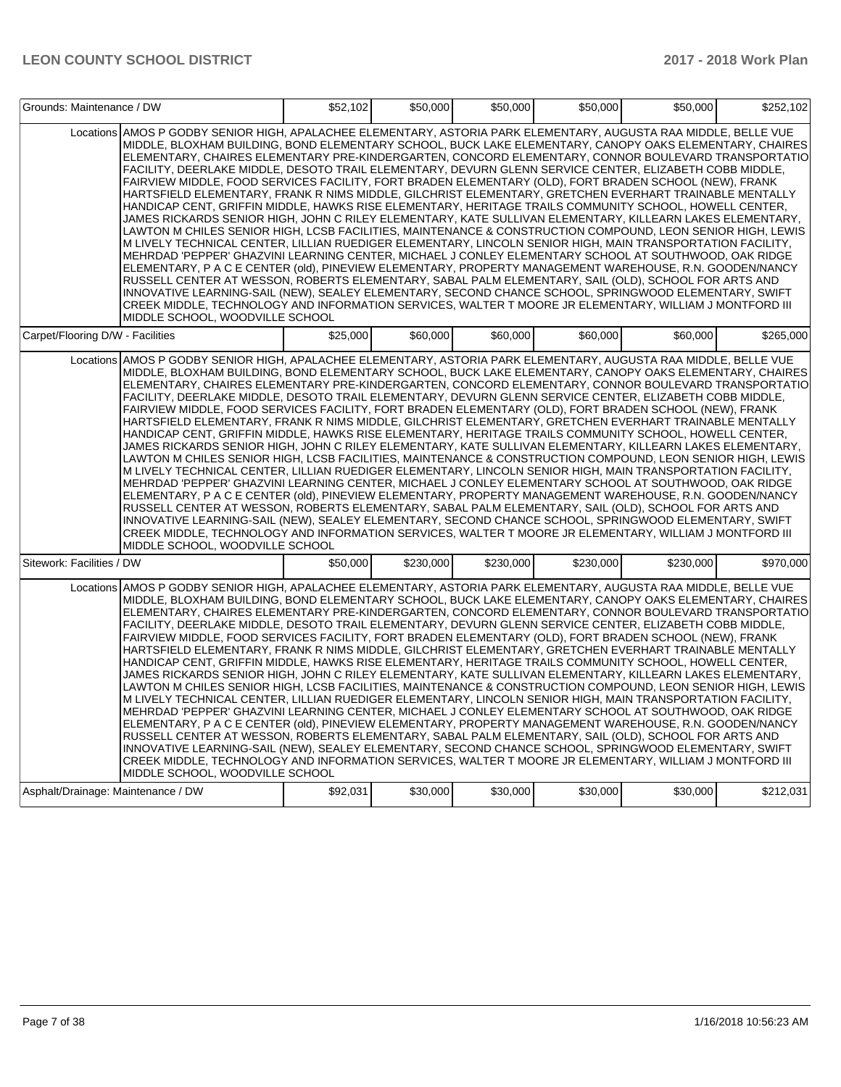| Grounds: Maintenance / DW          |                                                                                                                                                                                                                                                                                                                                                                                                                                                                                                                                                                                                                                                                                                                                                                                                                                                                                                                                                                                                                                                                                                                                                                                                                                                                                                                                                                                                                                                                                                                                                                                                                                                                                                         | \$52,102 | \$50,000  | \$50,000  | \$50,000  | \$50,000  | \$252,102 |
|------------------------------------|---------------------------------------------------------------------------------------------------------------------------------------------------------------------------------------------------------------------------------------------------------------------------------------------------------------------------------------------------------------------------------------------------------------------------------------------------------------------------------------------------------------------------------------------------------------------------------------------------------------------------------------------------------------------------------------------------------------------------------------------------------------------------------------------------------------------------------------------------------------------------------------------------------------------------------------------------------------------------------------------------------------------------------------------------------------------------------------------------------------------------------------------------------------------------------------------------------------------------------------------------------------------------------------------------------------------------------------------------------------------------------------------------------------------------------------------------------------------------------------------------------------------------------------------------------------------------------------------------------------------------------------------------------------------------------------------------------|----------|-----------|-----------|-----------|-----------|-----------|
|                                    | Locations AMOS P GODBY SENIOR HIGH, APALACHEE ELEMENTARY, ASTORIA PARK ELEMENTARY, AUGUSTA RAA MIDDLE, BELLE VUE<br>MIDDLE, BLOXHAM BUILDING, BOND ELEMENTARY SCHOOL, BUCK LAKE ELEMENTARY, CANOPY OAKS ELEMENTARY, CHAIRES<br>ELEMENTARY, CHAIRES ELEMENTARY PRE-KINDERGARTEN, CONCORD ELEMENTARY, CONNOR BOULEVARD TRANSPORTATIO<br>FACILITY, DEERLAKE MIDDLE, DESOTO TRAIL ELEMENTARY, DEVURN GLENN SERVICE CENTER, ELIZABETH COBB MIDDLE,<br>FAIRVIEW MIDDLE, FOOD SERVICES FACILITY, FORT BRADEN ELEMENTARY (OLD), FORT BRADEN SCHOOL (NEW), FRANK<br>HARTSFIELD ELEMENTARY, FRANK R NIMS MIDDLE, GILCHRIST ELEMENTARY, GRETCHEN EVERHART TRAINABLE MENTALLY<br>HANDICAP CENT, GRIFFIN MIDDLE, HAWKS RISE ELEMENTARY, HERITAGE TRAILS COMMUNITY SCHOOL, HOWELL CENTER,<br>JAMES RICKARDS SENIOR HIGH, JOHN C RILEY ELEMENTARY, KATE SULLIVAN ELEMENTARY, KILLEARN LAKES ELEMENTARY,<br>LAWTON M CHILES SENIOR HIGH, LCSB FACILITIES, MAINTENANCE & CONSTRUCTION COMPOUND, LEON SENIOR HIGH, LEWIS<br>M LIVELY TECHNICAL CENTER, LILLIAN RUEDIGER ELEMENTARY, LINCOLN SENIOR HIGH, MAIN TRANSPORTATION FACILITY,<br>MEHRDAD 'PEPPER' GHAZVINI LEARNING CENTER, MICHAEL J CONLEY ELEMENTARY SCHOOL AT SOUTHWOOD, OAK RIDGE<br>ELEMENTARY, P A C E CENTER (old), PINEVIEW ELEMENTARY, PROPERTY MANAGEMENT WAREHOUSE, R.N. GOODEN/NANCY<br>RUSSELL CENTER AT WESSON, ROBERTS ELEMENTARY, SABAL PALM ELEMENTARY, SAIL (OLD), SCHOOL FOR ARTS AND<br>INNOVATIVE LEARNING-SAIL (NEW), SEALEY ELEMENTARY, SECOND CHANCE SCHOOL, SPRINGWOOD ELEMENTARY, SWIFT<br>CREEK MIDDLE, TECHNOLOGY AND INFORMATION SERVICES, WALTER T MOORE JR ELEMENTARY, WILLIAM J MONTFORD III<br>MIDDLE SCHOOL. WOODVILLE SCHOOL |          |           |           |           |           |           |
| Carpet/Flooring D/W - Facilities   |                                                                                                                                                                                                                                                                                                                                                                                                                                                                                                                                                                                                                                                                                                                                                                                                                                                                                                                                                                                                                                                                                                                                                                                                                                                                                                                                                                                                                                                                                                                                                                                                                                                                                                         | \$25,000 | \$60,000  | \$60,000  | \$60,000  | \$60,000  | \$265.000 |
|                                    | Locations AMOS P GODBY SENIOR HIGH, APALACHEE ELEMENTARY, ASTORIA PARK ELEMENTARY, AUGUSTA RAA MIDDLE, BELLE VUE<br>MIDDLE, BLOXHAM BUILDING, BOND ELEMENTARY SCHOOL, BUCK LAKE ELEMENTARY, CANOPY OAKS ELEMENTARY, CHAIRES<br>ELEMENTARY, CHAIRES ELEMENTARY PRE-KINDERGARTEN, CONCORD ELEMENTARY, CONNOR BOULEVARD TRANSPORTATIO<br>FACILITY, DEERLAKE MIDDLE, DESOTO TRAIL ELEMENTARY, DEVURN GLENN SERVICE CENTER, ELIZABETH COBB MIDDLE,<br>FAIRVIEW MIDDLE, FOOD SERVICES FACILITY, FORT BRADEN ELEMENTARY (OLD), FORT BRADEN SCHOOL (NEW), FRANK<br>HARTSFIELD ELEMENTARY, FRANK R NIMS MIDDLE, GILCHRIST ELEMENTARY, GRETCHEN EVERHART TRAINABLE MENTALLY<br>HANDICAP CENT, GRIFFIN MIDDLE, HAWKS RISE ELEMENTARY, HERITAGE TRAILS COMMUNITY SCHOOL, HOWELL CENTER,<br>JAMES RICKARDS SENIOR HIGH, JOHN C RILEY ELEMENTARY, KATE SULLIVAN ELEMENTARY, KILLEARN LAKES ELEMENTARY,<br>LAWTON M CHILES SENIOR HIGH, LCSB FACILITIES, MAINTENANCE & CONSTRUCTION COMPOUND, LEON SENIOR HIGH, LEWIS<br>M LIVELY TECHNICAL CENTER, LILLIAN RUEDIGER ELEMENTARY, LINCOLN SENIOR HIGH, MAIN TRANSPORTATION FACILITY,<br>MEHRDAD 'PEPPER' GHAZVINI LEARNING CENTER, MICHAEL J CONLEY ELEMENTARY SCHOOL AT SOUTHWOOD, OAK RIDGE<br>ELEMENTARY, P A C E CENTER (old), PINEVIEW ELEMENTARY, PROPERTY MANAGEMENT WAREHOUSE, R.N. GOODEN/NANCY<br>RUSSELL CENTER AT WESSON, ROBERTS ELEMENTARY, SABAL PALM ELEMENTARY, SAIL (OLD), SCHOOL FOR ARTS AND<br>INNOVATIVE LEARNING-SAIL (NEW), SEALEY ELEMENTARY, SECOND CHANCE SCHOOL, SPRINGWOOD ELEMENTARY, SWIFT<br>CREEK MIDDLE, TECHNOLOGY AND INFORMATION SERVICES, WALTER T MOORE JR ELEMENTARY, WILLIAM J MONTFORD III<br>MIDDLE SCHOOL. WOODVILLE SCHOOL |          |           |           |           |           |           |
| Sitework: Facilities / DW          |                                                                                                                                                                                                                                                                                                                                                                                                                                                                                                                                                                                                                                                                                                                                                                                                                                                                                                                                                                                                                                                                                                                                                                                                                                                                                                                                                                                                                                                                                                                                                                                                                                                                                                         | \$50,000 | \$230,000 | \$230,000 | \$230,000 | \$230,000 | \$970,000 |
|                                    | Locations AMOS P GODBY SENIOR HIGH, APALACHEE ELEMENTARY, ASTORIA PARK ELEMENTARY, AUGUSTA RAA MIDDLE, BELLE VUE<br>MIDDLE, BLOXHAM BUILDING, BOND ELEMENTARY SCHOOL, BUCK LAKE ELEMENTARY, CANOPY OAKS ELEMENTARY, CHAIRES<br>ELEMENTARY, CHAIRES ELEMENTARY PRE-KINDERGARTEN, CONCORD ELEMENTARY, CONNOR BOULEVARD TRANSPORTATIO<br>FACILITY, DEERLAKE MIDDLE, DESOTO TRAIL ELEMENTARY, DEVURN GLENN SERVICE CENTER, ELIZABETH COBB MIDDLE,<br>FAIRVIEW MIDDLE, FOOD SERVICES FACILITY, FORT BRADEN ELEMENTARY (OLD), FORT BRADEN SCHOOL (NEW), FRANK<br>HARTSFIELD ELEMENTARY, FRANK R NIMS MIDDLE, GILCHRIST ELEMENTARY, GRETCHEN EVERHART TRAINABLE MENTALLY<br>HANDICAP CENT, GRIFFIN MIDDLE, HAWKS RISE ELEMENTARY, HERITAGE TRAILS COMMUNITY SCHOOL, HOWELL CENTER,<br>JAMES RICKARDS SENIOR HIGH, JOHN C RILEY ELEMENTARY, KATE SULLIVAN ELEMENTARY, KILLEARN LAKES ELEMENTARY,<br>LAWTON M CHILES SENIOR HIGH, LCSB FACILITIES, MAINTENANCE & CONSTRUCTION COMPOUND, LEON SENIOR HIGH, LEWIS<br>M LIVELY TECHNICAL CENTER, LILLIAN RUEDIGER ELEMENTARY, LINCOLN SENIOR HIGH, MAIN TRANSPORTATION FACILITY,<br>MEHRDAD 'PEPPER' GHAZVINI LEARNING CENTER, MICHAEL J CONLEY ELEMENTARY SCHOOL AT SOUTHWOOD, OAK RIDGE<br>ELEMENTARY, P A C E CENTER (old), PINEVIEW ELEMENTARY, PROPERTY MANAGEMENT WAREHOUSE, R.N. GOODEN/NANCY<br>RUSSELL CENTER AT WESSON, ROBERTS ELEMENTARY, SABAL PALM ELEMENTARY, SAIL (OLD), SCHOOL FOR ARTS AND<br>INNOVATIVE LEARNING-SAIL (NEW), SEALEY ELEMENTARY, SECOND CHANCE SCHOOL, SPRINGWOOD ELEMENTARY, SWIFT<br>CREEK MIDDLE, TECHNOLOGY AND INFORMATION SERVICES, WALTER T MOORE JR ELEMENTARY, WILLIAM J MONTFORD III<br>MIDDLE SCHOOL, WOODVILLE SCHOOL |          |           |           |           |           |           |
| Asphalt/Drainage: Maintenance / DW |                                                                                                                                                                                                                                                                                                                                                                                                                                                                                                                                                                                                                                                                                                                                                                                                                                                                                                                                                                                                                                                                                                                                                                                                                                                                                                                                                                                                                                                                                                                                                                                                                                                                                                         | \$92,031 | \$30,000  | \$30,000  | \$30,000  | \$30,000  | \$212,031 |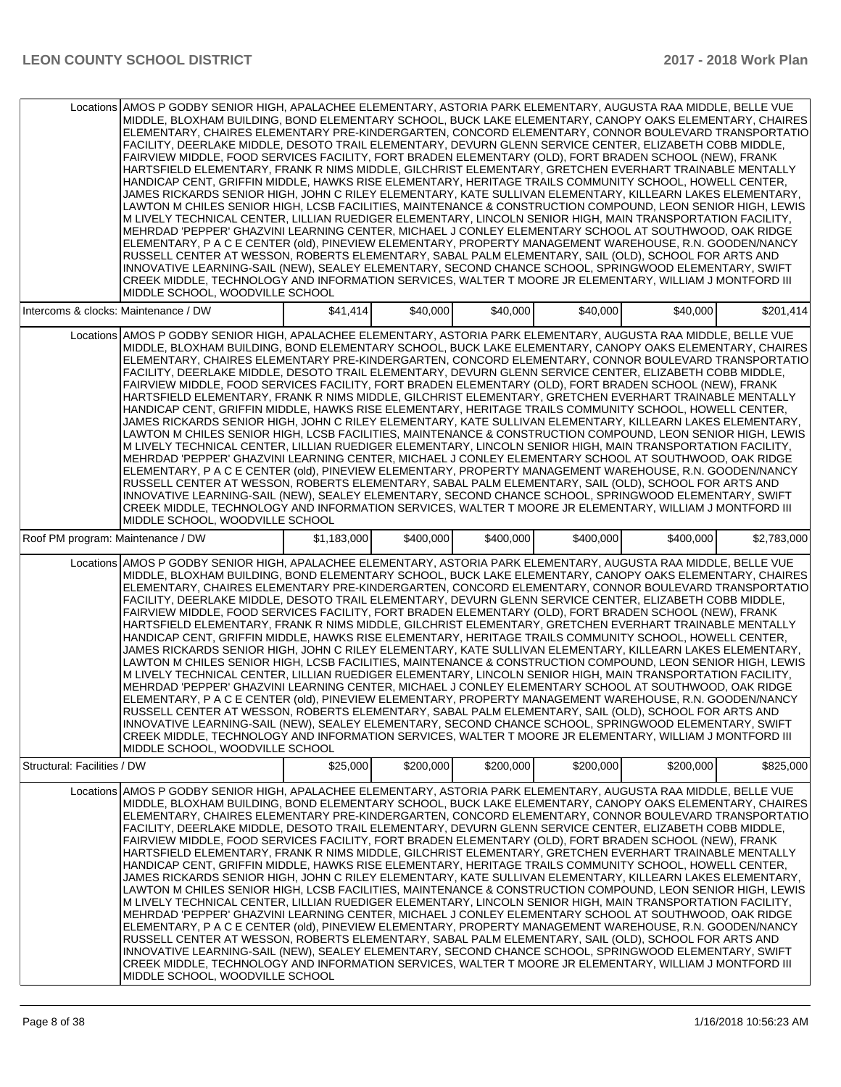|                                      | Locations AMOS P GODBY SENIOR HIGH, APALACHEE ELEMENTARY, ASTORIA PARK ELEMENTARY, AUGUSTA RAA MIDDLE, BELLE VUE<br>MIDDLE, BLOXHAM BUILDING, BOND ELEMENTARY SCHOOL, BUCK LAKE ELEMENTARY, CANOPY OAKS ELEMENTARY, CHAIRES<br>ELEMENTARY, CHAIRES ELEMENTARY PRE-KINDERGARTEN, CONCORD ELEMENTARY, CONNOR BOULEVARD TRANSPORTATIO<br>FACILITY, DEERLAKE MIDDLE, DESOTO TRAIL ELEMENTARY, DEVURN GLENN SERVICE CENTER, ELIZABETH COBB MIDDLE,<br>FAIRVIEW MIDDLE, FOOD SERVICES FACILITY, FORT BRADEN ELEMENTARY (OLD), FORT BRADEN SCHOOL (NEW), FRANK<br>HARTSFIELD ELEMENTARY, FRANK R NIMS MIDDLE, GILCHRIST ELEMENTARY, GRETCHEN EVERHART TRAINABLE MENTALLY<br>HANDICAP CENT, GRIFFIN MIDDLE, HAWKS RISE ELEMENTARY, HERITAGE TRAILS COMMUNITY SCHOOL, HOWELL CENTER,<br>JAMES RICKARDS SENIOR HIGH, JOHN C RILEY ELEMENTARY, KATE SULLIVAN ELEMENTARY, KILLEARN LAKES ELEMENTARY,<br>LAWTON M CHILES SENIOR HIGH, LCSB FACILITIES, MAINTENANCE & CONSTRUCTION COMPOUND, LEON SENIOR HIGH, LEWIS<br>M LIVELY TECHNICAL CENTER, LILLIAN RUEDIGER ELEMENTARY, LINCOLN SENIOR HIGH, MAIN TRANSPORTATION FACILITY,<br>MEHRDAD 'PEPPER' GHAZVINI LEARNING CENTER, MICHAEL J CONLEY ELEMENTARY SCHOOL AT SOUTHWOOD, OAK RIDGE<br>ELEMENTARY, P A C E CENTER (old), PINEVIEW ELEMENTARY, PROPERTY MANAGEMENT WAREHOUSE, R.N. GOODEN/NANCY<br>RUSSELL CENTER AT WESSON, ROBERTS ELEMENTARY, SABAL PALM ELEMENTARY, SAIL (OLD), SCHOOL FOR ARTS AND<br>IINNOVATIVE LEARNING-SAIL (NEW). SEALEY ELEMENTARY. SECOND CHANCE SCHOOL. SPRINGWOOD ELEMENTARY. SWIFT<br>CREEK MIDDLE, TECHNOLOGY AND INFORMATION SERVICES, WALTER T MOORE JR ELEMENTARY, WILLIAM J MONTFORD III<br>MIDDLE SCHOOL, WOODVILLE SCHOOL |             |           |           |           |           |             |
|--------------------------------------|----------------------------------------------------------------------------------------------------------------------------------------------------------------------------------------------------------------------------------------------------------------------------------------------------------------------------------------------------------------------------------------------------------------------------------------------------------------------------------------------------------------------------------------------------------------------------------------------------------------------------------------------------------------------------------------------------------------------------------------------------------------------------------------------------------------------------------------------------------------------------------------------------------------------------------------------------------------------------------------------------------------------------------------------------------------------------------------------------------------------------------------------------------------------------------------------------------------------------------------------------------------------------------------------------------------------------------------------------------------------------------------------------------------------------------------------------------------------------------------------------------------------------------------------------------------------------------------------------------------------------------------------------------------------------------------------------------|-------------|-----------|-----------|-----------|-----------|-------------|
| Intercoms & clocks: Maintenance / DW |                                                                                                                                                                                                                                                                                                                                                                                                                                                                                                                                                                                                                                                                                                                                                                                                                                                                                                                                                                                                                                                                                                                                                                                                                                                                                                                                                                                                                                                                                                                                                                                                                                                                                                          | \$41,414    | \$40,000  | \$40,000  | \$40,000  | \$40,000  | \$201,414   |
|                                      | Locations AMOS P GODBY SENIOR HIGH, APALACHEE ELEMENTARY, ASTORIA PARK ELEMENTARY, AUGUSTA RAA MIDDLE, BELLE VUE<br>MIDDLE, BLOXHAM BUILDING, BOND ELEMENTARY SCHOOL, BUCK LAKE ELEMENTARY, CANOPY OAKS ELEMENTARY, CHAIRES<br>ELEMENTARY, CHAIRES ELEMENTARY PRE-KINDERGARTEN, CONCORD ELEMENTARY, CONNOR BOULEVARD TRANSPORTATIO<br>FACILITY, DEERLAKE MIDDLE, DESOTO TRAIL ELEMENTARY, DEVURN GLENN SERVICE CENTER, ELIZABETH COBB MIDDLE,<br>FAIRVIEW MIDDLE, FOOD SERVICES FACILITY, FORT BRADEN ELEMENTARY (OLD), FORT BRADEN SCHOOL (NEW), FRANK<br>HARTSFIELD ELEMENTARY, FRANK R NIMS MIDDLE, GILCHRIST ELEMENTARY, GRETCHEN EVERHART TRAINABLE MENTALLY<br>HANDICAP CENT, GRIFFIN MIDDLE, HAWKS RISE ELEMENTARY, HERITAGE TRAILS COMMUNITY SCHOOL, HOWELL CENTER,<br>JAMES RICKARDS SENIOR HIGH, JOHN C RILEY ELEMENTARY, KATE SULLIVAN ELEMENTARY, KILLEARN LAKES ELEMENTARY,<br>LAWTON M CHILES SENIOR HIGH, LCSB FACILITIES, MAINTENANCE & CONSTRUCTION COMPOUND, LEON SENIOR HIGH, LEWIS<br>M LIVELY TECHNICAL CENTER, LILLIAN RUEDIGER ELEMENTARY, LINCOLN SENIOR HIGH, MAIN TRANSPORTATION FACILITY,<br>MEHRDAD 'PEPPER' GHAZVINI LEARNING CENTER, MICHAEL J CONLEY ELEMENTARY SCHOOL AT SOUTHWOOD, OAK RIDGE<br>ELEMENTARY, P A C E CENTER (old), PINEVIEW ELEMENTARY, PROPERTY MANAGEMENT WAREHOUSE, R.N. GOODEN/NANCY<br>RUSSELL CENTER AT WESSON, ROBERTS ELEMENTARY, SABAL PALM ELEMENTARY, SAIL (OLD), SCHOOL FOR ARTS AND<br>INNOVATIVE LEARNING-SAIL (NEW), SEALEY ELEMENTARY, SECOND CHANCE SCHOOL, SPRINGWOOD ELEMENTARY, SWIFT<br>CREEK MIDDLE, TECHNOLOGY AND INFORMATION SERVICES, WALTER T MOORE JR ELEMENTARY, WILLIAM J MONTFORD III<br>MIDDLE SCHOOL, WOODVILLE SCHOOL  |             |           |           |           |           |             |
| Roof PM program: Maintenance / DW    |                                                                                                                                                                                                                                                                                                                                                                                                                                                                                                                                                                                                                                                                                                                                                                                                                                                                                                                                                                                                                                                                                                                                                                                                                                                                                                                                                                                                                                                                                                                                                                                                                                                                                                          | \$1,183,000 | \$400,000 | \$400,000 | \$400,000 | \$400,000 | \$2,783,000 |
|                                      | Locations AMOS P GODBY SENIOR HIGH, APALACHEE ELEMENTARY, ASTORIA PARK ELEMENTARY, AUGUSTA RAA MIDDLE, BELLE VUE<br>MIDDLE, BLOXHAM BUILDING, BOND ELEMENTARY SCHOOL, BUCK LAKE ELEMENTARY, CANOPY OAKS ELEMENTARY, CHAIRES<br>ELEMENTARY, CHAIRES ELEMENTARY PRE-KINDERGARTEN, CONCORD ELEMENTARY, CONNOR BOULEVARD TRANSPORTATIO<br>FACILITY, DEERLAKE MIDDLE, DESOTO TRAIL ELEMENTARY, DEVURN GLENN SERVICE CENTER, ELIZABETH COBB MIDDLE,<br>FAIRVIEW MIDDLE, FOOD SERVICES FACILITY, FORT BRADEN ELEMENTARY (OLD), FORT BRADEN SCHOOL (NEW), FRANK<br>HARTSFIELD ELEMENTARY, FRANK R NIMS MIDDLE, GILCHRIST ELEMENTARY, GRETCHEN EVERHART TRAINABLE MENTALLY<br>HANDICAP CENT, GRIFFIN MIDDLE, HAWKS RISE ELEMENTARY, HERITAGE TRAILS COMMUNITY SCHOOL, HOWELL CENTER,<br>JAMES RICKARDS SENIOR HIGH, JOHN C RILEY ELEMENTARY, KATE SULLIVAN ELEMENTARY, KILLEARN LAKES ELEMENTARY,<br>LAWTON M CHILES SENIOR HIGH, LCSB FACILITIES, MAINTENANCE & CONSTRUCTION COMPOUND, LEON SENIOR HIGH, LEWIS<br>M LIVELY TECHNICAL CENTER, LILLIAN RUEDIGER ELEMENTARY, LINCOLN SENIOR HIGH, MAIN TRANSPORTATION FACILITY,<br>MEHRDAD 'PEPPER' GHAZVINI LEARNING CENTER, MICHAEL J CONLEY ELEMENTARY SCHOOL AT SOUTHWOOD, OAK RIDGE<br>ELEMENTARY, P A C E CENTER (old), PINEVIEW ELEMENTARY, PROPERTY MANAGEMENT WAREHOUSE, R.N. GOODEN/NANCY<br>RUSSELL CENTER AT WESSON, ROBERTS ELEMENTARY, SABAL PALM ELEMENTARY, SAIL (OLD), SCHOOL FOR ARTS AND<br>INNOVATIVE LEARNING-SAIL (NEW), SEALEY ELEMENTARY, SECOND CHANCE SCHOOL, SPRINGWOOD ELEMENTARY, SWIFT<br>CREEK MIDDLE, TECHNOLOGY AND INFORMATION SERVICES, WALTER T MOORE JR ELEMENTARY, WILLIAM J MONTFORD III<br>MIDDLE SCHOOL. WOODVILLE SCHOOL  |             |           |           |           |           |             |
| Structural: Facilities / DW          |                                                                                                                                                                                                                                                                                                                                                                                                                                                                                                                                                                                                                                                                                                                                                                                                                                                                                                                                                                                                                                                                                                                                                                                                                                                                                                                                                                                                                                                                                                                                                                                                                                                                                                          | \$25,000    | \$200,000 | \$200,000 | \$200,000 | \$200,000 | \$825,000   |
|                                      | Locations AMOS P GODBY SENIOR HIGH, APALACHEE ELEMENTARY, ASTORIA PARK ELEMENTARY, AUGUSTA RAA MIDDLE, BELLE VUE<br>MIDDLE, BLOXHAM BUILDING, BOND ELEMENTARY SCHOOL, BUCK LAKE ELEMENTARY, CANOPY OAKS ELEMENTARY, CHAIRES<br>ELEMENTARY, CHAIRES ELEMENTARY PRE-KINDERGARTEN, CONCORD ELEMENTARY, CONNOR BOULEVARD TRANSPORTATIO<br>FACILITY, DEERLAKE MIDDLE, DESOTO TRAIL ELEMENTARY, DEVURN GLENN SERVICE CENTER, ELIZABETH COBB MIDDLE,<br>FAIRVIEW MIDDLE, FOOD SERVICES FACILITY, FORT BRADEN ELEMENTARY (OLD), FORT BRADEN SCHOOL (NEW), FRANK<br>HARTSFIELD ELEMENTARY, FRANK R NIMS MIDDLE, GILCHRIST ELEMENTARY, GRETCHEN EVERHART TRAINABLE MENTALLY<br>HANDICAP CENT, GRIFFIN MIDDLE, HAWKS RISE ELEMENTARY, HERITAGE TRAILS COMMUNITY SCHOOL, HOWELL CENTER,<br>JAMES RICKARDS SENIOR HIGH. JOHN C RILEY ELEMENTARY. KATE SULLIVAN ELEMENTARY. KILLEARN LAKES ELEMENTARY.<br>LAWTON M CHILES SENIOR HIGH, LCSB FACILITIES, MAINTENANCE & CONSTRUCTION COMPOUND, LEON SENIOR HIGH, LEWIS<br>M LIVELY TECHNICAL CENTER, LILLIAN RUEDIGER ELEMENTARY, LINCOLN SENIOR HIGH, MAIN TRANSPORTATION FACILITY,<br>MEHRDAD 'PEPPER' GHAZVINI LEARNING CENTER, MICHAEL J CONLEY ELEMENTARY SCHOOL AT SOUTHWOOD, OAK RIDGE<br>ELEMENTARY, P A C E CENTER (old), PINEVIEW ELEMENTARY, PROPERTY MANAGEMENT WAREHOUSE, R.N. GOODEN/NANCY<br>RUSSELL CENTER AT WESSON, ROBERTS ELEMENTARY, SABAL PALM ELEMENTARY, SAIL (OLD), SCHOOL FOR ARTS AND<br>INNOVATIVE LEARNING-SAIL (NEW), SEALEY ELEMENTARY, SECOND CHANCE SCHOOL, SPRINGWOOD ELEMENTARY, SWIFT<br>CREEK MIDDLE, TECHNOLOGY AND INFORMATION SERVICES, WALTER T MOORE JR ELEMENTARY, WILLIAM J MONTFORD III<br>MIDDLE SCHOOL, WOODVILLE SCHOOL  |             |           |           |           |           |             |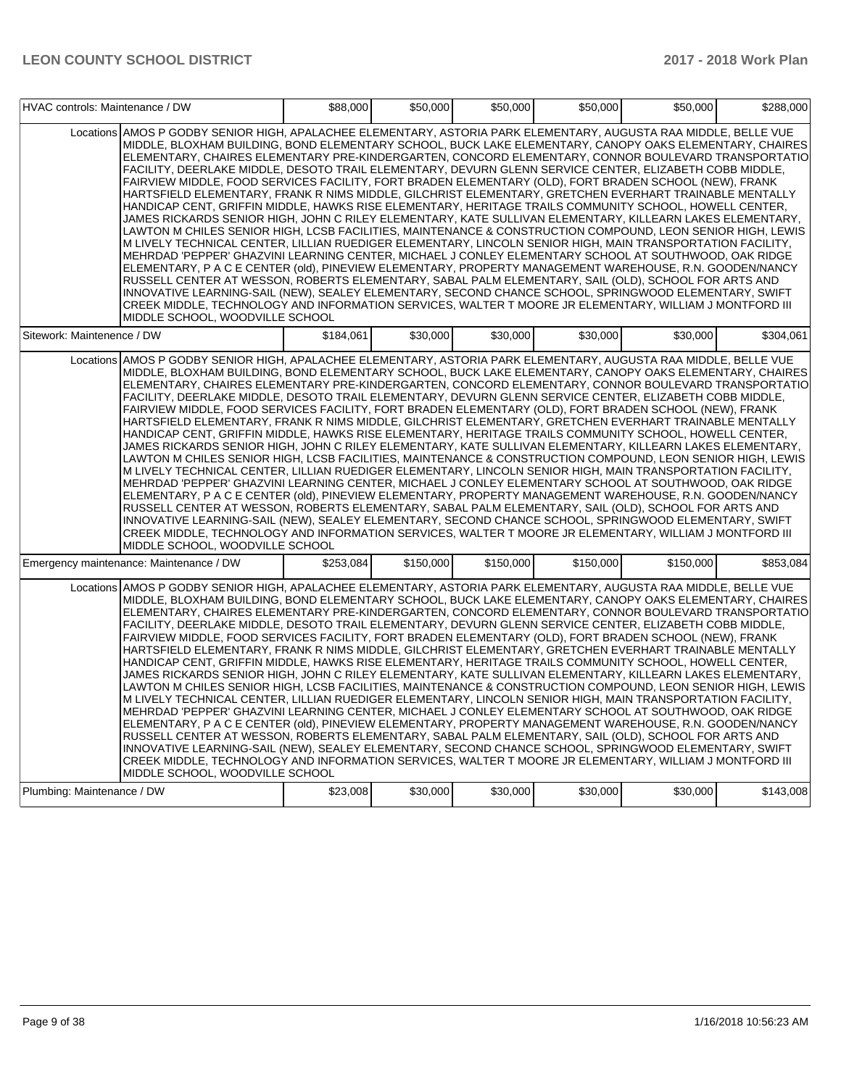| HVAC controls: Maintenance / DW |                                                                                                                                                                                                                                                                                                                                                                                                                                                                                                                                                                                                                                                                                                                                                                                                                                                                                                                                                                                                                                                                                                                                                                                                                                                                                                                                                                                                                                                                                                                                                                                                                                                                                                         | \$88,000  | \$50,000  | \$50,000  | \$50,000  | \$50,000  | \$288,000 |
|---------------------------------|---------------------------------------------------------------------------------------------------------------------------------------------------------------------------------------------------------------------------------------------------------------------------------------------------------------------------------------------------------------------------------------------------------------------------------------------------------------------------------------------------------------------------------------------------------------------------------------------------------------------------------------------------------------------------------------------------------------------------------------------------------------------------------------------------------------------------------------------------------------------------------------------------------------------------------------------------------------------------------------------------------------------------------------------------------------------------------------------------------------------------------------------------------------------------------------------------------------------------------------------------------------------------------------------------------------------------------------------------------------------------------------------------------------------------------------------------------------------------------------------------------------------------------------------------------------------------------------------------------------------------------------------------------------------------------------------------------|-----------|-----------|-----------|-----------|-----------|-----------|
|                                 | Locations AMOS P GODBY SENIOR HIGH, APALACHEE ELEMENTARY, ASTORIA PARK ELEMENTARY, AUGUSTA RAA MIDDLE, BELLE VUE<br>MIDDLE, BLOXHAM BUILDING, BOND ELEMENTARY SCHOOL, BUCK LAKE ELEMENTARY, CANOPY OAKS ELEMENTARY, CHAIRES<br>ELEMENTARY, CHAIRES ELEMENTARY PRE-KINDERGARTEN, CONCORD ELEMENTARY, CONNOR BOULEVARD TRANSPORTATIO<br>FACILITY, DEERLAKE MIDDLE, DESOTO TRAIL ELEMENTARY, DEVURN GLENN SERVICE CENTER, ELIZABETH COBB MIDDLE,<br>FAIRVIEW MIDDLE, FOOD SERVICES FACILITY, FORT BRADEN ELEMENTARY (OLD), FORT BRADEN SCHOOL (NEW), FRANK<br>HARTSFIELD ELEMENTARY, FRANK R NIMS MIDDLE, GILCHRIST ELEMENTARY, GRETCHEN EVERHART TRAINABLE MENTALLY<br>HANDICAP CENT, GRIFFIN MIDDLE, HAWKS RISE ELEMENTARY, HERITAGE TRAILS COMMUNITY SCHOOL, HOWELL CENTER,<br>JAMES RICKARDS SENIOR HIGH, JOHN C RILEY ELEMENTARY, KATE SULLIVAN ELEMENTARY, KILLEARN LAKES ELEMENTARY,<br>LAWTON M CHILES SENIOR HIGH, LCSB FACILITIES, MAINTENANCE & CONSTRUCTION COMPOUND, LEON SENIOR HIGH, LEWIS<br>M LIVELY TECHNICAL CENTER, LILLIAN RUEDIGER ELEMENTARY, LINCOLN SENIOR HIGH, MAIN TRANSPORTATION FACILITY,<br>MEHRDAD 'PEPPER' GHAZVINI LEARNING CENTER, MICHAEL J CONLEY ELEMENTARY SCHOOL AT SOUTHWOOD, OAK RIDGE<br>ELEMENTARY, P A C E CENTER (old), PINEVIEW ELEMENTARY, PROPERTY MANAGEMENT WAREHOUSE, R.N. GOODEN/NANCY<br>RUSSELL CENTER AT WESSON, ROBERTS ELEMENTARY, SABAL PALM ELEMENTARY, SAIL (OLD), SCHOOL FOR ARTS AND<br>INNOVATIVE LEARNING-SAIL (NEW), SEALEY ELEMENTARY, SECOND CHANCE SCHOOL, SPRINGWOOD ELEMENTARY, SWIFT<br>CREEK MIDDLE, TECHNOLOGY AND INFORMATION SERVICES, WALTER T MOORE JR ELEMENTARY, WILLIAM J MONTFORD III<br>MIDDLE SCHOOL, WOODVILLE SCHOOL |           |           |           |           |           |           |
| Sitework: Maintenence / DW      |                                                                                                                                                                                                                                                                                                                                                                                                                                                                                                                                                                                                                                                                                                                                                                                                                                                                                                                                                                                                                                                                                                                                                                                                                                                                                                                                                                                                                                                                                                                                                                                                                                                                                                         | \$184,061 | \$30,000  | \$30,000  | \$30,000  | \$30,000  | \$304,061 |
|                                 | Locations AMOS P GODBY SENIOR HIGH, APALACHEE ELEMENTARY, ASTORIA PARK ELEMENTARY, AUGUSTA RAA MIDDLE, BELLE VUE<br>MIDDLE. BLOXHAM BUILDING. BOND ELEMENTARY SCHOOL. BUCK LAKE ELEMENTARY. CANOPY OAKS ELEMENTARY. CHAIRES<br>ELEMENTARY, CHAIRES ELEMENTARY PRE-KINDERGARTEN, CONCORD ELEMENTARY, CONNOR BOULEVARD TRANSPORTATIO<br>FACILITY, DEERLAKE MIDDLE, DESOTO TRAIL ELEMENTARY, DEVURN GLENN SERVICE CENTER, ELIZABETH COBB MIDDLE,<br>FAIRVIEW MIDDLE, FOOD SERVICES FACILITY, FORT BRADEN ELEMENTARY (OLD), FORT BRADEN SCHOOL (NEW), FRANK<br>HARTSFIELD ELEMENTARY, FRANK R NIMS MIDDLE, GILCHRIST ELEMENTARY, GRETCHEN EVERHART TRAINABLE MENTALLY<br>HANDICAP CENT, GRIFFIN MIDDLE, HAWKS RISE ELEMENTARY, HERITAGE TRAILS COMMUNITY SCHOOL, HOWELL CENTER,<br>JAMES RICKARDS SENIOR HIGH, JOHN C RILEY ELEMENTARY, KATE SULLIVAN ELEMENTARY, KILLEARN LAKES ELEMENTARY,<br>LAWTON M CHILES SENIOR HIGH, LCSB FACILITIES, MAINTENANCE & CONSTRUCTION COMPOUND, LEON SENIOR HIGH, LEWIS<br>M LIVELY TECHNICAL CENTER, LILLIAN RUEDIGER ELEMENTARY, LINCOLN SENIOR HIGH, MAIN TRANSPORTATION FACILITY,<br>MEHRDAD 'PEPPER' GHAZVINI LEARNING CENTER, MICHAEL J CONLEY ELEMENTARY SCHOOL AT SOUTHWOOD, OAK RIDGE<br>ELEMENTARY, P A C E CENTER (old), PINEVIEW ELEMENTARY, PROPERTY MANAGEMENT WAREHOUSE, R.N. GOODEN/NANCY<br>RUSSELL CENTER AT WESSON, ROBERTS ELEMENTARY, SABAL PALM ELEMENTARY, SAIL (OLD), SCHOOL FOR ARTS AND<br>INNOVATIVE LEARNING-SAIL (NEW), SEALEY ELEMENTARY, SECOND CHANCE SCHOOL, SPRINGWOOD ELEMENTARY, SWIFT<br>CREEK MIDDLE, TECHNOLOGY AND INFORMATION SERVICES, WALTER T MOORE JR ELEMENTARY, WILLIAM J MONTFORD III<br>MIDDLE SCHOOL, WOODVILLE SCHOOL |           |           |           |           |           |           |
|                                 | Emergency maintenance: Maintenance / DW                                                                                                                                                                                                                                                                                                                                                                                                                                                                                                                                                                                                                                                                                                                                                                                                                                                                                                                                                                                                                                                                                                                                                                                                                                                                                                                                                                                                                                                                                                                                                                                                                                                                 | \$253,084 | \$150,000 | \$150,000 | \$150,000 | \$150,000 | \$853,084 |
|                                 | Locations AMOS P GODBY SENIOR HIGH, APALACHEE ELEMENTARY, ASTORIA PARK ELEMENTARY, AUGUSTA RAA MIDDLE, BELLE VUE<br>MIDDLE, BLOXHAM BUILDING, BOND ELEMENTARY SCHOOL, BUCK LAKE ELEMENTARY, CANOPY OAKS ELEMENTARY, CHAIRES<br>ELEMENTARY, CHAIRES ELEMENTARY PRE-KINDERGARTEN, CONCORD ELEMENTARY, CONNOR BOULEVARD TRANSPORTATIO<br>FACILITY, DEERLAKE MIDDLE, DESOTO TRAIL ELEMENTARY, DEVURN GLENN SERVICE CENTER, ELIZABETH COBB MIDDLE,<br>FAIRVIEW MIDDLE, FOOD SERVICES FACILITY, FORT BRADEN ELEMENTARY (OLD), FORT BRADEN SCHOOL (NEW), FRANK<br>HARTSFIELD ELEMENTARY, FRANK R NIMS MIDDLE, GILCHRIST ELEMENTARY, GRETCHEN EVERHART TRAINABLE MENTALLY<br>HANDICAP CENT, GRIFFIN MIDDLE, HAWKS RISE ELEMENTARY, HERITAGE TRAILS COMMUNITY SCHOOL, HOWELL CENTER,<br>JAMES RICKARDS SENIOR HIGH, JOHN C RILEY ELEMENTARY, KATE SULLIVAN ELEMENTARY, KILLEARN LAKES ELEMENTARY,<br>LAWTON M CHILES SENIOR HIGH, LCSB FACILITIES, MAINTENANCE & CONSTRUCTION COMPOUND, LEON SENIOR HIGH, LEWIS<br>M LIVELY TECHNICAL CENTER, LILLIAN RUEDIGER ELEMENTARY, LINCOLN SENIOR HIGH, MAIN TRANSPORTATION FACILITY,<br>MEHRDAD 'PEPPER' GHAZVINI LEARNING CENTER, MICHAEL J CONLEY ELEMENTARY SCHOOL AT SOUTHWOOD, OAK RIDGE<br>ELEMENTARY, P A C E CENTER (old), PINEVIEW ELEMENTARY, PROPERTY MANAGEMENT WAREHOUSE, R.N. GOODEN/NANCY<br>RUSSELL CENTER AT WESSON, ROBERTS ELEMENTARY, SABAL PALM ELEMENTARY, SAIL (OLD), SCHOOL FOR ARTS AND<br>INNOVATIVE LEARNING-SAIL (NEW), SEALEY ELEMENTARY, SECOND CHANCE SCHOOL, SPRINGWOOD ELEMENTARY, SWIFT<br>CREEK MIDDLE, TECHNOLOGY AND INFORMATION SERVICES, WALTER T MOORE JR ELEMENTARY, WILLIAM J MONTFORD III<br>MIDDLE SCHOOL, WOODVILLE SCHOOL |           |           |           |           |           |           |
| Plumbing: Maintenance / DW      |                                                                                                                                                                                                                                                                                                                                                                                                                                                                                                                                                                                                                                                                                                                                                                                                                                                                                                                                                                                                                                                                                                                                                                                                                                                                                                                                                                                                                                                                                                                                                                                                                                                                                                         | \$23,008  | \$30,000  | \$30,000  | \$30,000  | \$30,000  | \$143,008 |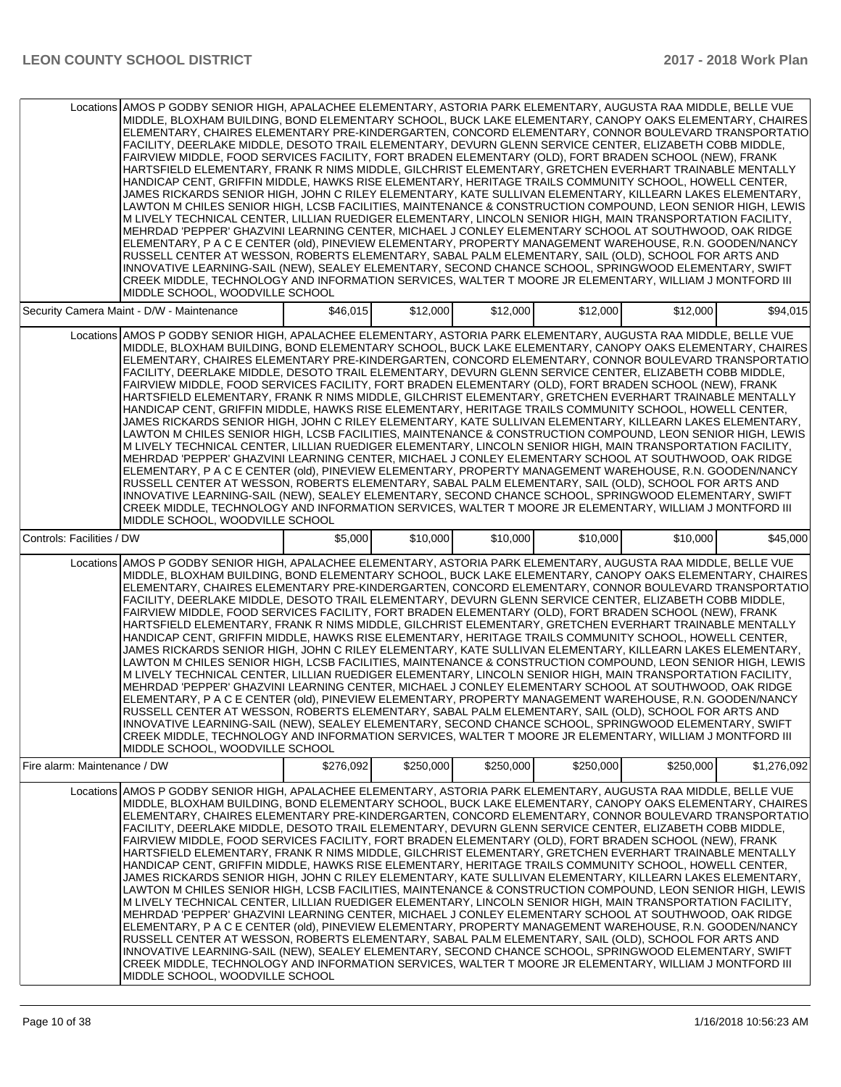|                              | Locations AMOS P GODBY SENIOR HIGH, APALACHEE ELEMENTARY, ASTORIA PARK ELEMENTARY, AUGUSTA RAA MIDDLE, BELLE VUE<br>MIDDLE, BLOXHAM BUILDING, BOND ELEMENTARY SCHOOL, BUCK LAKE ELEMENTARY, CANOPY OAKS ELEMENTARY, CHAIRES<br>ELEMENTARY, CHAIRES ELEMENTARY PRE-KINDERGARTEN, CONCORD ELEMENTARY, CONNOR BOULEVARD TRANSPORTATIO<br>FACILITY, DEERLAKE MIDDLE, DESOTO TRAIL ELEMENTARY, DEVURN GLENN SERVICE CENTER, ELIZABETH COBB MIDDLE,<br>FAIRVIEW MIDDLE, FOOD SERVICES FACILITY, FORT BRADEN ELEMENTARY (OLD), FORT BRADEN SCHOOL (NEW), FRANK<br>HARTSFIELD ELEMENTARY, FRANK R NIMS MIDDLE, GILCHRIST ELEMENTARY, GRETCHEN EVERHART TRAINABLE MENTALLY<br>HANDICAP CENT, GRIFFIN MIDDLE, HAWKS RISE ELEMENTARY, HERITAGE TRAILS COMMUNITY SCHOOL, HOWELL CENTER,<br>JAMES RICKARDS SENIOR HIGH, JOHN C RILEY ELEMENTARY, KATE SULLIVAN ELEMENTARY, KILLEARN LAKES ELEMENTARY,<br>LAWTON M CHILES SENIOR HIGH, LCSB FACILITIES, MAINTENANCE & CONSTRUCTION COMPOUND, LEON SENIOR HIGH, LEWIS<br>M LIVELY TECHNICAL CENTER, LILLIAN RUEDIGER ELEMENTARY, LINCOLN SENIOR HIGH, MAIN TRANSPORTATION FACILITY,<br>MEHRDAD 'PEPPER' GHAZVINI LEARNING CENTER, MICHAEL J CONLEY ELEMENTARY SCHOOL AT SOUTHWOOD, OAK RIDGE<br>ELEMENTARY, P A C E CENTER (old), PINEVIEW ELEMENTARY, PROPERTY MANAGEMENT WAREHOUSE, R.N. GOODEN/NANCY<br>RUSSELL CENTER AT WESSON, ROBERTS ELEMENTARY, SABAL PALM ELEMENTARY, SAIL (OLD), SCHOOL FOR ARTS AND<br>INNOVATIVE LEARNING-SAIL (NEW), SEALEY ELEMENTARY, SECOND CHANCE SCHOOL, SPRINGWOOD ELEMENTARY, SWIFT<br>CREEK MIDDLE, TECHNOLOGY AND INFORMATION SERVICES, WALTER T MOORE JR ELEMENTARY, WILLIAM J MONTFORD III<br>MIDDLE SCHOOL, WOODVILLE SCHOOL |           |           |           |           |           |             |
|------------------------------|---------------------------------------------------------------------------------------------------------------------------------------------------------------------------------------------------------------------------------------------------------------------------------------------------------------------------------------------------------------------------------------------------------------------------------------------------------------------------------------------------------------------------------------------------------------------------------------------------------------------------------------------------------------------------------------------------------------------------------------------------------------------------------------------------------------------------------------------------------------------------------------------------------------------------------------------------------------------------------------------------------------------------------------------------------------------------------------------------------------------------------------------------------------------------------------------------------------------------------------------------------------------------------------------------------------------------------------------------------------------------------------------------------------------------------------------------------------------------------------------------------------------------------------------------------------------------------------------------------------------------------------------------------------------------------------------------------|-----------|-----------|-----------|-----------|-----------|-------------|
|                              | Security Camera Maint - D/W - Maintenance                                                                                                                                                                                                                                                                                                                                                                                                                                                                                                                                                                                                                                                                                                                                                                                                                                                                                                                                                                                                                                                                                                                                                                                                                                                                                                                                                                                                                                                                                                                                                                                                                                                               | \$46,015  | \$12,000  | \$12,000  | \$12,000  | \$12,000  | \$94,015    |
|                              | Locations AMOS P GODBY SENIOR HIGH, APALACHEE ELEMENTARY, ASTORIA PARK ELEMENTARY, AUGUSTA RAA MIDDLE, BELLE VUE<br>MIDDLE, BLOXHAM BUILDING, BOND ELEMENTARY SCHOOL, BUCK LAKE ELEMENTARY, CANOPY OAKS ELEMENTARY, CHAIRES<br>ELEMENTARY, CHAIRES ELEMENTARY PRE-KINDERGARTEN, CONCORD ELEMENTARY, CONNOR BOULEVARD TRANSPORTATIO<br>FACILITY. DEERLAKE MIDDLE. DESOTO TRAIL ELEMENTARY. DEVURN GLENN SERVICE CENTER. ELIZABETH COBB MIDDLE.<br>FAIRVIEW MIDDLE, FOOD SERVICES FACILITY, FORT BRADEN ELEMENTARY (OLD), FORT BRADEN SCHOOL (NEW), FRANK<br>HARTSFIELD ELEMENTARY, FRANK R NIMS MIDDLE, GILCHRIST ELEMENTARY, GRETCHEN EVERHART TRAINABLE MENTALLY<br>HANDICAP CENT, GRIFFIN MIDDLE, HAWKS RISE ELEMENTARY, HERITAGE TRAILS COMMUNITY SCHOOL, HOWELL CENTER,<br>JAMES RICKARDS SENIOR HIGH, JOHN C RILEY ELEMENTARY, KATE SULLIVAN ELEMENTARY, KILLEARN LAKES ELEMENTARY,<br>LAWTON M CHILES SENIOR HIGH, LCSB FACILITIES, MAINTENANCE & CONSTRUCTION COMPOUND, LEON SENIOR HIGH, LEWIS<br>M LIVELY TECHNICAL CENTER, LILLIAN RUEDIGER ELEMENTARY, LINCOLN SENIOR HIGH, MAIN TRANSPORTATION FACILITY,<br>MEHRDAD 'PEPPER' GHAZVINI LEARNING CENTER, MICHAEL J CONLEY ELEMENTARY SCHOOL AT SOUTHWOOD, OAK RIDGE<br>ELEMENTARY, P A C E CENTER (old), PINEVIEW ELEMENTARY, PROPERTY MANAGEMENT WAREHOUSE, R.N. GOODEN/NANCY<br>RUSSELL CENTER AT WESSON, ROBERTS ELEMENTARY, SABAL PALM ELEMENTARY, SAIL (OLD), SCHOOL FOR ARTS AND<br>INNOVATIVE LEARNING-SAIL (NEW), SEALEY ELEMENTARY, SECOND CHANCE SCHOOL, SPRINGWOOD ELEMENTARY, SWIFT<br>CREEK MIDDLE, TECHNOLOGY AND INFORMATION SERVICES, WALTER T MOORE JR ELEMENTARY, WILLIAM J MONTFORD III<br>MIDDLE SCHOOL, WOODVILLE SCHOOL |           |           |           |           |           |             |
| Controls: Facilities / DW    |                                                                                                                                                                                                                                                                                                                                                                                                                                                                                                                                                                                                                                                                                                                                                                                                                                                                                                                                                                                                                                                                                                                                                                                                                                                                                                                                                                                                                                                                                                                                                                                                                                                                                                         | \$5,000   | \$10,000  | \$10,000  | \$10,000  | \$10,000  | \$45,000    |
|                              | Locations AMOS P GODBY SENIOR HIGH, APALACHEE ELEMENTARY, ASTORIA PARK ELEMENTARY, AUGUSTA RAA MIDDLE, BELLE VUE<br>MIDDLE, BLOXHAM BUILDING, BOND ELEMENTARY SCHOOL, BUCK LAKE ELEMENTARY, CANOPY OAKS ELEMENTARY, CHAIRES<br>ELEMENTARY, CHAIRES ELEMENTARY PRE-KINDERGARTEN, CONCORD ELEMENTARY, CONNOR BOULEVARD TRANSPORTATIO<br>FACILITY, DEERLAKE MIDDLE, DESOTO TRAIL ELEMENTARY, DEVURN GLENN SERVICE CENTER, ELIZABETH COBB MIDDLE,<br>FAIRVIEW MIDDLE, FOOD SERVICES FACILITY, FORT BRADEN ELEMENTARY (OLD), FORT BRADEN SCHOOL (NEW), FRANK<br>HARTSFIELD ELEMENTARY, FRANK R NIMS MIDDLE, GILCHRIST ELEMENTARY, GRETCHEN EVERHART TRAINABLE MENTALLY<br>HANDICAP CENT, GRIFFIN MIDDLE, HAWKS RISE ELEMENTARY, HERITAGE TRAILS COMMUNITY SCHOOL, HOWELL CENTER,<br>JAMES RICKARDS SENIOR HIGH, JOHN C RILEY ELEMENTARY, KATE SULLIVAN ELEMENTARY, KILLEARN LAKES ELEMENTARY,<br>LAWTON M CHILES SENIOR HIGH, LCSB FACILITIES, MAINTENANCE & CONSTRUCTION COMPOUND, LEON SENIOR HIGH, LEWIS<br>M LIVELY TECHNICAL CENTER, LILLIAN RUEDIGER ELEMENTARY, LINCOLN SENIOR HIGH, MAIN TRANSPORTATION FACILITY,<br>MEHRDAD 'PEPPER' GHAZVINI LEARNING CENTER, MICHAEL J CONLEY ELEMENTARY SCHOOL AT SOUTHWOOD, OAK RIDGE<br>ELEMENTARY, P A C E CENTER (old), PINEVIEW ELEMENTARY, PROPERTY MANAGEMENT WAREHOUSE, R.N. GOODEN/NANCY<br>RUSSELL CENTER AT WESSON, ROBERTS ELEMENTARY, SABAL PALM ELEMENTARY, SAIL (OLD), SCHOOL FOR ARTS AND<br>INNOVATIVE LEARNING-SAIL (NEW), SEALEY ELEMENTARY, SECOND CHANCE SCHOOL, SPRINGWOOD ELEMENTARY, SWIFT<br>CREEK MIDDLE, TECHNOLOGY AND INFORMATION SERVICES, WALTER T MOORE JR ELEMENTARY, WILLIAM J MONTFORD III<br>MIDDLE SCHOOL. WOODVILLE SCHOOL |           |           |           |           |           |             |
| Fire alarm: Maintenance / DW |                                                                                                                                                                                                                                                                                                                                                                                                                                                                                                                                                                                                                                                                                                                                                                                                                                                                                                                                                                                                                                                                                                                                                                                                                                                                                                                                                                                                                                                                                                                                                                                                                                                                                                         | \$276,092 | \$250,000 | \$250,000 | \$250,000 | \$250,000 | \$1,276,092 |
|                              | Locations AMOS P GODBY SENIOR HIGH, APALACHEE ELEMENTARY, ASTORIA PARK ELEMENTARY, AUGUSTA RAA MIDDLE, BELLE VUE<br>MIDDLE, BLOXHAM BUILDING, BOND ELEMENTARY SCHOOL, BUCK LAKE ELEMENTARY, CANOPY OAKS ELEMENTARY, CHAIRES<br>ELEMENTARY, CHAIRES ELEMENTARY PRE-KINDERGARTEN, CONCORD ELEMENTARY, CONNOR BOULEVARD TRANSPORTATIO<br>FACILITY, DEERLAKE MIDDLE, DESOTO TRAIL ELEMENTARY, DEVURN GLENN SERVICE CENTER, ELIZABETH COBB MIDDLE,<br>FAIRVIEW MIDDLE, FOOD SERVICES FACILITY, FORT BRADEN ELEMENTARY (OLD), FORT BRADEN SCHOOL (NEW), FRANK<br>HARTSFIELD ELEMENTARY, FRANK R NIMS MIDDLE, GILCHRIST ELEMENTARY, GRETCHEN EVERHART TRAINABLE MENTALLY<br>HANDICAP CENT, GRIFFIN MIDDLE, HAWKS RISE ELEMENTARY, HERITAGE TRAILS COMMUNITY SCHOOL, HOWELL CENTER,<br>JAMES RICKARDS SENIOR HIGH, JOHN C RILEY ELEMENTARY, KATE SULLIVAN ELEMENTARY, KILLEARN LAKES ELEMENTARY,<br>LAWTON M CHILES SENIOR HIGH, LCSB FACILITIES, MAINTENANCE & CONSTRUCTION COMPOUND, LEON SENIOR HIGH, LEWIS<br>M LIVELY TECHNICAL CENTER, LILLIAN RUEDIGER ELEMENTARY, LINCOLN SENIOR HIGH, MAIN TRANSPORTATION FACILITY,<br>MEHRDAD 'PEPPER' GHAZVINI LEARNING CENTER, MICHAEL J CONLEY ELEMENTARY SCHOOL AT SOUTHWOOD, OAK RIDGE<br>ELEMENTARY, P A C E CENTER (old), PINEVIEW ELEMENTARY, PROPERTY MANAGEMENT WAREHOUSE, R.N. GOODEN/NANCY<br>RUSSELL CENTER AT WESSON, ROBERTS ELEMENTARY, SABAL PALM ELEMENTARY, SAIL (OLD), SCHOOL FOR ARTS AND<br>INNOVATIVE LEARNING-SAIL (NEW), SEALEY ELEMENTARY, SECOND CHANCE SCHOOL, SPRINGWOOD ELEMENTARY, SWIFT<br>CREEK MIDDLE, TECHNOLOGY AND INFORMATION SERVICES, WALTER T MOORE JR ELEMENTARY, WILLIAM J MONTFORD III<br>MIDDLE SCHOOL, WOODVILLE SCHOOL |           |           |           |           |           |             |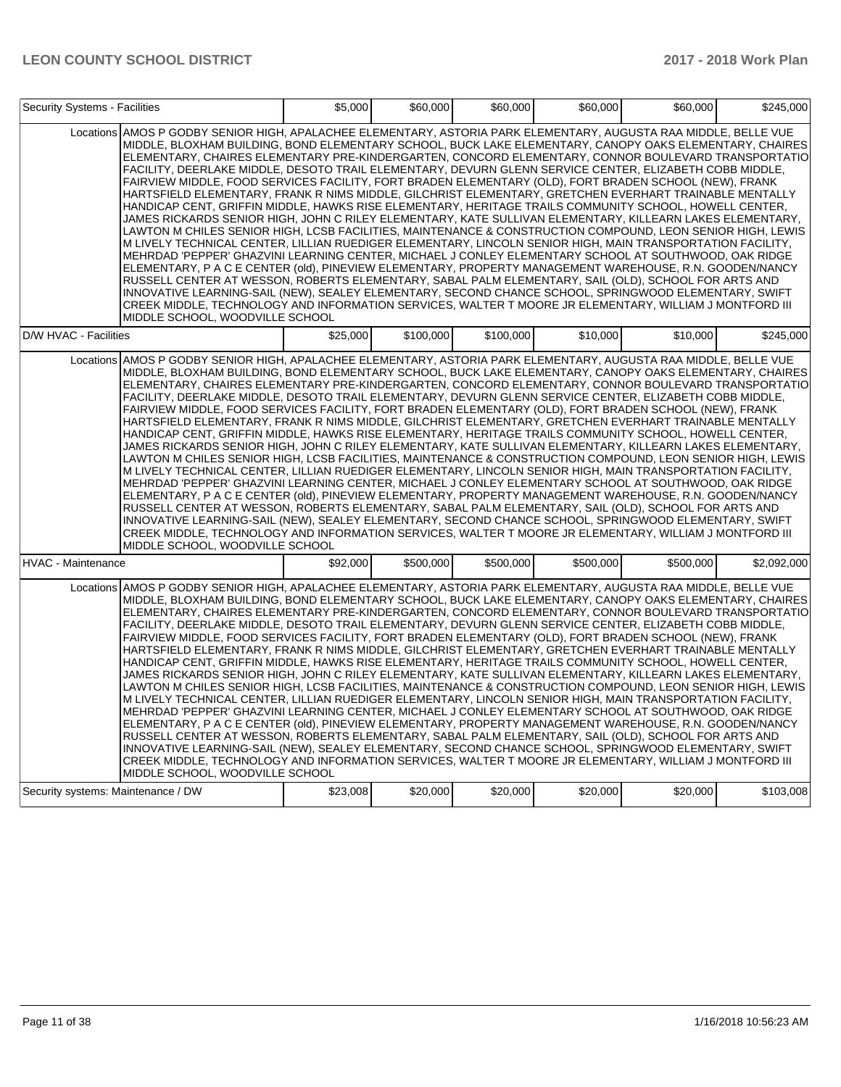|                                    | Security Systems - Facilities                                                                                                                                                                                                                                                                                                                                                                                                                                                                                                                                                                                                                                                                                                                                                                                                                                                                                                                                                                                                                                                                                                                                                                                                                                                                                                                                                                                                                                                                                                                                                                                                                                                                           |          | \$60,000<br>\$5,000 | \$60,000  | \$60,000  | \$60,000  | \$245,000   |
|------------------------------------|---------------------------------------------------------------------------------------------------------------------------------------------------------------------------------------------------------------------------------------------------------------------------------------------------------------------------------------------------------------------------------------------------------------------------------------------------------------------------------------------------------------------------------------------------------------------------------------------------------------------------------------------------------------------------------------------------------------------------------------------------------------------------------------------------------------------------------------------------------------------------------------------------------------------------------------------------------------------------------------------------------------------------------------------------------------------------------------------------------------------------------------------------------------------------------------------------------------------------------------------------------------------------------------------------------------------------------------------------------------------------------------------------------------------------------------------------------------------------------------------------------------------------------------------------------------------------------------------------------------------------------------------------------------------------------------------------------|----------|---------------------|-----------|-----------|-----------|-------------|
|                                    | Locations AMOS P GODBY SENIOR HIGH, APALACHEE ELEMENTARY, ASTORIA PARK ELEMENTARY, AUGUSTA RAA MIDDLE, BELLE VUE<br>MIDDLE, BLOXHAM BUILDING, BOND ELEMENTARY SCHOOL, BUCK LAKE ELEMENTARY, CANOPY OAKS ELEMENTARY, CHAIRES<br>ELEMENTARY, CHAIRES ELEMENTARY PRE-KINDERGARTEN, CONCORD ELEMENTARY, CONNOR BOULEVARD TRANSPORTATIO<br>FACILITY, DEERLAKE MIDDLE, DESOTO TRAIL ELEMENTARY, DEVURN GLENN SERVICE CENTER, ELIZABETH COBB MIDDLE,<br>FAIRVIEW MIDDLE, FOOD SERVICES FACILITY, FORT BRADEN ELEMENTARY (OLD), FORT BRADEN SCHOOL (NEW), FRANK<br>HARTSFIELD ELEMENTARY, FRANK R NIMS MIDDLE, GILCHRIST ELEMENTARY, GRETCHEN EVERHART TRAINABLE MENTALLY<br>HANDICAP CENT, GRIFFIN MIDDLE, HAWKS RISE ELEMENTARY, HERITAGE TRAILS COMMUNITY SCHOOL, HOWELL CENTER,<br>JAMES RICKARDS SENIOR HIGH, JOHN C RILEY ELEMENTARY, KATE SULLIVAN ELEMENTARY, KILLEARN LAKES ELEMENTARY,<br>LAWTON M CHILES SENIOR HIGH, LCSB FACILITIES, MAINTENANCE & CONSTRUCTION COMPOUND, LEON SENIOR HIGH, LEWIS<br>M LIVELY TECHNICAL CENTER, LILLIAN RUEDIGER ELEMENTARY, LINCOLN SENIOR HIGH, MAIN TRANSPORTATION FACILITY,<br>MEHRDAD 'PEPPER' GHAZVINI LEARNING CENTER, MICHAEL J CONLEY ELEMENTARY SCHOOL AT SOUTHWOOD, OAK RIDGE<br>ELEMENTARY, P A C E CENTER (old), PINEVIEW ELEMENTARY, PROPERTY MANAGEMENT WAREHOUSE, R.N. GOODEN/NANCY<br>RUSSELL CENTER AT WESSON, ROBERTS ELEMENTARY, SABAL PALM ELEMENTARY, SAIL (OLD), SCHOOL FOR ARTS AND<br>INNOVATIVE LEARNING-SAIL (NEW), SEALEY ELEMENTARY, SECOND CHANCE SCHOOL, SPRINGWOOD ELEMENTARY, SWIFT<br>CREEK MIDDLE, TECHNOLOGY AND INFORMATION SERVICES, WALTER T MOORE JR ELEMENTARY, WILLIAM J MONTFORD III<br>MIDDLE SCHOOL, WOODVILLE SCHOOL |          |                     |           |           |           |             |
| D/W HVAC - Facilities              |                                                                                                                                                                                                                                                                                                                                                                                                                                                                                                                                                                                                                                                                                                                                                                                                                                                                                                                                                                                                                                                                                                                                                                                                                                                                                                                                                                                                                                                                                                                                                                                                                                                                                                         | \$25,000 | \$100,000           | \$100,000 | \$10,000  | \$10,000  | \$245,000   |
|                                    | Locations AMOS P GODBY SENIOR HIGH, APALACHEE ELEMENTARY, ASTORIA PARK ELEMENTARY, AUGUSTA RAA MIDDLE, BELLE VUE<br>MIDDLE, BLOXHAM BUILDING, BOND ELEMENTARY SCHOOL, BUCK LAKE ELEMENTARY, CANOPY OAKS ELEMENTARY, CHAIRES<br>ELEMENTARY, CHAIRES ELEMENTARY PRE-KINDERGARTEN, CONCORD ELEMENTARY, CONNOR BOULEVARD TRANSPORTATIO<br>FACILITY, DEERLAKE MIDDLE, DESOTO TRAIL ELEMENTARY, DEVURN GLENN SERVICE CENTER, ELIZABETH COBB MIDDLE,<br>FAIRVIEW MIDDLE, FOOD SERVICES FACILITY, FORT BRADEN ELEMENTARY (OLD), FORT BRADEN SCHOOL (NEW), FRANK<br>HARTSFIELD ELEMENTARY, FRANK R NIMS MIDDLE, GILCHRIST ELEMENTARY, GRETCHEN EVERHART TRAINABLE MENTALLY<br>HANDICAP CENT, GRIFFIN MIDDLE, HAWKS RISE ELEMENTARY, HERITAGE TRAILS COMMUNITY SCHOOL, HOWELL CENTER,<br>JAMES RICKARDS SENIOR HIGH, JOHN C RILEY ELEMENTARY, KATE SULLIVAN ELEMENTARY, KILLEARN LAKES ELEMENTARY,<br>LAWTON M CHILES SENIOR HIGH, LCSB FACILITIES, MAINTENANCE & CONSTRUCTION COMPOUND, LEON SENIOR HIGH, LEWIS<br>M LIVELY TECHNICAL CENTER, LILLIAN RUEDIGER ELEMENTARY, LINCOLN SENIOR HIGH, MAIN TRANSPORTATION FACILITY,<br>MEHRDAD 'PEPPER' GHAZVINI LEARNING CENTER, MICHAEL J CONLEY ELEMENTARY SCHOOL AT SOUTHWOOD, OAK RIDGE<br>ELEMENTARY, P A C E CENTER (old), PINEVIEW ELEMENTARY, PROPERTY MANAGEMENT WAREHOUSE, R.N. GOODEN/NANCY<br>RUSSELL CENTER AT WESSON, ROBERTS ELEMENTARY, SABAL PALM ELEMENTARY, SAIL (OLD), SCHOOL FOR ARTS AND<br>INNOVATIVE LEARNING-SAIL (NEW), SEALEY ELEMENTARY, SECOND CHANCE SCHOOL, SPRINGWOOD ELEMENTARY, SWIFT<br>CREEK MIDDLE, TECHNOLOGY AND INFORMATION SERVICES, WALTER T MOORE JR ELEMENTARY, WILLIAM J MONTFORD III<br>MIDDLE SCHOOL, WOODVILLE SCHOOL |          |                     |           |           |           |             |
| <b>HVAC - Maintenance</b>          |                                                                                                                                                                                                                                                                                                                                                                                                                                                                                                                                                                                                                                                                                                                                                                                                                                                                                                                                                                                                                                                                                                                                                                                                                                                                                                                                                                                                                                                                                                                                                                                                                                                                                                         | \$92,000 | \$500,000           | \$500.000 | \$500,000 | \$500.000 | \$2.092.000 |
|                                    | Locations AMOS P GODBY SENIOR HIGH, APALACHEE ELEMENTARY, ASTORIA PARK ELEMENTARY, AUGUSTA RAA MIDDLE, BELLE VUE<br>MIDDLE, BLOXHAM BUILDING, BOND ELEMENTARY SCHOOL, BUCK LAKE ELEMENTARY, CANOPY OAKS ELEMENTARY, CHAIRES<br>ELEMENTARY, CHAIRES ELEMENTARY PRE-KINDERGARTEN, CONCORD ELEMENTARY, CONNOR BOULEVARD TRANSPORTATIO<br>FACILITY, DEERLAKE MIDDLE, DESOTO TRAIL ELEMENTARY, DEVURN GLENN SERVICE CENTER, ELIZABETH COBB MIDDLE,<br>FAIRVIEW MIDDLE, FOOD SERVICES FACILITY, FORT BRADEN ELEMENTARY (OLD), FORT BRADEN SCHOOL (NEW), FRANK<br>HARTSFIELD ELEMENTARY, FRANK R NIMS MIDDLE, GILCHRIST ELEMENTARY, GRETCHEN EVERHART TRAINABLE MENTALLY<br>HANDICAP CENT, GRIFFIN MIDDLE, HAWKS RISE ELEMENTARY, HERITAGE TRAILS COMMUNITY SCHOOL, HOWELL CENTER,<br>JAMES RICKARDS SENIOR HIGH, JOHN C RILEY ELEMENTARY, KATE SULLIVAN ELEMENTARY, KILLEARN LAKES ELEMENTARY,<br>LAWTON M CHILES SENIOR HIGH, LCSB FACILITIES, MAINTENANCE & CONSTRUCTION COMPOUND, LEON SENIOR HIGH, LEWIS<br>M LIVELY TECHNICAL CENTER, LILLIAN RUEDIGER ELEMENTARY, LINCOLN SENIOR HIGH, MAIN TRANSPORTATION FACILITY,<br>MEHRDAD 'PEPPER' GHAZVINI LEARNING CENTER, MICHAEL J CONLEY ELEMENTARY SCHOOL AT SOUTHWOOD, OAK RIDGE<br>ELEMENTARY, P A C E CENTER (old), PINEVIEW ELEMENTARY, PROPERTY MANAGEMENT WAREHOUSE, R.N. GOODEN/NANCY<br>RUSSELL CENTER AT WESSON, ROBERTS ELEMENTARY, SABAL PALM ELEMENTARY, SAIL (OLD), SCHOOL FOR ARTS AND<br>INNOVATIVE LEARNING-SAIL (NEW), SEALEY ELEMENTARY, SECOND CHANCE SCHOOL, SPRINGWOOD ELEMENTARY, SWIFT<br>CREEK MIDDLE, TECHNOLOGY AND INFORMATION SERVICES, WALTER T MOORE JR ELEMENTARY, WILLIAM J MONTFORD III<br>MIDDLE SCHOOL, WOODVILLE SCHOOL |          |                     |           |           |           |             |
| Security systems: Maintenance / DW |                                                                                                                                                                                                                                                                                                                                                                                                                                                                                                                                                                                                                                                                                                                                                                                                                                                                                                                                                                                                                                                                                                                                                                                                                                                                                                                                                                                                                                                                                                                                                                                                                                                                                                         | \$23,008 | \$20,000            | \$20,000  | \$20,000  | \$20,000  | \$103,008   |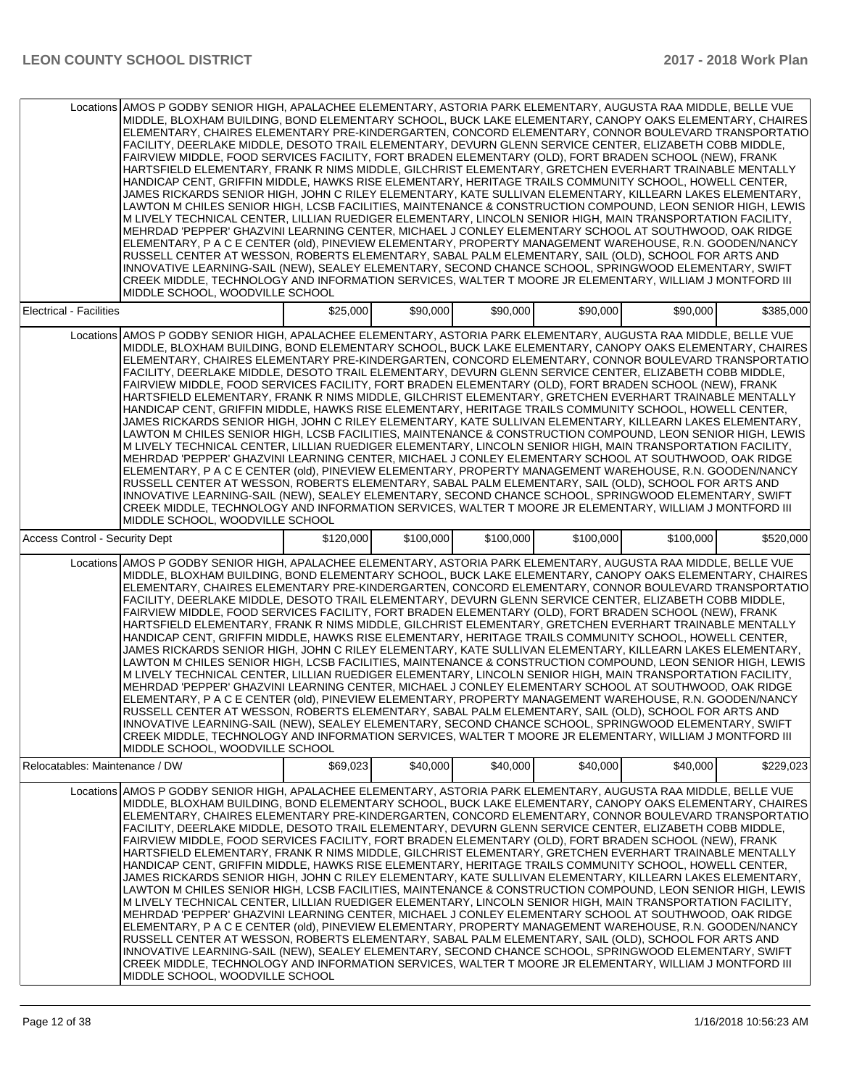|                                | Locations AMOS P GODBY SENIOR HIGH, APALACHEE ELEMENTARY, ASTORIA PARK ELEMENTARY, AUGUSTA RAA MIDDLE, BELLE VUE<br>MIDDLE, BLOXHAM BUILDING, BOND ELEMENTARY SCHOOL, BUCK LAKE ELEMENTARY, CANOPY OAKS ELEMENTARY, CHAIRES<br>ELEMENTARY, CHAIRES ELEMENTARY PRE-KINDERGARTEN, CONCORD ELEMENTARY, CONNOR BOULEVARD TRANSPORTATIO<br>FACILITY, DEERLAKE MIDDLE, DESOTO TRAIL ELEMENTARY, DEVURN GLENN SERVICE CENTER, ELIZABETH COBB MIDDLE,<br>FAIRVIEW MIDDLE, FOOD SERVICES FACILITY, FORT BRADEN ELEMENTARY (OLD), FORT BRADEN SCHOOL (NEW), FRANK<br>HARTSFIELD ELEMENTARY, FRANK R NIMS MIDDLE, GILCHRIST ELEMENTARY, GRETCHEN EVERHART TRAINABLE MENTALLY<br>HANDICAP CENT, GRIFFIN MIDDLE, HAWKS RISE ELEMENTARY, HERITAGE TRAILS COMMUNITY SCHOOL, HOWELL CENTER,<br>JAMES RICKARDS SENIOR HIGH, JOHN C RILEY ELEMENTARY, KATE SULLIVAN ELEMENTARY, KILLEARN LAKES ELEMENTARY,<br>LAWTON M CHILES SENIOR HIGH, LCSB FACILITIES, MAINTENANCE & CONSTRUCTION COMPOUND, LEON SENIOR HIGH, LEWIS<br>M LIVELY TECHNICAL CENTER, LILLIAN RUEDIGER ELEMENTARY, LINCOLN SENIOR HIGH, MAIN TRANSPORTATION FACILITY,<br>MEHRDAD 'PEPPER' GHAZVINI LEARNING CENTER, MICHAEL J CONLEY ELEMENTARY SCHOOL AT SOUTHWOOD, OAK RIDGE<br>ELEMENTARY, P A C E CENTER (old), PINEVIEW ELEMENTARY, PROPERTY MANAGEMENT WAREHOUSE, R.N. GOODEN/NANCY<br>RUSSELL CENTER AT WESSON, ROBERTS ELEMENTARY, SABAL PALM ELEMENTARY, SAIL (OLD), SCHOOL FOR ARTS AND<br>INNOVATIVE LEARNING-SAIL (NEW), SEALEY ELEMENTARY, SECOND CHANCE SCHOOL, SPRINGWOOD ELEMENTARY, SWIFT<br>CREEK MIDDLE, TECHNOLOGY AND INFORMATION SERVICES, WALTER T MOORE JR ELEMENTARY, WILLIAM J MONTFORD III<br>MIDDLE SCHOOL, WOODVILLE SCHOOL |           |           |           |           |           |           |
|--------------------------------|---------------------------------------------------------------------------------------------------------------------------------------------------------------------------------------------------------------------------------------------------------------------------------------------------------------------------------------------------------------------------------------------------------------------------------------------------------------------------------------------------------------------------------------------------------------------------------------------------------------------------------------------------------------------------------------------------------------------------------------------------------------------------------------------------------------------------------------------------------------------------------------------------------------------------------------------------------------------------------------------------------------------------------------------------------------------------------------------------------------------------------------------------------------------------------------------------------------------------------------------------------------------------------------------------------------------------------------------------------------------------------------------------------------------------------------------------------------------------------------------------------------------------------------------------------------------------------------------------------------------------------------------------------------------------------------------------------|-----------|-----------|-----------|-----------|-----------|-----------|
| <b>Electrical - Facilities</b> |                                                                                                                                                                                                                                                                                                                                                                                                                                                                                                                                                                                                                                                                                                                                                                                                                                                                                                                                                                                                                                                                                                                                                                                                                                                                                                                                                                                                                                                                                                                                                                                                                                                                                                         | \$25,000  | \$90,000  | \$90,000  | \$90,000  | \$90,000  | \$385,000 |
|                                | Locations AMOS P GODBY SENIOR HIGH, APALACHEE ELEMENTARY, ASTORIA PARK ELEMENTARY, AUGUSTA RAA MIDDLE, BELLE VUE<br>MIDDLE, BLOXHAM BUILDING, BOND ELEMENTARY SCHOOL, BUCK LAKE ELEMENTARY, CANOPY OAKS ELEMENTARY, CHAIRES<br>ELEMENTARY, CHAIRES ELEMENTARY PRE-KINDERGARTEN, CONCORD ELEMENTARY, CONNOR BOULEVARD TRANSPORTATIO<br>FACILITY, DEERLAKE MIDDLE, DESOTO TRAIL ELEMENTARY, DEVURN GLENN SERVICE CENTER, ELIZABETH COBB MIDDLE,<br>FAIRVIEW MIDDLE, FOOD SERVICES FACILITY, FORT BRADEN ELEMENTARY (OLD), FORT BRADEN SCHOOL (NEW), FRANK<br>HARTSFIELD ELEMENTARY, FRANK R NIMS MIDDLE, GILCHRIST ELEMENTARY, GRETCHEN EVERHART TRAINABLE MENTALLY<br>HANDICAP CENT, GRIFFIN MIDDLE, HAWKS RISE ELEMENTARY, HERITAGE TRAILS COMMUNITY SCHOOL, HOWELL CENTER,<br>JAMES RICKARDS SENIOR HIGH, JOHN C RILEY ELEMENTARY, KATE SULLIVAN ELEMENTARY, KILLEARN LAKES ELEMENTARY,<br>LAWTON M CHILES SENIOR HIGH, LCSB FACILITIES, MAINTENANCE & CONSTRUCTION COMPOUND, LEON SENIOR HIGH, LEWIS<br>M LIVELY TECHNICAL CENTER, LILLIAN RUEDIGER ELEMENTARY, LINCOLN SENIOR HIGH, MAIN TRANSPORTATION FACILITY,<br>MEHRDAD 'PEPPER' GHAZVINI LEARNING CENTER, MICHAEL J CONLEY ELEMENTARY SCHOOL AT SOUTHWOOD, OAK RIDGE<br>ELEMENTARY, P A C E CENTER (old), PINEVIEW ELEMENTARY, PROPERTY MANAGEMENT WAREHOUSE, R.N. GOODEN/NANCY<br>RUSSELL CENTER AT WESSON, ROBERTS ELEMENTARY, SABAL PALM ELEMENTARY, SAIL (OLD), SCHOOL FOR ARTS AND<br>INNOVATIVE LEARNING-SAIL (NEW), SEALEY ELEMENTARY, SECOND CHANCE SCHOOL, SPRINGWOOD ELEMENTARY, SWIFT<br>CREEK MIDDLE, TECHNOLOGY AND INFORMATION SERVICES, WALTER T MOORE JR ELEMENTARY, WILLIAM J MONTFORD III<br>MIDDLE SCHOOL, WOODVILLE SCHOOL |           |           |           |           |           |           |
| Access Control - Security Dept |                                                                                                                                                                                                                                                                                                                                                                                                                                                                                                                                                                                                                                                                                                                                                                                                                                                                                                                                                                                                                                                                                                                                                                                                                                                                                                                                                                                                                                                                                                                                                                                                                                                                                                         | \$120,000 | \$100,000 | \$100,000 | \$100,000 | \$100,000 | \$520,000 |
|                                | Locations AMOS P GODBY SENIOR HIGH, APALACHEE ELEMENTARY, ASTORIA PARK ELEMENTARY, AUGUSTA RAA MIDDLE, BELLE VUE<br>MIDDLE, BLOXHAM BUILDING, BOND ELEMENTARY SCHOOL, BUCK LAKE ELEMENTARY, CANOPY OAKS ELEMENTARY, CHAIRES<br>ELEMENTARY, CHAIRES ELEMENTARY PRE-KINDERGARTEN, CONCORD ELEMENTARY, CONNOR BOULEVARD TRANSPORTATIO<br>FACILITY, DEERLAKE MIDDLE, DESOTO TRAIL ELEMENTARY, DEVURN GLENN SERVICE CENTER, ELIZABETH COBB MIDDLE,<br>FAIRVIEW MIDDLE, FOOD SERVICES FACILITY, FORT BRADEN ELEMENTARY (OLD), FORT BRADEN SCHOOL (NEW), FRANK<br>HARTSFIELD ELEMENTARY, FRANK R NIMS MIDDLE, GILCHRIST ELEMENTARY, GRETCHEN EVERHART TRAINABLÉ MENTALLY<br>HANDICAP CENT, GRIFFIN MIDDLE, HAWKS RISE ELEMENTARY, HERITAGE TRAILS COMMUNITY SCHOOL, HOWELL CENTER,<br>JAMES RICKARDS SENIOR HIGH, JOHN C RILEY ELEMENTARY, KATE SULLIVAN ELEMENTARY, KILLEARN LAKES ELEMENTARY,<br>LAWTON M CHILES SENIOR HIGH, LCSB FACILITIES, MAINTENANCE & CONSTRUCTION COMPOUND, LEON SENIOR HIGH, LEWIS<br>M LIVELY TECHNICAL CENTER, LILLIAN RUEDIGER ELEMENTARY, LINCOLN SENIOR HIGH, MAIN TRANSPORTATION FACILITY,<br>MEHRDAD 'PEPPER' GHAZVINI LEARNING CENTER, MICHAEL J CONLEY ELEMENTARY SCHOOL AT SOUTHWOOD, OAK RIDGE<br>ELEMENTARY, P A C E CENTER (old), PINEVIEW ELEMENTARY, PROPERTY MANAGEMENT WAREHOUSE, R.N. GOODEN/NANCY<br>RUSSELL CENTER AT WESSON, ROBERTS ELEMENTARY, SABAL PALM ELEMENTARY, SAIL (OLD), SCHOOL FOR ARTS AND<br>INNOVATIVE LEARNING-SAIL (NEW), SEALEY ELEMENTARY, SECOND CHANCE SCHOOL, SPRINGWOOD ELEMENTARY, SWIFT<br>CREEK MIDDLE. TECHNOLOGY AND INFORMATION SERVICES. WALTER T MOORE JR ELEMENTARY. WILLIAM J MONTFORD III<br>MIDDLE SCHOOL, WOODVILLE SCHOOL |           |           |           |           |           |           |
| Relocatables: Maintenance / DW |                                                                                                                                                                                                                                                                                                                                                                                                                                                                                                                                                                                                                                                                                                                                                                                                                                                                                                                                                                                                                                                                                                                                                                                                                                                                                                                                                                                                                                                                                                                                                                                                                                                                                                         | \$69,023  | \$40,000  | \$40,000  | \$40,000  | \$40,000  | \$229,023 |
|                                | Locations AMOS P GODBY SENIOR HIGH, APALACHEE ELEMENTARY, ASTORIA PARK ELEMENTARY, AUGUSTA RAA MIDDLE, BELLE VUE<br>MIDDLE, BLOXHAM BUILDING, BOND ELEMENTARY SCHOOL, BUCK LAKE ELEMENTARY, CANOPY OAKS ELEMENTARY, CHAIRES<br>ELEMENTARY, CHAIRES ELEMENTARY PRE-KINDERGARTEN, CONCORD ELEMENTARY, CONNOR BOULEVARD TRANSPORTATIO<br>FACILITY, DEERLAKE MIDDLE, DESOTO TRAIL ELEMENTARY, DEVURN GLENN SERVICE CENTER, ELIZABETH COBB MIDDLE,<br>FAIRVIEW MIDDLE, FOOD SERVICES FACILITY, FORT BRADEN ELEMENTARY (OLD), FORT BRADEN SCHOOL (NEW), FRANK<br>HARTSFIELD ELEMENTARY, FRANK R NIMS MIDDLE, GILCHRIST ELEMENTARY, GRETCHEN EVERHART TRAINABLE MENTALLY<br>HANDICAP CENT, GRIFFIN MIDDLE, HAWKS RISE ELEMENTARY, HERITAGE TRAILS COMMUNITY SCHOOL, HOWELL CENTER,<br>JAMES RICKARDS SENIOR HIGH, JOHN C RILEY ELEMENTARY, KATE SULLIVAN ELEMENTARY, KILLEARN LAKES ELEMENTARY,<br>LAWTON M CHILES SENIOR HIGH, LCSB FACILITIES, MAINTENANCE & CONSTRUCTION COMPOUND, LEON SENIOR HIGH, LEWIS<br>M LIVELY TECHNICAL CENTER, LILLIAN RUEDIGER ELEMENTARY, LINCOLN SENIOR HIGH, MAIN TRANSPORTATION FACILITY,<br>MEHRDAD 'PEPPER' GHAZVINI LEARNING CENTER, MICHAEL J CONLEY ELEMENTARY SCHOOL AT SOUTHWOOD, OAK RIDGE<br>ELEMENTARY, P A C E CENTER (old), PINEVIEW ELEMENTARY, PROPERTY MANAGEMENT WAREHOUSE, R.N. GOODEN/NANCY<br>RUSSELL CENTER AT WESSON, ROBERTS ELEMENTARY, SABAL PALM ELEMENTARY, SAIL (OLD), SCHOOL FOR ARTS AND<br>INNOVATIVE LEARNING-SAIL (NEW), SEALEY ELEMENTARY, SECOND CHANCE SCHOOL, SPRINGWOOD ELEMENTARY, SWIFT<br>CREEK MIDDLE, TECHNOLOGY AND INFORMATION SERVICES, WALTER T MOORE JR ELEMENTARY, WILLIAM J MONTFORD III<br>MIDDLE SCHOOL, WOODVILLE SCHOOL |           |           |           |           |           |           |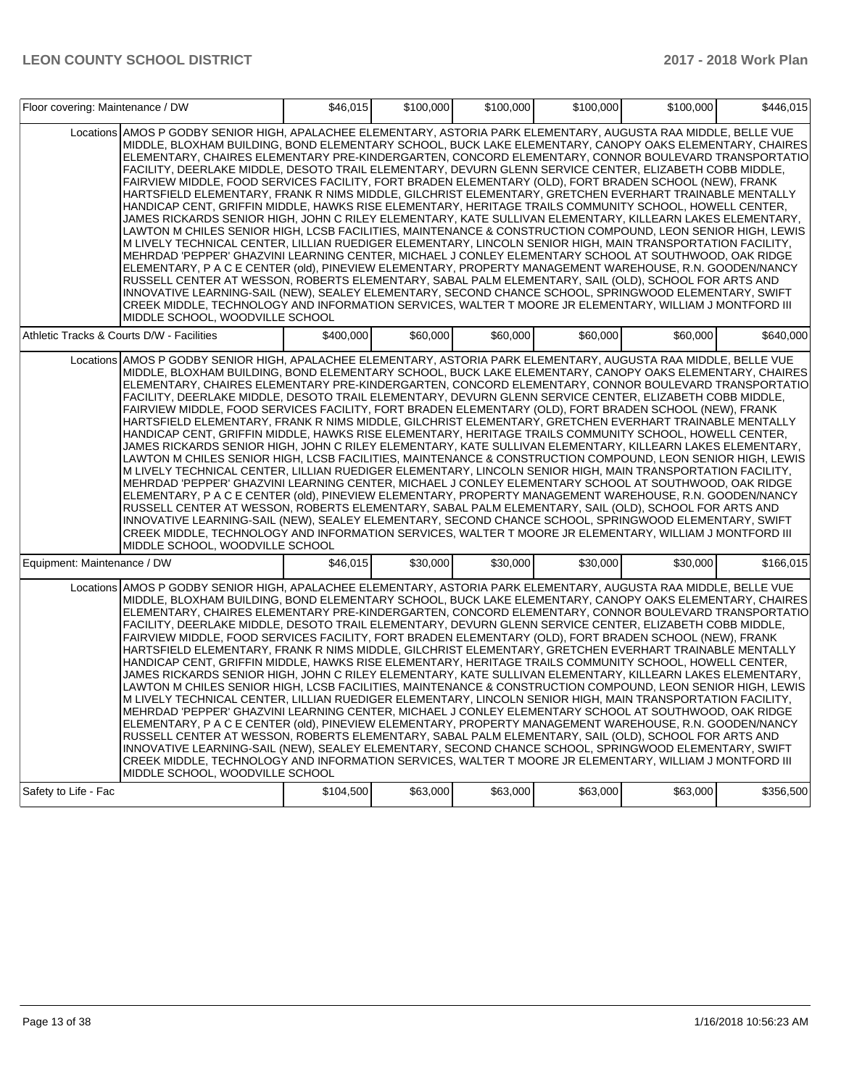|                             | Floor covering: Maintenance / DW                                                                                                                                                                                                                                                                                                                                                                                                                                                                                                                                                                                                                                                                                                                                                                                                                                                                                                                                                                                                                                                                                                                                                                                                                                                                                                                                                                                                                                                                                                                                                                                                                                                                        |           | \$46,015<br>\$100,000 | \$100,000 | \$100,000 | \$100,000 | \$446,015 |
|-----------------------------|---------------------------------------------------------------------------------------------------------------------------------------------------------------------------------------------------------------------------------------------------------------------------------------------------------------------------------------------------------------------------------------------------------------------------------------------------------------------------------------------------------------------------------------------------------------------------------------------------------------------------------------------------------------------------------------------------------------------------------------------------------------------------------------------------------------------------------------------------------------------------------------------------------------------------------------------------------------------------------------------------------------------------------------------------------------------------------------------------------------------------------------------------------------------------------------------------------------------------------------------------------------------------------------------------------------------------------------------------------------------------------------------------------------------------------------------------------------------------------------------------------------------------------------------------------------------------------------------------------------------------------------------------------------------------------------------------------|-----------|-----------------------|-----------|-----------|-----------|-----------|
|                             | Locations AMOS P GODBY SENIOR HIGH, APALACHEE ELEMENTARY, ASTORIA PARK ELEMENTARY, AUGUSTA RAA MIDDLE, BELLE VUE<br>MIDDLE, BLOXHAM BUILDING, BOND ELEMENTARY SCHOOL, BUCK LAKE ELEMENTARY, CANOPY OAKS ELEMENTARY, CHAIRES<br>ELEMENTARY, CHAIRES ELEMENTARY PRE-KINDERGARTEN, CONCORD ELEMENTARY, CONNOR BOULEVARD TRANSPORTATIO<br>FACILITY, DEERLAKE MIDDLE, DESOTO TRAIL ELEMENTARY, DEVURN GLENN SERVICE CENTER, ELIZABETH COBB MIDDLE,<br>FAIRVIEW MIDDLE, FOOD SERVICES FACILITY, FORT BRADEN ELEMENTARY (OLD), FORT BRADEN SCHOOL (NEW), FRANK<br>HARTSFIELD ELEMENTARY, FRANK R NIMS MIDDLE, GILCHRIST ELEMENTARY, GRETCHEN EVERHART TRAINABLE MENTALLY<br>HANDICAP CENT, GRIFFIN MIDDLE, HAWKS RISE ELEMENTARY, HERITAGE TRAILS COMMUNITY SCHOOL, HOWELL CENTER,<br>JAMES RICKARDS SENIOR HIGH, JOHN C RILEY ELEMENTARY, KATE SULLIVAN ELEMENTARY, KILLEARN LAKES ELEMENTARY,<br>LAWTON M CHILES SENIOR HIGH, LCSB FACILITIES, MAINTENANCE & CONSTRUCTION COMPOUND, LEON SENIOR HIGH, LEWIS<br>M LIVELY TECHNICAL CENTER, LILLIAN RUEDIGER ELEMENTARY, LINCOLN SENIOR HIGH, MAIN TRANSPORTATION FACILITY,<br>MEHRDAD 'PEPPER' GHAZVINI LEARNING CENTER, MICHAEL J CONLEY ELEMENTARY SCHOOL AT SOUTHWOOD, OAK RIDGE<br>ELEMENTARY, P A C E CENTER (old), PINEVIEW ELEMENTARY, PROPERTY MANAGEMENT WAREHOUSE, R.N. GOODEN/NANCY<br>RUSSELL CENTER AT WESSON, ROBERTS ELEMENTARY, SABAL PALM ELEMENTARY, SAIL (OLD), SCHOOL FOR ARTS AND<br>INNOVATIVE LEARNING-SAIL (NEW), SEALEY ELEMENTARY, SECOND CHANCE SCHOOL, SPRINGWOOD ELEMENTARY, SWIFT<br>CREEK MIDDLE, TECHNOLOGY AND INFORMATION SERVICES, WALTER T MOORE JR ELEMENTARY, WILLIAM J MONTFORD III<br>MIDDLE SCHOOL, WOODVILLE SCHOOL |           |                       |           |           |           |           |
|                             | Athletic Tracks & Courts D/W - Facilities                                                                                                                                                                                                                                                                                                                                                                                                                                                                                                                                                                                                                                                                                                                                                                                                                                                                                                                                                                                                                                                                                                                                                                                                                                                                                                                                                                                                                                                                                                                                                                                                                                                               | \$400,000 | \$60,000              | \$60,000  | \$60,000  | \$60,000  | \$640,000 |
|                             | Locations AMOS P GODBY SENIOR HIGH, APALACHEE ELEMENTARY, ASTORIA PARK ELEMENTARY, AUGUSTA RAA MIDDLE, BELLE VUE<br>MIDDLE, BLOXHAM BUILDING, BOND ELEMENTARY SCHOOL, BUCK LAKE ELEMENTARY, CANOPY OAKS ELEMENTARY, CHAIRES<br>ELEMENTARY, CHAIRES ELEMENTARY PRE-KINDERGARTEN, CONCORD ELEMENTARY, CONNOR BOULEVARD TRANSPORTATIO<br>FACILITY, DEERLAKE MIDDLE, DESOTO TRAIL ELEMENTARY, DEVURN GLENN SERVICE CENTER, ELIZABETH COBB MIDDLE,<br>FAIRVIEW MIDDLE, FOOD SERVICES FACILITY, FORT BRADEN ELEMENTARY (OLD), FORT BRADEN SCHOOL (NEW), FRANK<br>HARTSFIELD ELEMENTARY, FRANK R NIMS MIDDLE, GILCHRIST ELEMENTARY, GRETCHEN EVERHART TRAINABLE MENTALLY<br>HANDICAP CENT, GRIFFIN MIDDLE, HAWKS RISE ELEMENTARY, HERITAGE TRAILS COMMUNITY SCHOOL, HOWELL CENTER,<br>JAMES RICKARDS SENIOR HIGH, JOHN C RILEY ELEMENTARY, KATE SULLIVAN ELEMENTARY, KILLEARN LAKES ELEMENTARY,<br>LAWTON M CHILES SENIOR HIGH, LCSB FACILITIES, MAINTENANCE & CONSTRUCTION COMPOUND, LEON SENIOR HIGH, LEWIS<br>M LIVELY TECHNICAL CENTER, LILLIAN RUEDIGER ELEMENTARY, LINCOLN SENIOR HIGH, MAIN TRANSPORTATION FACILITY,<br>MEHRDAD 'PEPPER' GHAZVINI LEARNING CENTER, MICHAEL J CONLEY ELEMENTARY SCHOOL AT SOUTHWOOD, OAK RIDGE<br>ELEMENTARY, P A C E CENTER (old), PINEVIEW ELEMENTARY, PROPERTY MANAGEMENT WAREHOUSE, R.N. GOODEN/NANCY<br>RUSSELL CENTER AT WESSON, ROBERTS ELEMENTARY, SABAL PALM ELEMENTARY, SAIL (OLD), SCHOOL FOR ARTS AND<br>INNOVATIVE LEARNING-SAIL (NEW), SEALEY ELEMENTARY, SECOND CHANCE SCHOOL, SPRINGWOOD ELEMENTARY, SWIFT<br>CREEK MIDDLE, TECHNOLOGY AND INFORMATION SERVICES, WALTER T MOORE JR ELEMENTARY, WILLIAM J MONTFORD III<br>MIDDLE SCHOOL, WOODVILLE SCHOOL |           |                       |           |           |           |           |
| Equipment: Maintenance / DW |                                                                                                                                                                                                                                                                                                                                                                                                                                                                                                                                                                                                                                                                                                                                                                                                                                                                                                                                                                                                                                                                                                                                                                                                                                                                                                                                                                                                                                                                                                                                                                                                                                                                                                         | \$46,015  | \$30,000              | \$30,000  | \$30,000  | \$30,000  | \$166,015 |
|                             | Locations AMOS P GODBY SENIOR HIGH, APALACHEE ELEMENTARY, ASTORIA PARK ELEMENTARY, AUGUSTA RAA MIDDLE, BELLE VUE<br>MIDDLE, BLOXHAM BUILDING, BOND ELEMENTARY SCHOOL, BUCK LAKE ELEMENTARY, CANOPY OAKS ELEMENTARY, CHAIRES<br>ELEMENTARY, CHAIRES ELEMENTARY PRE-KINDERGARTEN, CONCORD ELEMENTARY, CONNOR BOULEVARD TRANSPORTATIO<br>FACILITY, DEERLAKE MIDDLE, DESOTO TRAIL ELEMENTARY, DEVURN GLENN SERVICE CENTER, ELIZABETH COBB MIDDLE,<br>FAIRVIEW MIDDLE, FOOD SERVICES FACILITY, FORT BRADEN ELEMENTARY (OLD), FORT BRADEN SCHOOL (NEW), FRANK<br>HARTSFIELD ELEMENTARY, FRANK R NIMS MIDDLE, GILCHRIST ELEMENTARY, GRETCHEN EVERHART TRAINABLE MENTALLY<br>HANDICAP CENT, GRIFFIN MIDDLE, HAWKS RISE ELEMENTARY, HERITAGE TRAILS COMMUNITY SCHOOL, HOWELL CENTER,<br>JAMES RICKARDS SENIOR HIGH, JOHN C RILEY ELEMENTARY, KATE SULLIVAN ELEMENTARY, KILLEARN LAKES ELEMENTARY,<br>LAWTON M CHILES SENIOR HIGH, LCSB FACILITIES, MAINTENANCE & CONSTRUCTION COMPOUND, LEON SENIOR HIGH, LEWIS<br>M LIVELY TECHNICAL CENTER, LILLIAN RUEDIGER ELEMENTARY, LINCOLN SENIOR HIGH, MAIN TRANSPORTATION FACILITY,<br>MEHRDAD 'PEPPER' GHAZVINI LEARNING CENTER, MICHAEL J CONLEY ELEMENTARY SCHOOL AT SOUTHWOOD, OAK RIDGE<br>ELEMENTARY, P A C E CENTER (old), PINEVIEW ELEMENTARY, PROPERTY MANAGEMENT WAREHOUSE, R.N. GOODEN/NANCY<br>RUSSELL CENTER AT WESSON, ROBERTS ELEMENTARY, SABAL PALM ELEMENTARY, SAIL (OLD), SCHOOL FOR ARTS AND<br>INNOVATIVE LEARNING-SAIL (NEW), SEALEY ELEMENTARY, SECOND CHANCE SCHOOL, SPRINGWOOD ELEMENTARY, SWIFT<br>CREEK MIDDLE, TECHNOLOGY AND INFORMATION SERVICES, WALTER T MOORE JR ELEMENTARY, WILLIAM J MONTFORD III<br>MIDDLE SCHOOL, WOODVILLE SCHOOL |           |                       |           |           |           |           |
| Safety to Life - Fac        |                                                                                                                                                                                                                                                                                                                                                                                                                                                                                                                                                                                                                                                                                                                                                                                                                                                                                                                                                                                                                                                                                                                                                                                                                                                                                                                                                                                                                                                                                                                                                                                                                                                                                                         | \$104,500 | \$63,000              | \$63,000  | \$63,000  | \$63,000  | \$356,500 |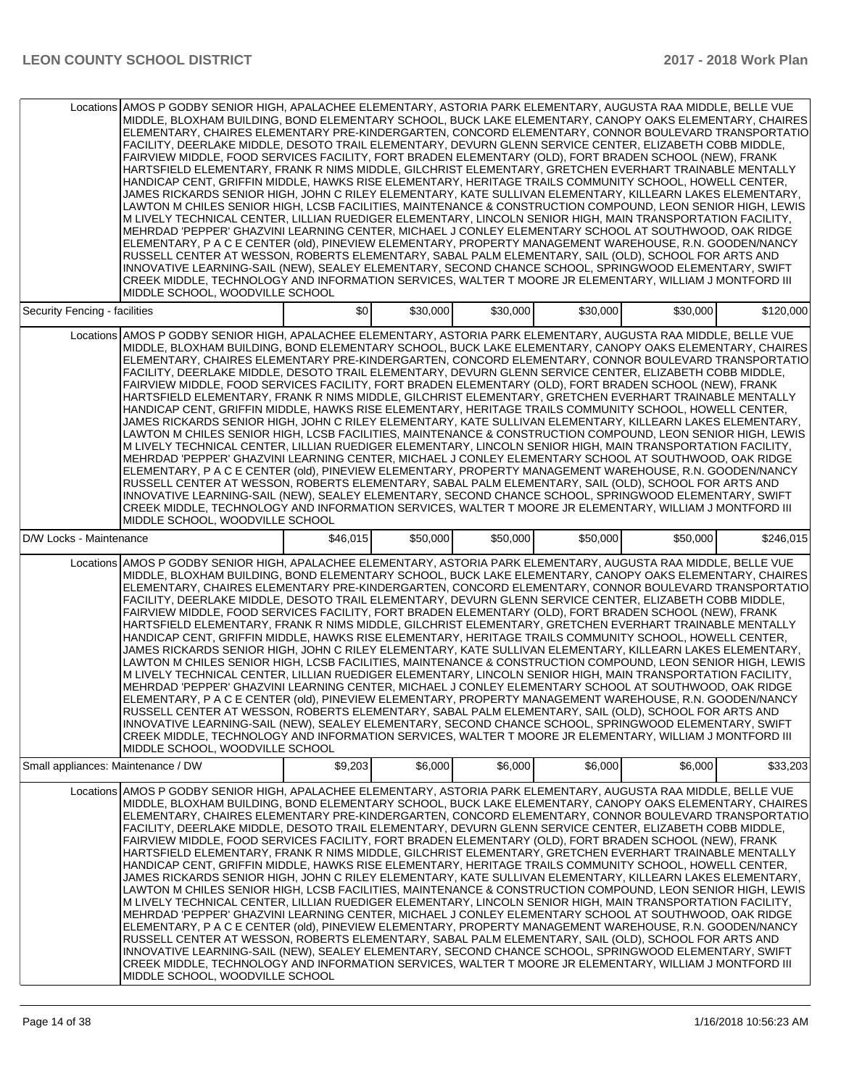|                                    | Locations AMOS P GODBY SENIOR HIGH, APALACHEE ELEMENTARY, ASTORIA PARK ELEMENTARY, AUGUSTA RAA MIDDLE, BELLE VUE<br>MIDDLE, BLOXHAM BUILDING, BOND ELEMENTARY SCHOOL, BUCK LAKE ELEMENTARY, CANOPY OAKS ELEMENTARY, CHAIRES<br>ELEMENTARY, CHAIRES ELEMENTARY PRE-KINDERGARTEN, CONCORD ELEMENTARY, CONNOR BOULEVARD TRANSPORTATIO<br>FACILITY. DEERLAKE MIDDLE, DESOTO TRAIL ELEMENTARY, DEVURN GLENN SERVICE CENTER, ELIZABETH COBB MIDDLE.<br>FAIRVIEW MIDDLE, FOOD SERVICES FACILITY, FORT BRADEN ELEMENTARY (OLD), FORT BRADEN SCHOOL (NEW), FRANK<br>HARTSFIELD ELEMENTARY, FRANK R NIMS MIDDLE, GILCHRIST ELEMENTARY, GRETCHEN EVERHART TRAINABLE MENTALLY<br>HANDICAP CENT, GRIFFIN MIDDLE, HAWKS RISE ELEMENTARY, HERITAGE TRAILS COMMUNITY SCHOOL, HOWELL CENTER,<br>JAMES RICKARDS SENIOR HIGH, JOHN C RILEY ELEMENTARY, KATE SULLIVAN ELEMENTARY, KILLEARN LAKES ELEMENTARY,<br>LAWTON M CHILES SENIOR HIGH, LCSB FACILITIES, MAINTENANCE & CONSTRUCTION COMPOUND, LEON SENIOR HIGH, LEWIS<br>M LIVELY TECHNICAL CENTER, LILLIAN RUEDIGER ELEMENTARY, LINCOLN SENIOR HIGH, MAIN TRANSPORTATION FACILITY,<br>MEHRDAD 'PEPPER' GHAZVINI LEARNING CENTER, MICHAEL J CONLEY ELEMENTARY SCHOOL AT SOUTHWOOD, OAK RIDGE<br>ELEMENTARY, P A C E CENTER (old), PINEVIEW ELEMENTARY, PROPERTY MANAGEMENT WAREHOUSE, R.N. GOODEN/NANCY<br>RUSSELL CENTER AT WESSON, ROBERTS ELEMENTARY, SABAL PALM ELEMENTARY, SAIL (OLD), SCHOOL FOR ARTS AND<br>INNOVATIVE LEARNING-SAIL (NEW), SEALEY ELEMENTARY, SECOND CHANCE SCHOOL, SPRINGWOOD ELEMENTARY, SWIFT<br>CREEK MIDDLE, TECHNOLOGY AND INFORMATION SERVICES, WALTER T MOORE JR ELEMENTARY, WILLIAM J MONTFORD III<br>MIDDLE SCHOOL. WOODVILLE SCHOOL   |          |          |          |          |          |           |
|------------------------------------|-----------------------------------------------------------------------------------------------------------------------------------------------------------------------------------------------------------------------------------------------------------------------------------------------------------------------------------------------------------------------------------------------------------------------------------------------------------------------------------------------------------------------------------------------------------------------------------------------------------------------------------------------------------------------------------------------------------------------------------------------------------------------------------------------------------------------------------------------------------------------------------------------------------------------------------------------------------------------------------------------------------------------------------------------------------------------------------------------------------------------------------------------------------------------------------------------------------------------------------------------------------------------------------------------------------------------------------------------------------------------------------------------------------------------------------------------------------------------------------------------------------------------------------------------------------------------------------------------------------------------------------------------------------------------------------------------------------|----------|----------|----------|----------|----------|-----------|
| Security Fencing - facilities      |                                                                                                                                                                                                                                                                                                                                                                                                                                                                                                                                                                                                                                                                                                                                                                                                                                                                                                                                                                                                                                                                                                                                                                                                                                                                                                                                                                                                                                                                                                                                                                                                                                                                                                           | \$0      | \$30,000 | \$30,000 | \$30,000 | \$30,000 | \$120,000 |
|                                    | Locations AMOS P GODBY SENIOR HIGH, APALACHEE ELEMENTARY, ASTORIA PARK ELEMENTARY, AUGUSTA RAA MIDDLE, BELLE VUE<br>MIDDLE, BLOXHAM BUILDING, BOND ELEMENTARY SCHOOL, BUCK LAKE ELEMENTARY, CANOPY OAKS ELEMENTARY, CHAIRES<br>ELEMENTARY, CHAIRES ELEMENTARY PRE-KINDERGARTEN, CONCORD ELEMENTARY, CONNOR BOULEVARD TRANSPORTATIO<br>FACILITY, DEERLAKE MIDDLE, DESOTO TRAIL ELEMENTARY, DEVURN GLENN SERVICE CENTER, ELIZABETH COBB MIDDLE,<br>FAIRVIEW MIDDLE, FOOD SERVICES FACILITY, FORT BRADEN ELEMENTARY (OLD), FORT BRADEN SCHOOL (NEW), FRANK<br>HARTSFIELD ELEMENTARY, FRANK R NIMS MIDDLE, GILCHRIST ELEMENTARY, GRETCHEN EVERHART TRAINABLE MENTALLY<br>HANDICAP CENT, GRIFFIN MIDDLE, HAWKS RISE ELEMENTARY, HERITAGE TRAILS COMMUNITY SCHOOL, HOWELL CENTER,<br>JAMES RICKARDS SENIOR HIGH, JOHN C RILEY ELEMENTARY, KATE SULLIVAN ELEMENTARY, KILLEARN LAKES ELEMENTARY,<br>LAWTON M CHILES SENIOR HIGH, LCSB FACILITIES, MAINTENANCE & CONSTRUCTION COMPOUND, LEON SENIOR HIGH, LEWIS<br>M LIVELY TECHNICAL CENTER, LILLIAN RUEDIGER ELEMENTARY, LINCOLN SENIOR HIGH, MAIN TRANSPORTATION FACILITY,<br>MEHRDAD 'PEPPER' GHAZVINI LEARNING CENTER. MICHAEL J CONLEY ELEMENTARY SCHOOL AT SOUTHWOOD, OAK RIDGE<br>ELEMENTARY, P A C E CENTER (old), PINEVIEW ELEMENTARY, PROPERTY MANAGEMENT WAREHOUSE, R.N. GOODEN/NANCY<br>RUSSELL CENTER AT WESSON, ROBERTS ELEMENTARY, SABAL PALM ELEMENTARY, SAIL (OLD), SCHOOL FOR ARTS AND<br>INNOVATIVE LEARNING-SAIL (NEW), SEALEY ELEMENTARY, SECOND CHANCE SCHOOL, SPRINGWOOD ELEMENTARY, SWIFT<br>CREEK MIDDLE, TECHNOLOGY AND INFORMATION SERVICES, WALTER T MOORE JR ELEMENTARY, WILLIAM J MONTFORD III<br>MIDDLE SCHOOL, WOODVILLE SCHOOL   |          |          |          |          |          |           |
| D/W Locks - Maintenance            |                                                                                                                                                                                                                                                                                                                                                                                                                                                                                                                                                                                                                                                                                                                                                                                                                                                                                                                                                                                                                                                                                                                                                                                                                                                                                                                                                                                                                                                                                                                                                                                                                                                                                                           | \$46,015 | \$50,000 | \$50,000 | \$50,000 | \$50,000 | \$246,015 |
|                                    | Locations AMOS P GODBY SENIOR HIGH, APALACHEE ELEMENTARY, ASTORIA PARK ELEMENTARY, AUGUSTA RAA MIDDLE, BELLE VUE<br>MIDDLE, BLOXHAM BUILDING, BOND ELEMENTARY SCHOOL, BUCK LAKE ELEMENTARY, CANOPY OAKS ELEMENTARY, CHAIRES<br>ELEMENTARY, CHAIRES ELEMENTARY PRE-KINDERGARTEN, CONCORD ELEMENTARY, CONNOR BOULEVARD TRANSPORTATIO<br>FACILITY, DEERLAKE MIDDLE, DESOTO TRAIL ELEMENTARY, DEVURN GLENN SERVICE CENTER, ELIZABETH COBB MIDDLE,<br>FAIRVIEW MIDDLE, FOOD SERVICES FACILITY, FORT BRADEN ELEMENTARY (OLD), FORT BRADEN SCHOOL (NEW), FRANK<br>HARTSFIELD ELEMENTARY, FRANK R NIMS MIDDLE, GILCHRIST ELEMENTARY, GRETCHEN EVERHART TRAINABLE MENTALLY<br>HANDICAP CENT, GRIFFIN MIDDLE, HAWKS RISE ELEMENTARY, HERITAGE TRAILS COMMUNITY SCHOOL, HOWELL CENTER,<br>JAMES RICKARDS SENIOR HIGH, JOHN C RILEY ELEMENTARY, KATE SULLIVAN ELEMENTARY, KILLEARN LAKES ELEMENTARY,<br>LAWTON M CHILES SENIOR HIGH, LCSB FACILITIES, MAINTENANCE & CONSTRUCTION COMPOUND, LEON SENIOR HIGH, LEWIS<br>M LIVELY TECHNICAL CENTER, LILLIAN RUEDIGER ELEMENTARY, LINCOLN SENIOR HIGH, MAIN TRANSPORTATION FACILITY,<br>MEHRDAD 'PEPPER' GHAZVINI LEARNING CENTER, MICHAEL J CONLEY ELEMENTARY SCHOOL AT SOUTHWOOD, OAK RIDGE<br>ELEMENTARY, P A C E CENTER (old), PINEVIEW ELEMENTARY, PROPERTY MANAGEMENT WAREHOUSE, R.N. GOODEN/NANCY <br>RUSSELL CENTER AT WESSON, ROBERTS ELEMENTARY, SABAL PALM ELEMENTARY, SAIL (OLD), SCHOOL FOR ARTS AND<br>INNOVATIVE LEARNING-SAIL (NEW), SEALEY ELEMENTARY, SECOND CHANCE SCHOOL, SPRINGWOOD ELEMENTARY, SWIFT <br>CREEK MIDDLE, TECHNOLOGY AND INFORMATION SERVICES, WALTER T MOORE JR ELEMENTARY, WILLIAM J MONTFORD III<br>MIDDLE SCHOOL, WOODVILLE SCHOOL |          |          |          |          |          |           |
| Small appliances: Maintenance / DW |                                                                                                                                                                                                                                                                                                                                                                                                                                                                                                                                                                                                                                                                                                                                                                                                                                                                                                                                                                                                                                                                                                                                                                                                                                                                                                                                                                                                                                                                                                                                                                                                                                                                                                           | \$9,203  | \$6,000  | \$6,000  | \$6,000  | \$6,000  | \$33,203  |
|                                    | Locations AMOS P GODBY SENIOR HIGH, APALACHEE ELEMENTARY, ASTORIA PARK ELEMENTARY, AUGUSTA RAA MIDDLE, BELLE VUE<br>MIDDLE, BLOXHAM BUILDING, BOND ELEMENTARY SCHOOL, BUCK LAKE ELEMENTARY, CANOPY OAKS ELEMENTARY, CHAIRES<br>ELEMENTARY, CHAIRES ELEMENTARY PRE-KINDERGARTEN, CONCORD ELEMENTARY, CONNOR BOULEVARD TRANSPORTATIO<br>FACILITY, DEERLAKE MIDDLE, DESOTO TRAIL ELEMENTARY, DEVURN GLENN SERVICE CENTER, ELIZABETH COBB MIDDLE,<br>FAIRVIEW MIDDLE, FOOD SERVICES FACILITY, FORT BRADEN ELEMENTARY (OLD), FORT BRADEN SCHOOL (NEW), FRANK<br>HARTSFIELD ELEMENTARY, FRANK R NIMS MIDDLE, GILCHRIST ELEMENTARY, GRETCHEN EVERHART TRAINABLE MENTALLY<br>HANDICAP CENT, GRIFFIN MIDDLE, HAWKS RISE ELEMENTARY, HERITAGE TRAILS COMMUNITY SCHOOL, HOWELL CENTER,<br>JAMES RICKARDS SENIOR HIGH, JOHN C RILEY ELEMENTARY, KATE SULLIVAN ELEMENTARY, KILLEARN LAKES ELEMENTARY,<br>LAWTON M CHILES SENIOR HIGH, LCSB FACILITIES, MAINTENANCE & CONSTRUCTION COMPOUND, LEON SENIOR HIGH, LEWIS<br>M LIVELY TECHNICAL CENTER, LILLIAN RUEDIGER ELEMENTARY, LINCOLN SENIOR HIGH, MAIN TRANSPORTATION FACILITY,<br>MEHRDAD 'PEPPER' GHAZVINI LEARNING CENTER, MICHAEL J CONLEY ELEMENTARY SCHOOL AT SOUTHWOOD, OAK RIDGE<br>ELEMENTARY, P A C E CENTER (old), PINEVIEW ELEMENTARY, PROPERTY MANAGEMENT WAREHOUSE, R.N. GOODEN/NANCY<br>RUSSELL CENTER AT WESSON, ROBERTS ELEMENTARY, SABAL PALM ELEMENTARY, SAIL (OLD), SCHOOL FOR ARTS AND<br>INNOVATIVE LEARNING-SAIL (NEW), SEALEY ELEMENTARY, SECOND CHANCE SCHOOL, SPRINGWOOD ELEMENTARY, SWIFT<br>CREEK MIDDLE, TECHNOLOGY AND INFORMATION SERVICES, WALTER T MOORE JR ELEMENTARY, WILLIAM J MONTFORD III<br>MIDDLE SCHOOL, WOODVILLE SCHOOL   |          |          |          |          |          |           |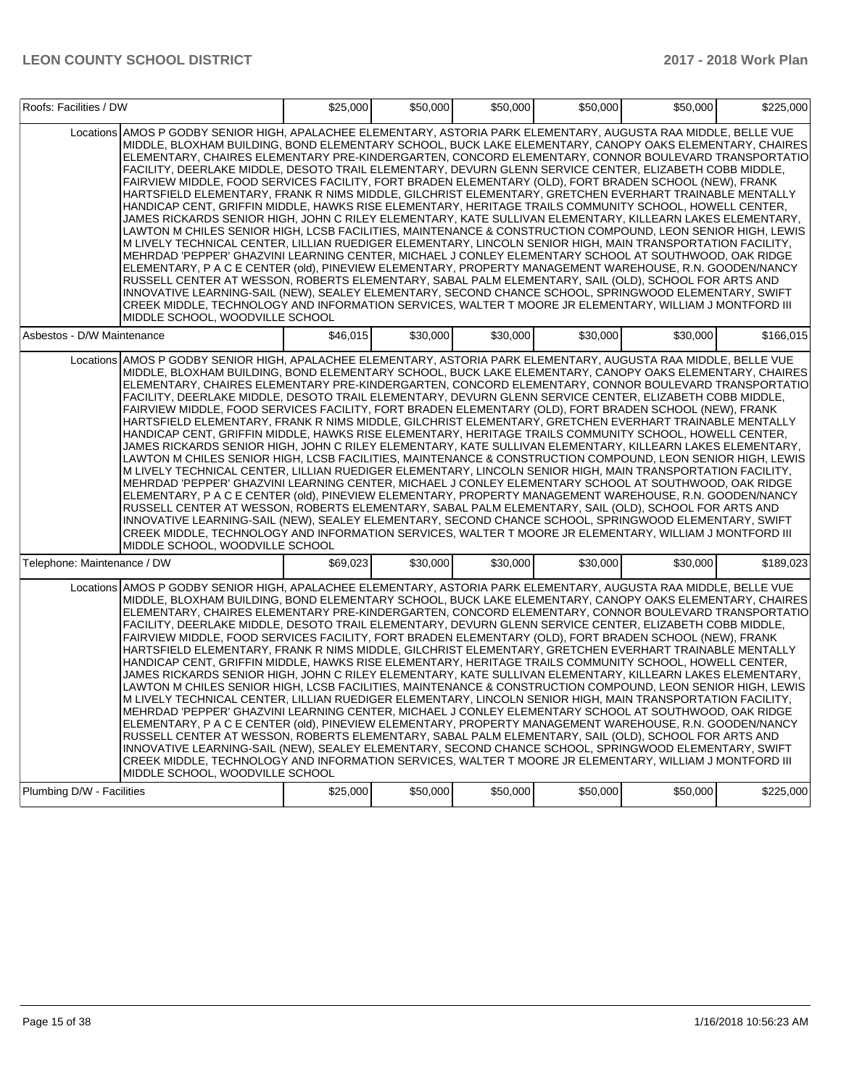| Roofs: Facilities / DW      |                                                                                                                                                                                                                                                                                                                                                                                                                                                                                                                                                                                                                                                                                                                                                                                                                                                                                                                                                                                                                                                                                                                                                                                                                                                                                                                                                                                                                                                                                                                                                                                                                                                                                                         | \$25,000 | \$50,000 | \$50,000 | \$50,000 | \$50,000 | \$225,000 |
|-----------------------------|---------------------------------------------------------------------------------------------------------------------------------------------------------------------------------------------------------------------------------------------------------------------------------------------------------------------------------------------------------------------------------------------------------------------------------------------------------------------------------------------------------------------------------------------------------------------------------------------------------------------------------------------------------------------------------------------------------------------------------------------------------------------------------------------------------------------------------------------------------------------------------------------------------------------------------------------------------------------------------------------------------------------------------------------------------------------------------------------------------------------------------------------------------------------------------------------------------------------------------------------------------------------------------------------------------------------------------------------------------------------------------------------------------------------------------------------------------------------------------------------------------------------------------------------------------------------------------------------------------------------------------------------------------------------------------------------------------|----------|----------|----------|----------|----------|-----------|
|                             | Locations AMOS P GODBY SENIOR HIGH, APALACHEE ELEMENTARY, ASTORIA PARK ELEMENTARY, AUGUSTA RAA MIDDLE, BELLE VUE<br>MIDDLE, BLOXHAM BUILDING, BOND ELEMENTARY SCHOOL, BUCK LAKE ELEMENTARY, CANOPY OAKS ELEMENTARY, CHAIRES<br>ELEMENTARY, CHAIRES ELEMENTARY PRE-KINDERGARTEN, CONCORD ELEMENTARY, CONNOR BOULEVARD TRANSPORTATIO<br>FACILITY, DEERLAKE MIDDLE, DESOTO TRAIL ELEMENTARY, DEVURN GLENN SERVICE CENTER, ELIZABETH COBB MIDDLE,<br>FAIRVIEW MIDDLE, FOOD SERVICES FACILITY, FORT BRADEN ELEMENTARY (OLD), FORT BRADEN SCHOOL (NEW), FRANK<br>HARTSFIELD ELEMENTARY, FRANK R NIMS MIDDLE, GILCHRIST ELEMENTARY, GRETCHEN EVERHART TRAINABLE MENTALLY<br>HANDICAP CENT, GRIFFIN MIDDLE, HAWKS RISE ELEMENTARY, HERITAGE TRAILS COMMUNITY SCHOOL, HOWELL CENTER,<br>JAMES RICKARDS SENIOR HIGH, JOHN C RILEY ELEMENTARY, KATE SULLIVAN ELEMENTARY, KILLEARN LAKES ELEMENTARY,<br>LAWTON M CHILES SENIOR HIGH, LCSB FACILITIES, MAINTENANCE & CONSTRUCTION COMPOUND, LEON SENIOR HIGH, LEWIS<br>M LIVELY TECHNICAL CENTER, LILLIAN RUEDIGER ELEMENTARY, LINCOLN SENIOR HIGH, MAIN TRANSPORTATION FACILITY,<br>MEHRDAD 'PEPPER' GHAZVINI LEARNING CENTER, MICHAEL J CONLEY ELEMENTARY SCHOOL AT SOUTHWOOD, OAK RIDGE<br>ELEMENTARY, P A C E CENTER (old), PINEVIEW ELEMENTARY, PROPERTY MANAGEMENT WAREHOUSE, R.N. GOODEN/NANCY<br>RUSSELL CENTER AT WESSON, ROBERTS ELEMENTARY, SABAL PALM ELEMENTARY, SAIL (OLD), SCHOOL FOR ARTS AND<br>INNOVATIVE LEARNING-SAIL (NEW), SEALEY ELEMENTARY, SECOND CHANCE SCHOOL, SPRINGWOOD ELEMENTARY, SWIFT<br>CREEK MIDDLE, TECHNOLOGY AND INFORMATION SERVICES, WALTER T MOORE JR ELEMENTARY, WILLIAM J MONTFORD III<br>MIDDLE SCHOOL, WOODVILLE SCHOOL |          |          |          |          |          |           |
| Asbestos - D/W Maintenance  |                                                                                                                                                                                                                                                                                                                                                                                                                                                                                                                                                                                                                                                                                                                                                                                                                                                                                                                                                                                                                                                                                                                                                                                                                                                                                                                                                                                                                                                                                                                                                                                                                                                                                                         | \$46.015 | \$30,000 | \$30,000 | \$30,000 | \$30,000 | \$166,015 |
|                             | Locations AMOS P GODBY SENIOR HIGH, APALACHEE ELEMENTARY, ASTORIA PARK ELEMENTARY, AUGUSTA RAA MIDDLE, BELLE VUE<br>MIDDLE, BLOXHAM BUILDING, BOND ELEMENTARY SCHOOL, BUCK LAKE ELEMENTARY, CANOPY OAKS ELEMENTARY, CHAIRES<br>ELEMENTARY, CHAIRES ELEMENTARY PRE-KINDERGARTEN, CONCORD ELEMENTARY, CONNOR BOULEVARD TRANSPORTATIO<br>FACILITY, DEERLAKE MIDDLE, DESOTO TRAIL ELEMENTARY, DEVURN GLENN SERVICE CENTER, ELIZABETH COBB MIDDLE,<br>FAIRVIEW MIDDLE, FOOD SERVICES FACILITY, FORT BRADEN ELEMENTARY (OLD), FORT BRADEN SCHOOL (NEW), FRANK<br>HARTSFIELD ELEMENTARY, FRANK R NIMS MIDDLE, GILCHRIST ELEMENTARY, GRETCHEN EVERHART TRAINABLE MENTALLY<br>HANDICAP CENT, GRIFFIN MIDDLE, HAWKS RISE ELEMENTARY, HERITAGE TRAILS COMMUNITY SCHOOL, HOWELL CENTER,<br>JAMES RICKARDS SENIOR HIGH, JOHN C RILEY ELEMENTARY, KATE SULLIVAN ELEMENTARY, KILLEARN LAKES ELEMENTARY,<br>LAWTON M CHILES SENIOR HIGH, LCSB FACILITIES, MAINTENANCE & CONSTRUCTION COMPOUND, LEON SENIOR HIGH, LEWIS<br>M LIVELY TECHNICAL CENTER, LILLIAN RUEDIGER ELEMENTARY, LINCOLN SENIOR HIGH, MAIN TRANSPORTATION FACILITY,<br>MEHRDAD 'PEPPER' GHAZVINI LEARNING CENTER, MICHAEL J CONLEY ELEMENTARY SCHOOL AT SOUTHWOOD, OAK RIDGE<br>ELEMENTARY, P A C E CENTER (old), PINEVIEW ELEMENTARY, PROPERTY MANAGEMENT WAREHOUSE, R.N. GOODEN/NANCY<br>RUSSELL CENTER AT WESSON, ROBERTS ELEMENTARY, SABAL PALM ELEMENTARY, SAIL (OLD), SCHOOL FOR ARTS AND<br>INNOVATIVE LEARNING-SAIL (NEW), SEALEY ELEMENTARY, SECOND CHANCE SCHOOL, SPRINGWOOD ELEMENTARY, SWIFT<br>CREEK MIDDLE, TECHNOLOGY AND INFORMATION SERVICES, WALTER T MOORE JR ELEMENTARY, WILLIAM J MONTFORD III<br>MIDDLE SCHOOL, WOODVILLE SCHOOL |          |          |          |          |          |           |
| Telephone: Maintenance / DW |                                                                                                                                                                                                                                                                                                                                                                                                                                                                                                                                                                                                                                                                                                                                                                                                                                                                                                                                                                                                                                                                                                                                                                                                                                                                                                                                                                                                                                                                                                                                                                                                                                                                                                         | \$69.023 | \$30,000 | \$30,000 | \$30,000 | \$30,000 | \$189.023 |
|                             | Locations AMOS P GODBY SENIOR HIGH, APALACHEE ELEMENTARY, ASTORIA PARK ELEMENTARY, AUGUSTA RAA MIDDLE, BELLE VUE<br>MIDDLE, BLOXHAM BUILDING, BOND ELEMENTARY SCHOOL, BUCK LAKE ELEMENTARY, CANOPY OAKS ELEMENTARY, CHAIRES<br>ELEMENTARY, CHAIRES ELEMENTARY PRE-KINDERGARTEN, CONCORD ELEMENTARY, CONNOR BOULEVARD TRANSPORTATIO<br>FACILITY, DEERLAKE MIDDLE, DESOTO TRAIL ELEMENTARY, DEVURN GLENN SERVICE CENTER, ELIZABETH COBB MIDDLE,<br>FAIRVIEW MIDDLE, FOOD SERVICES FACILITY, FORT BRADEN ELEMENTARY (OLD), FORT BRADEN SCHOOL (NEW), FRANK<br>HARTSFIELD ELEMENTARY, FRANK R NIMS MIDDLE, GILCHRIST ELEMENTARY, GRETCHEN EVERHART TRAINABLE MENTALLY<br>HANDICAP CENT, GRIFFIN MIDDLE, HAWKS RISE ELEMENTARY, HERITAGE TRAILS COMMUNITY SCHOOL, HOWELL CENTER,<br>JAMES RICKARDS SENIOR HIGH, JOHN C RILEY ELEMENTARY, KATE SULLIVAN ELEMENTARY, KILLEARN LAKES ELEMENTARY,<br>LAWTON M CHILES SENIOR HIGH, LCSB FACILITIES, MAINTENANCE & CONSTRUCTION COMPOUND, LEON SENIOR HIGH, LEWIS<br>M LIVELY TECHNICAL CENTER, LILLIAN RUEDIGER ELEMENTARY, LINCOLN SENIOR HIGH, MAIN TRANSPORTATION FACILITY,<br>MEHRDAD 'PEPPER' GHAZVINI LEARNING CENTER, MICHAEL J CONLEY ELEMENTARY SCHOOL AT SOUTHWOOD, OAK RIDGE<br>ELEMENTARY, P A C E CENTER (old), PINEVIEW ELEMENTARY, PROPERTY MANAGEMENT WAREHOUSE, R.N. GOODEN/NANCY<br>RUSSELL CENTER AT WESSON, ROBERTS ELEMENTARY, SABAL PALM ELEMENTARY, SAIL (OLD), SCHOOL FOR ARTS AND<br>INNOVATIVE LEARNING-SAIL (NEW), SEALEY ELEMENTARY, SECOND CHANCE SCHOOL, SPRINGWOOD ELEMENTARY, SWIFT<br>CREEK MIDDLE, TECHNOLOGY AND INFORMATION SERVICES, WALTER T MOORE JR ELEMENTARY, WILLIAM J MONTFORD III<br>MIDDLE SCHOOL, WOODVILLE SCHOOL |          |          |          |          |          |           |
| Plumbing D/W - Facilities   |                                                                                                                                                                                                                                                                                                                                                                                                                                                                                                                                                                                                                                                                                                                                                                                                                                                                                                                                                                                                                                                                                                                                                                                                                                                                                                                                                                                                                                                                                                                                                                                                                                                                                                         | \$25,000 | \$50,000 | \$50,000 | \$50,000 | \$50,000 | \$225,000 |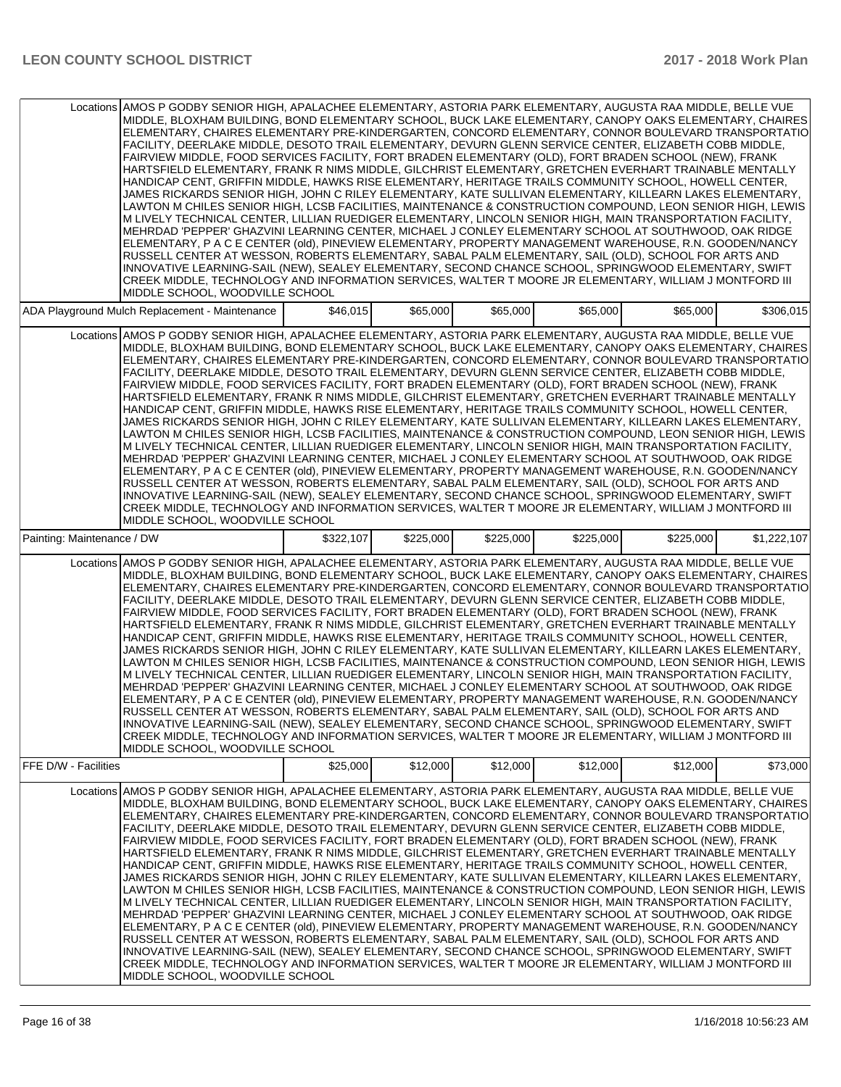|                             | Locations AMOS P GODBY SENIOR HIGH, APALACHEE ELEMENTARY, ASTORIA PARK ELEMENTARY, AUGUSTA RAA MIDDLE, BELLE VUE<br>MIDDLE, BLOXHAM BUILDING, BOND ELEMENTARY SCHOOL, BUCK LAKE ELEMENTARY, CANOPY OAKS ELEMENTARY, CHAIRES<br>ELEMENTARY, CHAIRES ELEMENTARY PRE-KINDERGARTEN, CONCORD ELEMENTARY, CONNOR BOULEVARD TRANSPORTATIO<br>FACILITY, DEERLAKE MIDDLE, DESOTO TRAIL ELEMENTARY, DEVURN GLENN SERVICE CENTER, ELIZABETH COBB MIDDLE,<br>FAIRVIEW MIDDLE, FOOD SERVICES FACILITY, FORT BRADEN ELEMENTARY (OLD), FORT BRADEN SCHOOL (NEW), FRANK<br>HARTSFIELD ELEMENTARY, FRANK R NIMS MIDDLE, GILCHRIST ELEMENTARY, GRETCHEN EVERHART TRAINABLE MENTALLY<br>HANDICAP CENT, GRIFFIN MIDDLE, HAWKS RISE ELEMENTARY, HERITAGE TRAILS COMMUNITY SCHOOL, HOWELL CENTER,<br>JAMES RICKARDS SENIOR HIGH, JOHN C RILEY ELEMENTARY, KATE SULLIVAN ELEMENTARY, KILLEARN LAKES ELEMENTARY,<br>LAWTON M CHILES SENIOR HIGH, LCSB FACILITIES, MAINTENANCE & CONSTRUCTION COMPOUND, LEON SENIOR HIGH, LEWIS<br>M LIVELY TECHNICAL CENTER, LILLIAN RUEDIGER ELEMENTARY, LINCOLN SENIOR HIGH, MAIN TRANSPORTATION FACILITY,<br>MEHRDAD 'PEPPER' GHAZVINI LEARNING CENTER, MICHAEL J CONLEY ELEMENTARY SCHOOL AT SOUTHWOOD, OAK RIDGE<br>ELEMENTARY, P A C E CENTER (old), PINEVIEW ELEMENTARY, PROPERTY MANAGEMENT WAREHOUSE, R.N. GOODEN/NANCY<br>RUSSELL CENTER AT WESSON, ROBERTS ELEMENTARY, SABAL PALM ELEMENTARY, SAIL (OLD), SCHOOL FOR ARTS AND<br>INNOVATIVE LEARNING-SAIL (NEW), SEALEY ELEMENTARY, SECOND CHANCE SCHOOL, SPRINGWOOD ELEMENTARY, SWIFT<br>CREEK MIDDLE, TECHNOLOGY AND INFORMATION SERVICES, WALTER T MOORE JR ELEMENTARY, WILLIAM J MONTFORD III<br>MIDDLE SCHOOL. WOODVILLE SCHOOL |           |           |           |           |           |             |
|-----------------------------|---------------------------------------------------------------------------------------------------------------------------------------------------------------------------------------------------------------------------------------------------------------------------------------------------------------------------------------------------------------------------------------------------------------------------------------------------------------------------------------------------------------------------------------------------------------------------------------------------------------------------------------------------------------------------------------------------------------------------------------------------------------------------------------------------------------------------------------------------------------------------------------------------------------------------------------------------------------------------------------------------------------------------------------------------------------------------------------------------------------------------------------------------------------------------------------------------------------------------------------------------------------------------------------------------------------------------------------------------------------------------------------------------------------------------------------------------------------------------------------------------------------------------------------------------------------------------------------------------------------------------------------------------------------------------------------------------------|-----------|-----------|-----------|-----------|-----------|-------------|
|                             | ADA Playground Mulch Replacement - Maintenance                                                                                                                                                                                                                                                                                                                                                                                                                                                                                                                                                                                                                                                                                                                                                                                                                                                                                                                                                                                                                                                                                                                                                                                                                                                                                                                                                                                                                                                                                                                                                                                                                                                          | \$46,015  | \$65,000  | \$65,000  | \$65,000  | \$65,000  | \$306,015   |
|                             | Locations AMOS P GODBY SENIOR HIGH, APALACHEE ELEMENTARY, ASTORIA PARK ELEMENTARY, AUGUSTA RAA MIDDLE, BELLE VUE<br>MIDDLE, BLOXHAM BUILDING, BOND ELEMENTARY SCHOOL, BUCK LAKE ELEMENTARY, CANOPY OAKS ELEMENTARY, CHAIRES<br>ELEMENTARY, CHAIRES ELEMENTARY PRE-KINDERGARTEN, CONCORD ELEMENTARY, CONNOR BOULEVARD TRANSPORTATIO<br>FACILITY, DEERLAKE MIDDLE, DESOTO TRAIL ELEMENTARY, DEVURN GLENN SERVICE CENTER, ELIZABETH COBB MIDDLE,<br>FAIRVIEW MIDDLE, FOOD SERVICES FACILITY, FORT BRADEN ELEMENTARY (OLD), FORT BRADEN SCHOOL (NEW), FRANK<br>HARTSFIELD ELEMENTARY, FRANK R NIMS MIDDLE, GILCHRIST ELEMENTARY, GRETCHEN EVERHART TRAINABLE MENTALLY<br>HANDICAP CENT, GRIFFIN MIDDLE, HAWKS RISE ELEMENTARY, HERITAGE TRAILS COMMUNITY SCHOOL, HOWELL CENTER,<br>JAMES RICKARDS SENIOR HIGH, JOHN C RILEY ELEMENTARY, KATE SULLIVAN ELEMENTARY, KILLEARN LAKES ELEMENTARY,<br>LAWTON M CHILES SENIOR HIGH, LCSB FACILITIES, MAINTENANCE & CONSTRUCTION COMPOUND, LEON SENIOR HIGH, LEWIS<br>M LIVELY TECHNICAL CENTER. LILLIAN RUEDIGER ELEMENTARY. LINCOLN SENIOR HIGH, MAIN TRANSPORTATION FACILITY.<br>MEHRDAD 'PEPPER' GHAZVINI LEARNING CENTER, MICHAEL J CONLEY ELEMENTARY SCHOOL AT SOUTHWOOD, OAK RIDGE<br>ELEMENTARY, P A C E CENTER (old), PINEVIEW ELEMENTARY, PROPERTY MANAGEMENT WAREHOUSE, R.N. GOODEN/NANCY<br>RUSSELL CENTER AT WESSON, ROBERTS ELEMENTARY, SABAL PALM ELEMENTARY, SAIL (OLD), SCHOOL FOR ARTS AND<br>INNOVATIVE LEARNING-SAIL (NEW), SEALEY ELEMENTARY, SECOND CHANCE SCHOOL, SPRINGWOOD ELEMENTARY, SWIFT<br>CREEK MIDDLE, TECHNOLOGY AND INFORMATION SERVICES, WALTER T MOORE JR ELEMENTARY, WILLIAM J MONTFORD III<br>MIDDLE SCHOOL, WOODVILLE SCHOOL |           |           |           |           |           |             |
| Painting: Maintenance / DW  |                                                                                                                                                                                                                                                                                                                                                                                                                                                                                                                                                                                                                                                                                                                                                                                                                                                                                                                                                                                                                                                                                                                                                                                                                                                                                                                                                                                                                                                                                                                                                                                                                                                                                                         | \$322,107 | \$225,000 | \$225,000 | \$225,000 | \$225,000 | \$1,222,107 |
|                             | Locations AMOS P GODBY SENIOR HIGH, APALACHEE ELEMENTARY, ASTORIA PARK ELEMENTARY, AUGUSTA RAA MIDDLE, BELLE VUE<br>MIDDLE, BLOXHAM BUILDING, BOND ELEMENTARY SCHOOL, BUCK LAKE ELEMENTARY, CANOPY OAKS ELEMENTARY, CHAIRES<br>ELEMENTARY, CHAIRES ELEMENTARY PRE-KINDERGARTEN, CONCORD ELEMENTARY, CONNOR BOULEVARD TRANSPORTATIO<br>FACILITY, DEERLAKE MIDDLE, DESOTO TRAIL ELEMENTARY, DEVURN GLENN SERVICE CENTER, ELIZABETH COBB MIDDLE,<br>FAIRVIEW MIDDLE, FOOD SERVICES FACILITY, FORT BRADEN ELEMENTARY (OLD), FORT BRADEN SCHOOL (NEW), FRANK<br>HARTSFIELD ELEMENTARY, FRANK R NIMS MIDDLE, GILCHRIST ELEMENTARY, GRETCHEN EVERHART TRAINABLE MENTALLY<br>HANDICAP CENT, GRIFFIN MIDDLE, HAWKS RISE ELEMENTARY, HERITAGE TRAILS COMMUNITY SCHOOL, HOWELL CENTER,<br>JAMES RICKARDS SENIOR HIGH, JOHN C RILEY ELEMENTARY, KATE SULLIVAN ELEMENTARY, KILLEARN LAKES ELEMENTARY,<br>LAWTON M CHILES SENIOR HIGH, LCSB FACILITIES, MAINTENANCE & CONSTRUCTION COMPOUND, LEON SENIOR HIGH, LEWIS<br>M LIVELY TECHNICAL CENTER, LILLIAN RUEDIGER ELEMENTARY, LINCOLN SENIOR HIGH, MAIN TRANSPORTATION FACILITY,<br>MEHRDAD 'PEPPER' GHAZVINI LEARNING CENTER, MICHAEL J CONLEY ELEMENTARY SCHOOL AT SOUTHWOOD, OAK RIDGE<br>ELEMENTARY, P A C E CENTER (old), PINEVIEW ELEMENTARY, PROPERTY MANAGEMENT WAREHOUSE, R.N. GOODEN/NANCY<br>RUSSELL CENTER AT WESSON, ROBERTS ELEMENTARY, SABAL PALM ELEMENTARY, SAIL (OLD), SCHOOL FOR ARTS AND<br>INNOVATIVE LEARNING-SAIL (NEW), SEALEY ELEMENTARY, SECOND CHANCE SCHOOL, SPRINGWOOD ELEMENTARY, SWIFT<br>CREEK MIDDLE, TECHNOLOGY AND INFORMATION SERVICES, WALTER T MOORE JR ELEMENTARY, WILLIAM J MONTFORD III<br>MIDDLE SCHOOL. WOODVILLE SCHOOL |           |           |           |           |           |             |
| <b>FFE D/W - Facilities</b> |                                                                                                                                                                                                                                                                                                                                                                                                                                                                                                                                                                                                                                                                                                                                                                                                                                                                                                                                                                                                                                                                                                                                                                                                                                                                                                                                                                                                                                                                                                                                                                                                                                                                                                         | \$25,000  | \$12,000  | \$12,000  | \$12,000  | \$12,000  | \$73,000    |
|                             | Locations AMOS P GODBY SENIOR HIGH, APALACHEE ELEMENTARY, ASTORIA PARK ELEMENTARY, AUGUSTA RAA MIDDLE, BELLE VUE<br>MIDDLE, BLOXHAM BUILDING, BOND ELEMENTARY SCHOOL, BUCK LAKE ELEMENTARY, CANOPY OAKS ELEMENTARY, CHAIRES<br>ELEMENTARY, CHAIRES ELEMENTARY PRE-KINDERGARTEN, CONCORD ELEMENTARY, CONNOR BOULEVARD TRANSPORTATIO<br>FACILITY, DEERLAKE MIDDLE, DESOTO TRAIL ELEMENTARY, DEVURN GLENN SERVICE CENTER, ELIZABETH COBB MIDDLE,<br>FAIRVIEW MIDDLE, FOOD SERVICES FACILITY, FORT BRADEN ELEMENTARY (OLD), FORT BRADEN SCHOOL (NEW), FRANK<br>HARTSFIELD ELEMENTARY, FRANK R NIMS MIDDLE, GILCHRIST ELEMENTARY, GRETCHEN EVERHART TRAINABLE MENTALLY<br>HANDICAP CENT, GRIFFIN MIDDLE, HAWKS RISE ELEMENTARY, HERITAGE TRAILS COMMUNITY SCHOOL, HOWELL CENTER,<br>JAMES RICKARDS SENIOR HIGH, JOHN C RILEY ELEMENTARY, KATE SULLIVAN ELEMENTARY, KILLEARN LAKES ELEMENTARY,<br>LAWTON M CHILES SENIOR HIGH, LCSB FACILITIES, MAINTENANCE & CONSTRUCTION COMPOUND, LEON SENIOR HIGH, LEWIS<br>M LIVELY TECHNICAL CENTER, LILLIAN RUEDIGER ELEMENTARY, LINCOLN SENIOR HIGH, MAIN TRANSPORTATION FACILITY,<br>MEHRDAD 'PEPPER' GHAZVINI LEARNING CENTER, MICHAEL J CONLEY ELEMENTARY SCHOOL AT SOUTHWOOD, OAK RIDGE<br>ELEMENTARY, P A C E CENTER (old), PINEVIEW ELEMENTARY, PROPERTY MANAGEMENT WAREHOUSE, R.N. GOODEN/NANCY<br>RUSSELL CENTER AT WESSON, ROBERTS ELEMENTARY, SABAL PALM ELEMENTARY, SAIL (OLD), SCHOOL FOR ARTS AND<br>INNOVATIVE LEARNING-SAIL (NEW), SEALEY ELEMENTARY, SECOND CHANCE SCHOOL, SPRINGWOOD ELEMENTARY, SWIFT<br>CREEK MIDDLE, TECHNOLOGY AND INFORMATION SERVICES, WALTER T MOORE JR ELEMENTARY, WILLIAM J MONTFORD III<br>MIDDLE SCHOOL, WOODVILLE SCHOOL |           |           |           |           |           |             |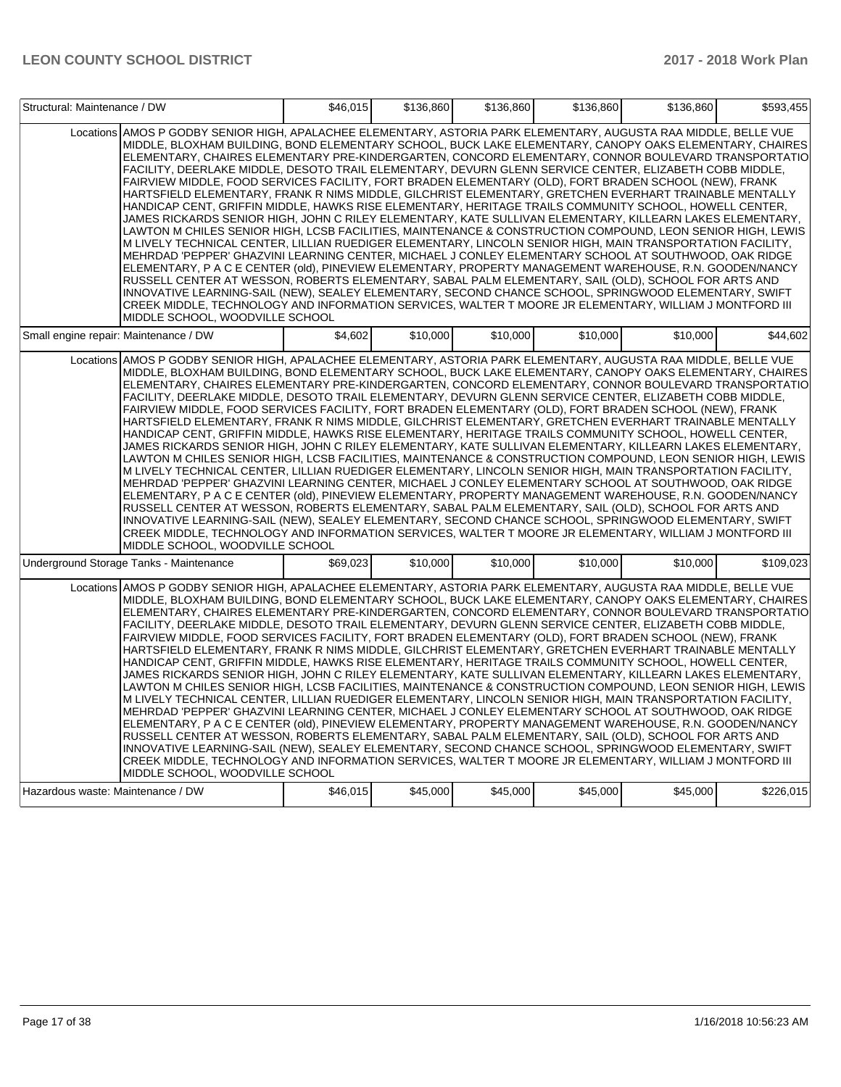| Structural: Maintenance / DW          |                                                                                                                                                                                                                                                                                                                                                                                                                                                                                                                                                                                                                                                                                                                                                                                                                                                                                                                                                                                                                                                                                                                                                                                                                                                                                                                                                                                                                                                                                                                                                                                                                                                                                                         | \$46,015 | \$136,860 | \$136,860 | \$136,860 | \$136,860 | \$593,455 |
|---------------------------------------|---------------------------------------------------------------------------------------------------------------------------------------------------------------------------------------------------------------------------------------------------------------------------------------------------------------------------------------------------------------------------------------------------------------------------------------------------------------------------------------------------------------------------------------------------------------------------------------------------------------------------------------------------------------------------------------------------------------------------------------------------------------------------------------------------------------------------------------------------------------------------------------------------------------------------------------------------------------------------------------------------------------------------------------------------------------------------------------------------------------------------------------------------------------------------------------------------------------------------------------------------------------------------------------------------------------------------------------------------------------------------------------------------------------------------------------------------------------------------------------------------------------------------------------------------------------------------------------------------------------------------------------------------------------------------------------------------------|----------|-----------|-----------|-----------|-----------|-----------|
|                                       | Locations AMOS P GODBY SENIOR HIGH, APALACHEE ELEMENTARY, ASTORIA PARK ELEMENTARY, AUGUSTA RAA MIDDLE, BELLE VUE<br>MIDDLE, BLOXHAM BUILDING, BOND ELEMENTARY SCHOOL, BUCK LAKE ELEMENTARY, CANOPY OAKS ELEMENTARY, CHAIRES<br>ELEMENTARY, CHAIRES ELEMENTARY PRE-KINDERGARTEN, CONCORD ELEMENTARY, CONNOR BOULEVARD TRANSPORTATIO<br>FACILITY, DEERLAKE MIDDLE, DESOTO TRAIL ELEMENTARY, DEVURN GLENN SERVICE CENTER, ELIZABETH COBB MIDDLE,<br>FAIRVIEW MIDDLE, FOOD SERVICES FACILITY, FORT BRADEN ELEMENTARY (OLD), FORT BRADEN SCHOOL (NEW), FRANK<br>HARTSFIELD ELEMENTARY, FRANK R NIMS MIDDLE, GILCHRIST ELEMENTARY, GRETCHEN EVERHART TRAINABLE MENTALLY<br>HANDICAP CENT, GRIFFIN MIDDLE, HAWKS RISE ELEMENTARY, HERITAGE TRAILS COMMUNITY SCHOOL, HOWELL CENTER,<br>JAMES RICKARDS SENIOR HIGH, JOHN C RILEY ELEMENTARY, KATE SULLIVAN ELEMENTARY, KILLEARN LAKES ELEMENTARY,<br>LAWTON M CHILES SENIOR HIGH, LCSB FACILITIES, MAINTENANCE & CONSTRUCTION COMPOUND, LEON SENIOR HIGH, LEWIS<br>M LIVELY TECHNICAL CENTER, LILLIAN RUEDIGER ELEMENTARY, LINCOLN SENIOR HIGH, MAIN TRANSPORTATION FACILITY,<br>MEHRDAD 'PEPPER' GHAZVINI LEARNING CENTER, MICHAEL J CONLEY ELEMENTARY SCHOOL AT SOUTHWOOD, OAK RIDGE<br>ELEMENTARY, P A C E CENTER (old), PINEVIEW ELEMENTARY, PROPERTY MANAGEMENT WAREHOUSE, R.N. GOODEN/NANCY<br>RUSSELL CENTER AT WESSON, ROBERTS ELEMENTARY, SABAL PALM ELEMENTARY, SAIL (OLD), SCHOOL FOR ARTS AND<br>INNOVATIVE LEARNING-SAIL (NEW), SEALEY ELEMENTARY, SECOND CHANCE SCHOOL, SPRINGWOOD ELEMENTARY, SWIFT<br>CREEK MIDDLE, TECHNOLOGY AND INFORMATION SERVICES, WALTER T MOORE JR ELEMENTARY, WILLIAM J MONTFORD III<br>MIDDLE SCHOOL. WOODVILLE SCHOOL |          |           |           |           |           |           |
| Small engine repair: Maintenance / DW |                                                                                                                                                                                                                                                                                                                                                                                                                                                                                                                                                                                                                                                                                                                                                                                                                                                                                                                                                                                                                                                                                                                                                                                                                                                                                                                                                                                                                                                                                                                                                                                                                                                                                                         | \$4,602  | \$10,000  | \$10,000  | \$10,000  | \$10,000  | \$44,602  |
|                                       | Locations AMOS P GODBY SENIOR HIGH, APALACHEE ELEMENTARY, ASTORIA PARK ELEMENTARY, AUGUSTA RAA MIDDLE, BELLE VUE<br>MIDDLE, BLOXHAM BUILDING, BOND ELEMENTARY SCHOOL, BUCK LAKE ELEMENTARY, CANOPY OAKS ELEMENTARY, CHAIRES<br>ELEMENTARY, CHAIRES ELEMENTARY PRE-KINDERGARTEN, CONCORD ELEMENTARY, CONNOR BOULEVARD TRANSPORTATIO<br>FACILITY, DEERLAKE MIDDLE, DESOTO TRAIL ELEMENTARY, DEVURN GLENN SERVICE CENTER, ELIZABETH COBB MIDDLE,<br>FAIRVIEW MIDDLE, FOOD SERVICES FACILITY, FORT BRADEN ELEMENTARY (OLD), FORT BRADEN SCHOOL (NEW), FRANK<br>HARTSFIELD ELEMENTARY, FRANK R NIMS MIDDLE, GILCHRIST ELEMENTARY, GRETCHEN EVERHART TRAINABLE MENTALLY<br>HANDICAP CENT, GRIFFIN MIDDLE, HAWKS RISE ELEMENTARY, HERITAGE TRAILS COMMUNITY SCHOOL, HOWELL CENTER,<br>JAMES RICKARDS SENIOR HIGH, JOHN C RILEY ELEMENTARY, KATE SULLIVAN ELEMENTARY, KILLEARN LAKES ELEMENTARY,<br>LAWTON M CHILES SENIOR HIGH, LCSB FACILITIES, MAINTENANCE & CONSTRUCTION COMPOUND, LEON SENIOR HIGH, LEWIS<br>M LIVELY TECHNICAL CENTER, LILLIAN RUEDIGER ELEMENTARY, LINCOLN SENIOR HIGH, MAIN TRANSPORTATION FACILITY,<br>MEHRDAD 'PEPPER' GHAZVINI LEARNING CENTER, MICHAEL J CONLEY ELEMENTARY SCHOOL AT SOUTHWOOD, OAK RIDGE<br>ELEMENTARY, P A C E CENTER (old), PINEVIEW ELEMENTARY, PROPERTY MANAGEMENT WAREHOUSE, R.N. GOODEN/NANCY<br>RUSSELL CENTER AT WESSON, ROBERTS ELEMENTARY, SABAL PALM ELEMENTARY, SAIL (OLD), SCHOOL FOR ARTS AND<br>INNOVATIVE LEARNING-SAIL (NEW), SEALEY ELEMENTARY, SECOND CHANCE SCHOOL, SPRINGWOOD ELEMENTARY, SWIFT<br>CREEK MIDDLE, TECHNOLOGY AND INFORMATION SERVICES, WALTER T MOORE JR ELEMENTARY, WILLIAM J MONTFORD III<br>MIDDLE SCHOOL, WOODVILLE SCHOOL |          |           |           |           |           |           |
|                                       | Underground Storage Tanks - Maintenance                                                                                                                                                                                                                                                                                                                                                                                                                                                                                                                                                                                                                                                                                                                                                                                                                                                                                                                                                                                                                                                                                                                                                                                                                                                                                                                                                                                                                                                                                                                                                                                                                                                                 | \$69,023 | \$10,000  | \$10,000  | \$10,000  | \$10,000  | \$109,023 |
|                                       | Locations AMOS P GODBY SENIOR HIGH, APALACHEE ELEMENTARY, ASTORIA PARK ELEMENTARY, AUGUSTA RAA MIDDLE, BELLE VUE<br>MIDDLE, BLOXHAM BUILDING, BOND ELEMENTARY SCHOOL, BUCK LAKE ELEMENTARY, CANOPY OAKS ELEMENTARY, CHAIRES<br>ELEMENTARY, CHAIRES ELEMENTARY PRE-KINDERGARTEN, CONCORD ELEMENTARY, CONNOR BOULEVARD TRANSPORTATIO<br>FACILITY, DEERLAKE MIDDLE, DESOTO TRAIL ELEMENTARY, DEVURN GLENN SERVICE CENTER, ELIZABETH COBB MIDDLE,<br>FAIRVIEW MIDDLE, FOOD SERVICES FACILITY, FORT BRADEN ELEMENTARY (OLD), FORT BRADEN SCHOOL (NEW), FRANK<br>HARTSFIELD ELEMENTARY, FRANK R NIMS MIDDLE, GILCHRIST ELEMENTARY, GRETCHEN EVERHART TRAINABLE MENTALLY<br>HANDICAP CENT, GRIFFIN MIDDLE, HAWKS RISE ELEMENTARY, HERITAGE TRAILS COMMUNITY SCHOOL, HOWELL CENTER,<br>JAMES RICKARDS SENIOR HIGH, JOHN C RILEY ELEMENTARY, KATE SULLIVAN ELEMENTARY, KILLEARN LAKES ELEMENTARY,<br>LAWTON M CHILES SENIOR HIGH, LCSB FACILITIES, MAINTENANCE & CONSTRUCTION COMPOUND, LEON SENIOR HIGH, LEWIS<br>M LIVELY TECHNICAL CENTER, LILLIAN RUEDIGER ELEMENTARY, LINCOLN SENIOR HIGH, MAIN TRANSPORTATION FACILITY,<br>MEHRDAD 'PEPPER' GHAZVINI LEARNING CENTER, MICHAEL J CONLEY ELEMENTARY SCHOOL AT SOUTHWOOD, OAK RIDGE<br>ELEMENTARY, P A C E CENTER (old), PINEVIEW ELEMENTARY, PROPERTY MANAGEMENT WAREHOUSE, R.N. GOODEN/NANCY<br>RUSSELL CENTER AT WESSON, ROBERTS ELEMENTARY, SABAL PALM ELEMENTARY, SAIL (OLD), SCHOOL FOR ARTS AND<br>INNOVATIVE LEARNING-SAIL (NEW), SEALEY ELEMENTARY, SECOND CHANCE SCHOOL, SPRINGWOOD ELEMENTARY, SWIFT<br>CREEK MIDDLE, TECHNOLOGY AND INFORMATION SERVICES, WALTER T MOORE JR ELEMENTARY, WILLIAM J MONTFORD III<br>MIDDLE SCHOOL, WOODVILLE SCHOOL |          |           |           |           |           |           |
| Hazardous waste: Maintenance / DW     |                                                                                                                                                                                                                                                                                                                                                                                                                                                                                                                                                                                                                                                                                                                                                                                                                                                                                                                                                                                                                                                                                                                                                                                                                                                                                                                                                                                                                                                                                                                                                                                                                                                                                                         | \$46,015 | \$45,000  | \$45,000  | \$45,000  | \$45,000  | \$226,015 |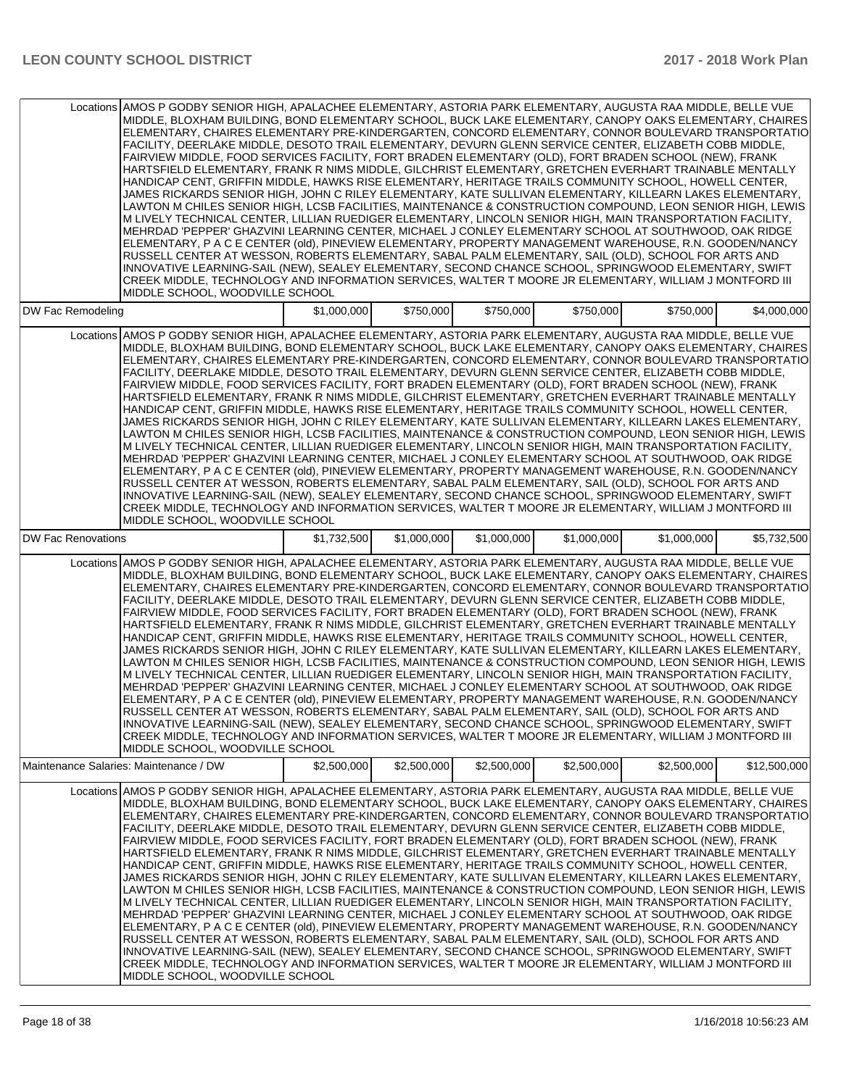|                          | Locations AMOS P GODBY SENIOR HIGH, APALACHEE ELEMENTARY, ASTORIA PARK ELEMENTARY, AUGUSTA RAA MIDDLE, BELLE VUE<br>MIDDLE, BLOXHAM BUILDING, BOND ELEMENTARY SCHOOL, BUCK LAKE ELEMENTARY, CANOPY OAKS ELEMENTARY, CHAIRES<br>ELEMENTARY, CHAIRES ELEMENTARY PRE-KINDERGARTEN, CONCORD ELEMENTARY, CONNOR BOULEVARD TRANSPORTATIO<br>FACILITY. DEERLAKE MIDDLE. DESOTO TRAIL ELEMENTARY. DEVURN GLENN SERVICE CENTER. ELIZABETH COBB MIDDLE.<br>FAIRVIEW MIDDLE, FOOD SERVICES FACILITY, FORT BRADEN ELEMENTARY (OLD), FORT BRADEN SCHOOL (NEW), FRANK<br>HARTSFIELD ELEMENTARY, FRANK R NIMS MIDDLE, GILCHRIST ELEMENTARY, GRETCHEN EVERHART TRAINABLE MENTALLY<br>HANDICAP CENT. GRIFFIN MIDDLE, HAWKS RISE ELEMENTARY, HERITAGE TRAILS COMMUNITY SCHOOL, HOWELL CENTER.<br>JAMES RICKARDS SENIOR HIGH, JOHN C RILEY ELEMENTARY, KATE SULLIVAN ELEMENTARY, KILLEARN LAKES ELEMENTARY,<br>LAWTON M CHILES SENIOR HIGH, LCSB FACILITIES, MAINTENANCE & CONSTRUCTION COMPOUND, LEON SENIOR HIGH, LEWIS<br>M LIVELY TECHNICAL CENTER, LILLIAN RUEDIGER ELEMENTARY, LINCOLN SENIOR HIGH, MAIN TRANSPORTATION FACILITY,<br>MEHRDAD 'PEPPER' GHAZVINI LEARNING CENTER, MICHAEL J CONLEY ELEMENTARY SCHOOL AT SOUTHWOOD, OAK RIDGE<br>ELEMENTARY, P A C E CENTER (old), PINEVIEW ELEMENTARY, PROPERTY MANAGEMENT WAREHOUSE, R.N. GOODEN/NANCY<br>RUSSELL CENTER AT WESSON, ROBERTS ELEMENTARY, SABAL PALM ELEMENTARY, SAIL (OLD), SCHOOL FOR ARTS AND<br>INNOVATIVE LEARNING-SAIL (NEW), SEALEY ELEMENTARY, SECOND CHANCE SCHOOL, SPRINGWOOD ELEMENTARY, SWIFT<br>CREEK MIDDLE, TECHNOLOGY AND INFORMATION SERVICES, WALTER T MOORE JR ELEMENTARY, WILLIAM J MONTFORD III<br>MIDDLE SCHOOL, WOODVILLE SCHOOL  |             |             |             |             |             |              |
|--------------------------|----------------------------------------------------------------------------------------------------------------------------------------------------------------------------------------------------------------------------------------------------------------------------------------------------------------------------------------------------------------------------------------------------------------------------------------------------------------------------------------------------------------------------------------------------------------------------------------------------------------------------------------------------------------------------------------------------------------------------------------------------------------------------------------------------------------------------------------------------------------------------------------------------------------------------------------------------------------------------------------------------------------------------------------------------------------------------------------------------------------------------------------------------------------------------------------------------------------------------------------------------------------------------------------------------------------------------------------------------------------------------------------------------------------------------------------------------------------------------------------------------------------------------------------------------------------------------------------------------------------------------------------------------------------------------------------------------------|-------------|-------------|-------------|-------------|-------------|--------------|
| <b>DW Fac Remodeling</b> |                                                                                                                                                                                                                                                                                                                                                                                                                                                                                                                                                                                                                                                                                                                                                                                                                                                                                                                                                                                                                                                                                                                                                                                                                                                                                                                                                                                                                                                                                                                                                                                                                                                                                                          | \$1,000,000 | \$750,000   | \$750,000   | \$750,000   | \$750,000   | \$4,000,000  |
|                          | Locations AMOS P GODBY SENIOR HIGH, APALACHEE ELEMENTARY, ASTORIA PARK ELEMENTARY, AUGUSTA RAA MIDDLE, BELLE VUE<br>MIDDLE, BLOXHAM BUILDING, BOND ELEMENTARY SCHOOL, BUCK LAKE ELEMENTARY, CANOPY OAKS ELEMENTARY, CHAIRES<br>ELEMENTARY, CHAIRES ELEMENTARY PRE-KINDERGARTEN, CONCORD ELEMENTARY, CONNOR BOULEVARD TRANSPORTATIO<br>FACILITY, DEERLAKE MIDDLE, DESOTO TRAIL ELEMENTARY, DEVURN GLENN SERVICE CENTER, ELIZABETH COBB MIDDLE,<br>FAIRVIEW MIDDLE, FOOD SERVICES FACILITY, FORT BRADEN ELEMENTARY (OLD), FORT BRADEN SCHOOL (NEW), FRANK<br>HARTSFIELD ELEMENTARY, FRANK R NIMS MIDDLE, GILCHRIST ELEMENTARY, GRETCHEN EVERHART TRAINABLE MENTALLY<br>HANDICAP CENT, GRIFFIN MIDDLE, HAWKS RISE ELEMENTARY, HERITAGE TRAILS COMMUNITY SCHOOL, HOWELL CENTER,<br>JAMES RICKARDS SENIOR HIGH, JOHN C RILEY ELEMENTARY, KATE SULLIVAN ELEMENTARY, KILLEARN LAKES ELEMENTARY,<br>LAWTON M CHILES SENIOR HIGH, LCSB FACILITIES, MAINTENANCE & CONSTRUCTION COMPOUND, LEON SENIOR HIGH, LEWIS<br>M LIVELY TECHNICAL CENTER, LILLIAN RUEDIGER ELEMENTARY, LINCOLN SENIOR HIGH, MAIN TRANSPORTATION FACILITY,<br>MEHRDAD 'PEPPER' GHAZVINI LEARNING CENTER, MICHAEL J CONLEY ELEMENTARY SCHOOL AT SOUTHWOOD, OAK RIDGE<br>ELEMENTARY, P A C E CENTER (old), PINEVIEW ELEMENTARY, PROPERTY MANAGEMENT WAREHOUSE, R.N. GOODEN/NANCY<br>RUSSELL CENTER AT WESSON, ROBERTS ELEMENTARY, SABAL PALM ELEMENTARY, SAIL (OLD), SCHOOL FOR ARTS AND<br>INNOVATIVE LEARNING-SAIL (NEW), SEALEY ELEMENTARY, SECOND CHANCE SCHOOL, SPRINGWOOD ELEMENTARY, SWIFT<br>CREEK MIDDLE, TECHNOLOGY AND INFORMATION SERVICES, WALTER T MOORE JR ELEMENTARY, WILLIAM J MONTFORD III<br>MIDDLE SCHOOL, WOODVILLE SCHOOL  |             |             |             |             |             |              |
| DW Fac Renovations       |                                                                                                                                                                                                                                                                                                                                                                                                                                                                                                                                                                                                                                                                                                                                                                                                                                                                                                                                                                                                                                                                                                                                                                                                                                                                                                                                                                                                                                                                                                                                                                                                                                                                                                          | \$1,732,500 | \$1,000,000 | \$1,000,000 | \$1,000,000 | \$1,000,000 | \$5,732,500  |
|                          | Locations AMOS P GODBY SENIOR HIGH, APALACHEE ELEMENTARY, ASTORIA PARK ELEMENTARY, AUGUSTA RAA MIDDLE, BELLE VUE<br>MIDDLE, BLOXHAM BUILDING, BOND ELEMENTARY SCHOOL, BUCK LAKE ELEMENTARY, CANOPY OAKS ELEMENTARY, CHAIRES<br>ELEMENTARY, CHAIRES ELEMENTARY PRE-KINDERGARTEN, CONCORD ELEMENTARY, CONNOR BOULEVARD TRANSPORTATIO<br>FACILITY, DEERLAKE MIDDLE, DESOTO TRAIL ELEMENTARY, DEVURN GLENN SERVICE CENTER, ELIZABETH COBB MIDDLE,<br>FAIRVIEW MIDDLE, FOOD SERVICES FACILITY, FORT BRADEN ELEMENTARY (OLD), FORT BRADEN SCHOOL (NEW), FRANK<br>HARTSFIELD ELEMENTARY, FRANK R NIMS MIDDLE, GILCHRIST ELEMENTARY, GRETCHEN EVERHART TRAINABLE MENTALLY<br>HANDICAP CENT, GRIFFIN MIDDLE, HAWKS RISE ELEMENTARY, HERITAGE TRAILS COMMUNITY SCHOOL, HOWELL CENTER,<br>JAMES RICKARDS SENIOR HIGH, JOHN C RILEY ELEMENTARY, KATE SULLIVAN ELEMENTARY, KILLEARN LAKES ELEMENTARY,<br>LAWTON M CHILES SENIOR HIGH, LCSB FACILITIES, MAINTENANCE & CONSTRUCTION COMPOUND, LEON SENIOR HIGH, LEWIS<br>M LIVELY TECHNICAL CENTER, LILLIAN RUEDIGER ELEMENTARY, LINCOLN SENIOR HIGH, MAIN TRANSPORTATION FACILITY,<br>MEHRDAD 'PEPPER' GHAZVINI LEARNING CENTER, MICHAEL J CONLEY ELEMENTARY SCHOOL AT SOUTHWOOD, OAK RIDGE<br>ELEMENTARY, P A C E CENTER (old), PINEVIEW ELEMENTARY, PROPERTY MANAGEMENT WAREHOUSE, R.N. GOODEN/NANCY <br>RUSSELL CENTER AT WESSON, ROBERTS ELEMENTARY, SABAL PALM ELEMENTARY, SAIL (OLD), SCHOOL FOR ARTS AND<br>INNOVATIVE LEARNING-SAIL (NEW), SEALEY ELEMENTARY, SECOND CHANCE SCHOOL, SPRINGWOOD ELEMENTARY, SWIFT<br>CREEK MIDDLE, TECHNOLOGY AND INFORMATION SERVICES, WALTER T MOORE JR ELEMENTARY, WILLIAM J MONTFORD III<br>MIDDLE SCHOOL, WOODVILLE SCHOOL |             |             |             |             |             |              |
|                          | Maintenance Salaries: Maintenance / DW                                                                                                                                                                                                                                                                                                                                                                                                                                                                                                                                                                                                                                                                                                                                                                                                                                                                                                                                                                                                                                                                                                                                                                                                                                                                                                                                                                                                                                                                                                                                                                                                                                                                   | \$2,500,000 | \$2,500,000 | \$2,500,000 | \$2,500,000 | \$2,500,000 | \$12,500,000 |
|                          | Locations AMOS P GODBY SENIOR HIGH, APALACHEE ELEMENTARY, ASTORIA PARK ELEMENTARY, AUGUSTA RAA MIDDLE, BELLE VUE<br>MIDDLE. BLOXHAM BUILDING. BOND ELEMENTARY SCHOOL. BUCK LAKE ELEMENTARY. CANOPY OAKS ELEMENTARY. CHAIRES<br>ELEMENTARY, CHAIRES ELEMENTARY PRE-KINDERGARTEN, CONCORD ELEMENTARY, CONNOR BOULEVARD TRANSPORTATIO<br>FACILITY, DEERLAKE MIDDLE, DESOTO TRAIL ELEMENTARY, DEVURN GLENN SERVICE CENTER, ELIZABETH COBB MIDDLE,<br>FAIRVIEW MIDDLE, FOOD SERVICES FACILITY, FORT BRADEN ELEMENTARY (OLD), FORT BRADEN SCHOOL (NEW), FRANK<br>HARTSFIELD ELEMENTARY, FRANK R NIMS MIDDLE, GILCHRIST ELEMENTARY, GRETCHEN EVERHART TRAINABLE MENTALLY<br>HANDICAP CENT, GRIFFIN MIDDLE, HAWKS RISE ELEMENTARY, HERITAGE TRAILS COMMUNITY SCHOOL, HOWELL CENTER,<br>JAMES RICKARDS SENIOR HIGH, JOHN C RILEY ELEMENTARY, KATE SULLIVAN ELEMENTARY, KILLEARN LAKES ELEMENTARY,<br>LAWTON M CHILES SENIOR HIGH, LCSB FACILITIES, MAINTENANCE & CONSTRUCTION COMPOUND, LEON SENIOR HIGH, LEWIS<br>M LIVELY TECHNICAL CENTER, LILLIAN RUEDIGER ELEMENTARY, LINCOLN SENIOR HIGH, MAIN TRANSPORTATION FACILITY,<br>MEHRDAD 'PEPPER' GHAZVINI LEARNING CENTER, MICHAEL J CONLEY ELEMENTARY SCHOOL AT SOUTHWOOD, OAK RIDGE<br>ELEMENTARY, P A C E CENTER (old), PINEVIEW ELEMENTARY, PROPERTY MANAGEMENT WAREHOUSE, R.N. GOODEN/NANCY<br>RUSSELL CENTER AT WESSON, ROBERTS ELEMENTARY, SABAL PALM ELEMENTARY, SAIL (OLD), SCHOOL FOR ARTS AND<br>INNOVATIVE LEARNING-SAIL (NEW), SEALEY ELEMENTARY, SECOND CHANCE SCHOOL, SPRINGWOOD ELEMENTARY, SWIFT<br>CREEK MIDDLE, TECHNOLOGY AND INFORMATION SERVICES, WALTER T MOORE JR ELEMENTARY, WILLIAM J MONTFORD III<br>MIDDLE SCHOOL, WOODVILLE SCHOOL  |             |             |             |             |             |              |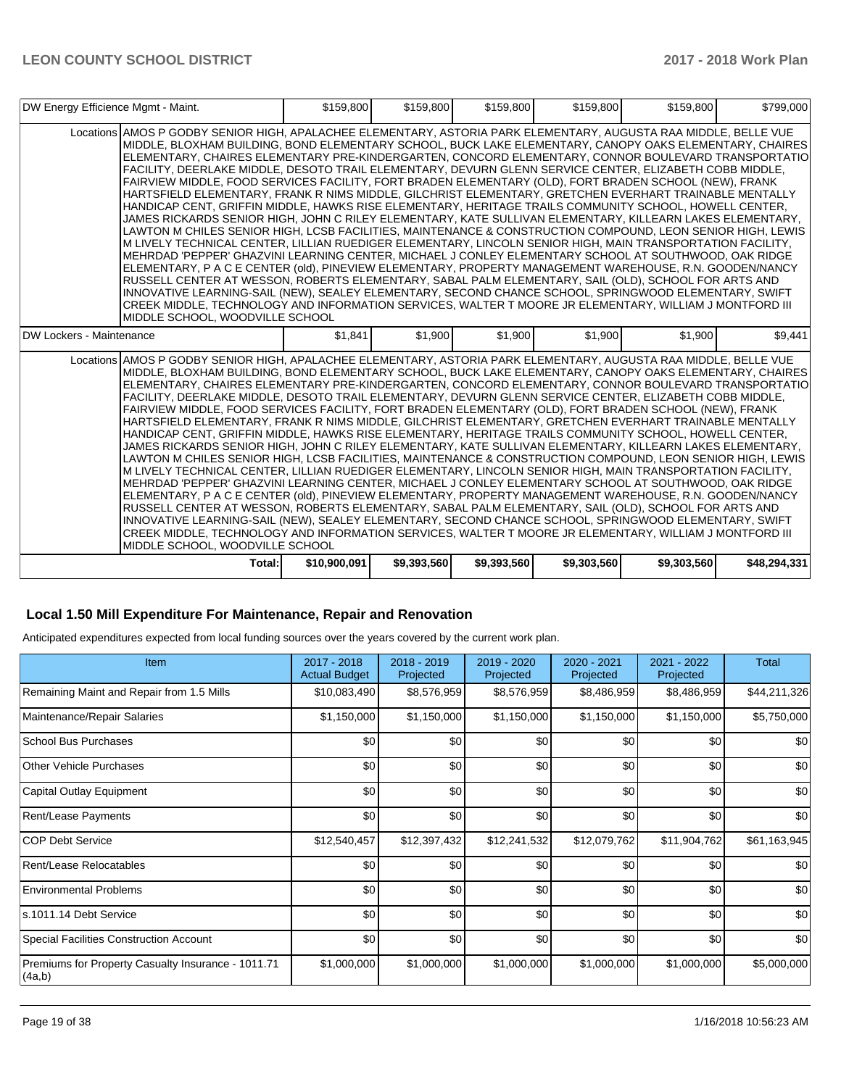| DW Energy Efficience Mgmt - Maint. |                                                                                                                                                                                                                                                                                                                                                                                                                                                                                                                                                                                                                                                                                                                                                                                                                                                                                                                                                                                                                                                                                                                                                                                                                                                                                                                                                                                                                                                                                                                                                                                                                                                                                                         | \$159,800    | \$159,800   | \$159,800   | \$159,800   | \$159,800   | \$799,000    |
|------------------------------------|---------------------------------------------------------------------------------------------------------------------------------------------------------------------------------------------------------------------------------------------------------------------------------------------------------------------------------------------------------------------------------------------------------------------------------------------------------------------------------------------------------------------------------------------------------------------------------------------------------------------------------------------------------------------------------------------------------------------------------------------------------------------------------------------------------------------------------------------------------------------------------------------------------------------------------------------------------------------------------------------------------------------------------------------------------------------------------------------------------------------------------------------------------------------------------------------------------------------------------------------------------------------------------------------------------------------------------------------------------------------------------------------------------------------------------------------------------------------------------------------------------------------------------------------------------------------------------------------------------------------------------------------------------------------------------------------------------|--------------|-------------|-------------|-------------|-------------|--------------|
|                                    | Locations AMOS P GODBY SENIOR HIGH, APALACHEE ELEMENTARY, ASTORIA PARK ELEMENTARY, AUGUSTA RAA MIDDLE, BELLE VUE<br>MIDDLE, BLOXHAM BUILDING, BOND ELEMENTARY SCHOOL, BUCK LAKE ELEMENTARY, CANOPY OAKS ELEMENTARY, CHAIRES<br>ELEMENTARY, CHAIRES ELEMENTARY PRE-KINDERGARTEN, CONCORD ELEMENTARY, CONNOR BOULEVARD TRANSPORTATIO<br>FACILITY, DEERLAKE MIDDLE, DESOTO TRAIL ELEMENTARY, DEVURN GLENN SERVICE CENTER, ELIZABETH COBB MIDDLE,<br>FAIRVIEW MIDDLE, FOOD SERVICES FACILITY, FORT BRADEN ELEMENTARY (OLD), FORT BRADEN SCHOOL (NEW), FRANK<br>HARTSFIELD ELEMENTARY, FRANK R NIMS MIDDLE, GILCHRIST ELEMENTARY, GRETCHEN EVERHART TRAINABLE MENTALLY<br>HANDICAP CENT, GRIFFIN MIDDLE, HAWKS RISE ELEMENTARY, HERITAGE TRAILS COMMUNITY SCHOOL, HOWELL CENTER,<br>JAMES RICKARDS SENIOR HIGH, JOHN C RILEY ELEMENTARY, KATE SULLIVAN ELEMENTARY, KILLEARN LAKES ELEMENTARY,<br>LAWTON M CHILES SENIOR HIGH, LCSB FACILITIES, MAINTENANCE & CONSTRUCTION COMPOUND, LEON SENIOR HIGH, LEWIS<br>M LIVELY TECHNICAL CENTER, LILLIAN RUEDIGER ELEMENTARY, LINCOLN SENIOR HIGH, MAIN TRANSPORTATION FACILITY,<br>MEHRDAD 'PEPPER' GHAZVINI LEARNING CENTER, MICHAEL J CONLEY ELEMENTARY SCHOOL AT SOUTHWOOD, OAK RIDGE<br>ELEMENTARY, P A C E CENTER (old), PINEVIEW ELEMENTARY, PROPERTY MANAGEMENT WAREHOUSE, R.N. GOODEN/NANCY<br>RUSSELL CENTER AT WESSON. ROBERTS ELEMENTARY. SABAL PALM ELEMENTARY. SAIL (OLD). SCHOOL FOR ARTS AND<br>INNOVATIVE LEARNING-SAIL (NEW), SEALEY ELEMENTARY, SECOND CHANCE SCHOOL, SPRINGWOOD ELEMENTARY, SWIFT<br>CREEK MIDDLE, TECHNOLOGY AND INFORMATION SERVICES, WALTER T MOORE JR ELEMENTARY, WILLIAM J MONTFORD III<br>MIDDLE SCHOOL, WOODVILLE SCHOOL |              |             |             |             |             |              |
| DW Lockers - Maintenance           |                                                                                                                                                                                                                                                                                                                                                                                                                                                                                                                                                                                                                                                                                                                                                                                                                                                                                                                                                                                                                                                                                                                                                                                                                                                                                                                                                                                                                                                                                                                                                                                                                                                                                                         | \$1,841      | \$1,900     | \$1,900     | \$1,900     | \$1,900     | \$9,441      |
|                                    | Locations AMOS P GODBY SENIOR HIGH, APALACHEE ELEMENTARY, ASTORIA PARK ELEMENTARY, AUGUSTA RAA MIDDLE, BELLE VUE<br>MIDDLE, BLOXHAM BUILDING, BOND ELEMENTARY SCHOOL, BUCK LAKE ELEMENTARY, CANOPY OAKS ELEMENTARY, CHAIRES<br>ELEMENTARY. CHAIRES ELEMENTARY PRE-KINDERGARTEN. CONCORD ELEMENTARY. CONNOR BOULEVARD TRANSPORTATIO<br>FACILITY, DEERLAKE MIDDLE, DESOTO TRAIL ELEMENTARY, DEVURN GLENN SERVICE CENTER, ELIZABETH COBB MIDDLE,<br>FAIRVIEW MIDDLE, FOOD SERVICES FACILITY, FORT BRADEN ELEMENTARY (OLD), FORT BRADEN SCHOOL (NEW), FRANK<br>HARTSFIELD ELEMENTARY, FRANK R NIMS MIDDLE, GILCHRIST ELEMENTARY, GRETCHEN EVERHART TRAINABLE MENTALLY<br>HANDICAP CENT, GRIFFIN MIDDLE, HAWKS RISE ELEMENTARY, HERITAGE TRAILS COMMUNITY SCHOOL, HOWELL CENTER,<br>JAMES RICKARDS SENIOR HIGH, JOHN C RILEY ELEMENTARY, KATE SULLIVAN ELEMENTARY, KILLEARN LAKES ELEMENTARY,<br>LAWTON M CHILES SENIOR HIGH, LCSB FACILITIES, MAINTENANCE & CONSTRUCTION COMPOUND, LEON SENIOR HIGH, LEWIS<br>M LIVELY TECHNICAL CENTER, LILLIAN RUEDIGER ELEMENTARY, LINCOLN SENIOR HIGH, MAIN TRANSPORTATION FACILITY,<br>MEHRDAD 'PEPPER' GHAZVINI LEARNING CENTER, MICHAEL J CONLEY ELEMENTARY SCHOOL AT SOUTHWOOD, OAK RIDGE<br>ELEMENTARY, P A C E CENTER (old), PINEVIEW ELEMENTARY, PROPERTY MANAGEMENT WAREHOUSE, R.N. GOODEN/NANCY<br>RUSSELL CENTER AT WESSON, ROBERTS ELEMENTARY, SABAL PALM ELEMENTARY, SAIL (OLD), SCHOOL FOR ARTS AND<br>INNOVATIVE LEARNING-SAIL (NEW), SEALEY ELEMENTARY, SECOND CHANCE SCHOOL, SPRINGWOOD ELEMENTARY, SWIFT<br>CREEK MIDDLE, TECHNOLOGY AND INFORMATION SERVICES, WALTER T MOORE JR ELEMENTARY, WILLIAM J MONTFORD III<br>MIDDLE SCHOOL, WOODVILLE SCHOOL |              |             |             |             |             |              |
|                                    | Total:                                                                                                                                                                                                                                                                                                                                                                                                                                                                                                                                                                                                                                                                                                                                                                                                                                                                                                                                                                                                                                                                                                                                                                                                                                                                                                                                                                                                                                                                                                                                                                                                                                                                                                  | \$10,900,091 | \$9,393,560 | \$9,393,560 | \$9,303,560 | \$9,303,560 | \$48,294,331 |

## **Local 1.50 Mill Expenditure For Maintenance, Repair and Renovation**

Anticipated expenditures expected from local funding sources over the years covered by the current work plan.

| Item                                                         | 2017 - 2018<br><b>Actual Budget</b> | $2018 - 2019$<br>Projected | 2019 - 2020<br>Projected | 2020 - 2021<br>Projected | 2021 - 2022<br>Projected | Total        |
|--------------------------------------------------------------|-------------------------------------|----------------------------|--------------------------|--------------------------|--------------------------|--------------|
| Remaining Maint and Repair from 1.5 Mills                    | \$10,083,490                        | \$8,576,959                | \$8,576,959              | \$8,486,959              | \$8,486,959              | \$44,211,326 |
| Maintenance/Repair Salaries                                  | \$1,150,000                         | \$1,150,000                | \$1,150,000              | \$1,150,000              | \$1,150,000              | \$5,750,000  |
| School Bus Purchases                                         | \$0                                 | \$0                        | \$0                      | \$0                      | \$0                      | \$0          |
| <b>Other Vehicle Purchases</b>                               | \$0                                 | \$0                        | \$0                      | \$0                      | \$0                      | \$0          |
| Capital Outlay Equipment                                     | \$0                                 | \$0                        | \$0                      | \$0                      | \$0                      | \$0          |
| Rent/Lease Payments                                          | \$0                                 | \$0                        | \$0                      | \$0                      | \$0                      | \$0          |
| ICOP Debt Service                                            | \$12,540,457                        | \$12,397,432               | \$12,241,532             | \$12,079,762             | \$11,904,762             | \$61,163,945 |
| Rent/Lease Relocatables                                      | \$0                                 | \$0                        | \$0                      | \$0                      | \$0                      | \$0          |
| <b>Environmental Problems</b>                                | \$0                                 | \$0                        | \$0                      | \$0                      | \$0                      | \$0          |
| s.1011.14 Debt Service                                       | \$0                                 | \$0                        | \$0                      | \$0                      | \$0                      | \$0          |
| Special Facilities Construction Account                      | \$0                                 | \$0                        | \$0                      | \$0                      | \$0                      | \$0          |
| Premiums for Property Casualty Insurance - 1011.71<br>(4a,b) | \$1,000,000                         | \$1,000,000                | \$1,000,000              | \$1,000,000              | \$1,000,000              | \$5,000,000  |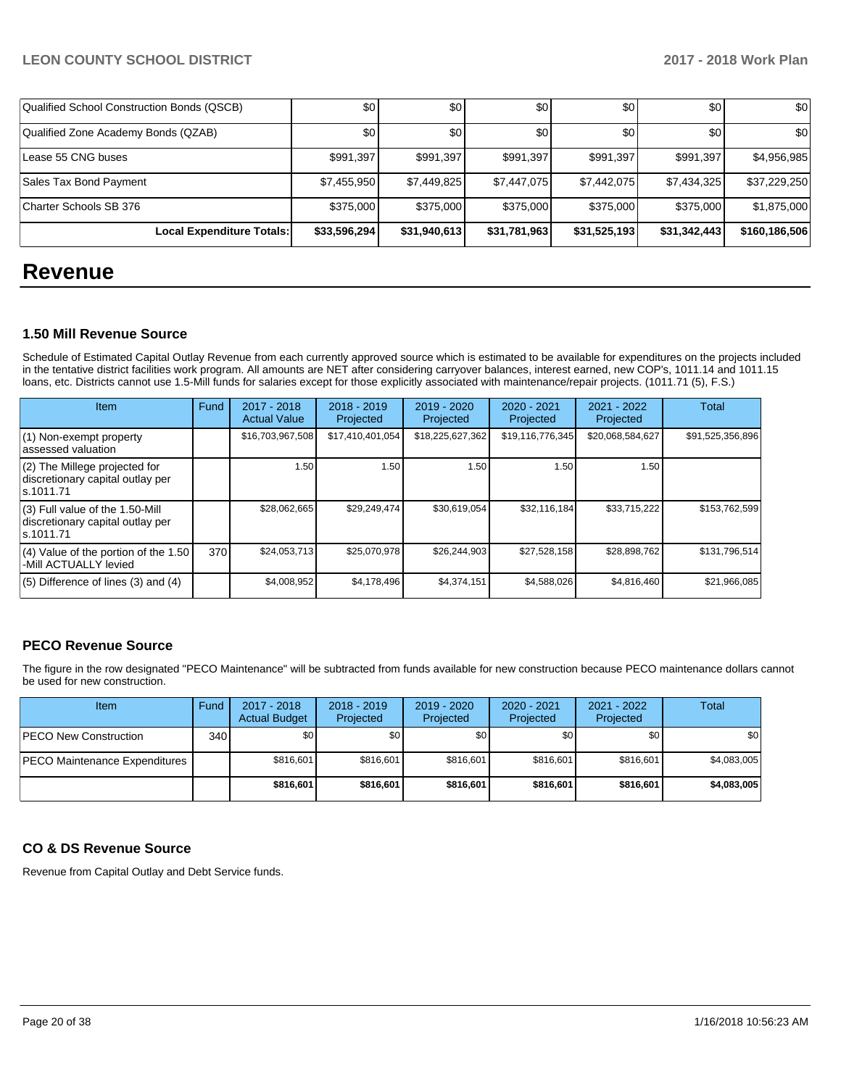| Qualified School Construction Bonds (QSCB) | \$0          | \$0          | \$0          | \$0          | \$0 <sub>1</sub> | \$0           |
|--------------------------------------------|--------------|--------------|--------------|--------------|------------------|---------------|
| Qualified Zone Academy Bonds (QZAB)        | \$0          | \$0          | \$0          | \$0          | \$0 <sub>1</sub> | \$0           |
| Lease 55 CNG buses                         | \$991,397    | \$991,397    | \$991,397    | \$991,397    | \$991.397        | \$4,956,985   |
| Sales Tax Bond Payment                     | \$7,455,950  | \$7,449,825  | \$7,447,075  | \$7,442,075  | \$7,434,325      | \$37,229,250  |
| Charter Schools SB 376                     | \$375,000    | \$375,000    | \$375,000    | \$375,000    | \$375,000        | \$1,875,000   |
| Local Expenditure Totals:                  | \$33,596,294 | \$31,940,613 | \$31,781,963 | \$31,525,193 | \$31,342,443     | \$160,186,506 |

## **Revenue**

### **1.50 Mill Revenue Source**

Schedule of Estimated Capital Outlay Revenue from each currently approved source which is estimated to be available for expenditures on the projects included in the tentative district facilities work program. All amounts are NET after considering carryover balances, interest earned, new COP's, 1011.14 and 1011.15 loans, etc. Districts cannot use 1.5-Mill funds for salaries except for those explicitly associated with maintenance/repair projects. (1011.71 (5), F.S.)

| Item                                                                                | Fund | $2017 - 2018$<br><b>Actual Value</b> | $2018 - 2019$<br>Projected | $2019 - 2020$<br>Projected | $2020 - 2021$<br>Projected | 2021 - 2022<br>Projected | <b>Total</b>     |
|-------------------------------------------------------------------------------------|------|--------------------------------------|----------------------------|----------------------------|----------------------------|--------------------------|------------------|
| (1) Non-exempt property<br>lassessed valuation                                      |      | \$16,703,967,508                     | \$17,410,401,054           | \$18,225,627,362           | \$19,116,776,345           | \$20,068,584,627         | \$91,525,356,896 |
| $(2)$ The Millege projected for<br>discretionary capital outlay per<br>ls.1011.71   |      | 1.50                                 | 1.50                       | 1.50                       | 1.50                       | 1.50                     |                  |
| $(3)$ Full value of the 1.50-Mill<br>discretionary capital outlay per<br>ls.1011.71 |      | \$28,062,665                         | \$29,249,474               | \$30,619,054               | \$32.116.184               | \$33,715,222             | \$153,762,599    |
| $(4)$ Value of the portion of the 1.50<br>-Mill ACTUALLY levied                     | 370  | \$24,053,713                         | \$25,070,978               | \$26,244,903               | \$27,528,158               | \$28,898,762             | \$131,796,514    |
| $(5)$ Difference of lines $(3)$ and $(4)$                                           |      | \$4,008,952                          | \$4,178,496                | \$4,374,151                | \$4,588,026                | \$4,816,460              | \$21,966,085     |

## **PECO Revenue Source**

The figure in the row designated "PECO Maintenance" will be subtracted from funds available for new construction because PECO maintenance dollars cannot be used for new construction.

| Item                          | Fund  | $2017 - 2018$<br><b>Actual Budget</b> | $2018 - 2019$<br>Projected | $2019 - 2020$<br>Projected | $2020 - 2021$<br>Projected | 2021 - 2022<br>Projected | Total       |
|-------------------------------|-------|---------------------------------------|----------------------------|----------------------------|----------------------------|--------------------------|-------------|
| <b>IPECO New Construction</b> | 340 l | \$0                                   | \$0                        | \$0                        | \$0 <sub>1</sub>           | \$0 <sub>1</sub>         | \$0         |
| PECO Maintenance Expenditures |       | \$816,601                             | \$816.601                  | \$816.601                  | \$816,601                  | \$816.601                | \$4,083,005 |
|                               |       | \$816,601                             | \$816,601                  | \$816,601                  | \$816,601                  | \$816,601                | \$4,083,005 |

## **CO & DS Revenue Source**

Revenue from Capital Outlay and Debt Service funds.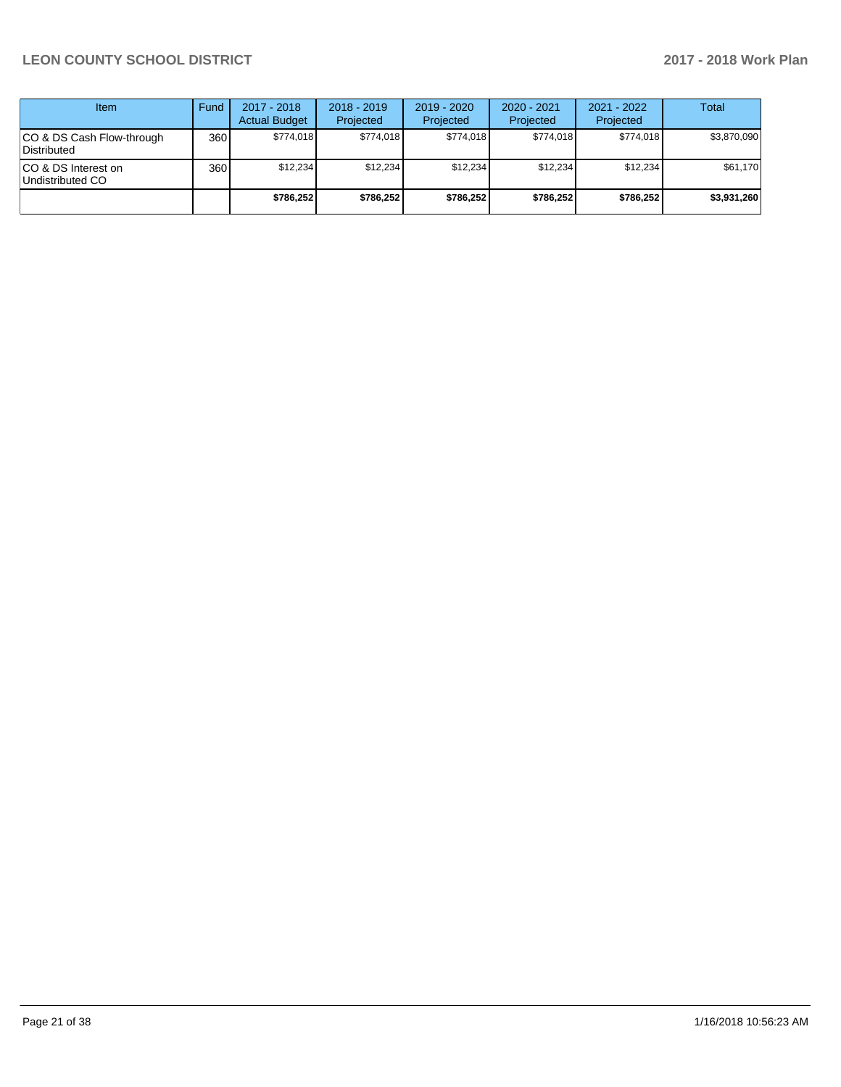| Item                                      | Fund | $2017 - 2018$<br><b>Actual Budget</b> | $2018 - 2019$<br>Projected | $2019 - 2020$<br>Projected | $2020 - 2021$<br>Projected | 2021 - 2022<br>Projected | <b>Total</b> |
|-------------------------------------------|------|---------------------------------------|----------------------------|----------------------------|----------------------------|--------------------------|--------------|
| ICO & DS Cash Flow-through<br>Distributed | 360  | \$774.018                             | \$774,018                  | \$774.018                  | \$774.018                  | \$774.018                | \$3,870,090  |
| ICO & DS Interest on<br>Undistributed CO  | 360  | \$12.234                              | \$12.234                   | \$12.234                   | \$12.234                   | \$12.234                 | \$61,170     |
|                                           |      | \$786.252                             | \$786,252                  | \$786.252                  | \$786.252                  | \$786.252                | \$3,931,260  |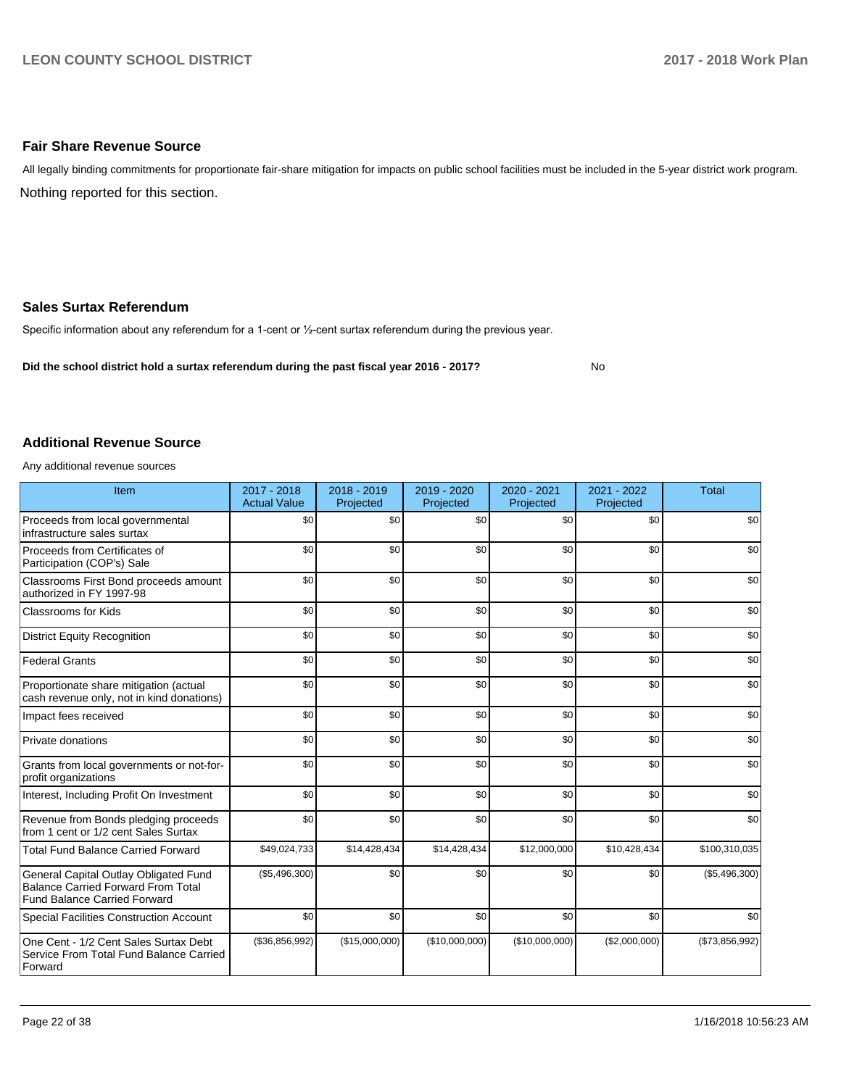### **Fair Share Revenue Source**

Nothing reported for this section. All legally binding commitments for proportionate fair-share mitigation for impacts on public school facilities must be included in the 5-year district work program.

#### **Sales Surtax Referendum**

Specific information about any referendum for a 1-cent or 1/2-cent surtax referendum during the previous year.

**Did the school district hold a surtax referendum during the past fiscal year 2016 - 2017?**

No

#### **Additional Revenue Source**

Any additional revenue sources

| Item                                                                                                                      | 2017 - 2018<br><b>Actual Value</b> | $2018 - 2019$<br>Projected | 2019 - 2020<br>Projected | 2020 - 2021<br>Projected | 2021 - 2022<br>Projected | <b>Total</b>   |
|---------------------------------------------------------------------------------------------------------------------------|------------------------------------|----------------------------|--------------------------|--------------------------|--------------------------|----------------|
| Proceeds from local governmental<br>infrastructure sales surtax                                                           | \$0                                | \$0                        | \$0                      | \$0                      | \$0                      | \$0            |
| Proceeds from Certificates of<br>Participation (COP's) Sale                                                               | \$0                                | \$0                        | \$0                      | \$0                      | \$0                      | \$0            |
| Classrooms First Bond proceeds amount<br>authorized in FY 1997-98                                                         | \$0                                | \$0                        | \$0                      | \$0                      | \$0                      | \$0            |
| <b>Classrooms for Kids</b>                                                                                                | \$0                                | \$0                        | \$0                      | \$0                      | \$0                      | \$0            |
| <b>District Equity Recognition</b>                                                                                        | \$0                                | \$0                        | \$0                      | \$0                      | \$0                      | \$0            |
| <b>Federal Grants</b>                                                                                                     | \$0                                | \$0                        | \$0                      | \$0                      | \$0                      | \$0            |
| Proportionate share mitigation (actual<br>cash revenue only, not in kind donations)                                       | \$0                                | \$0                        | \$0                      | \$0                      | \$0                      | \$0            |
| Impact fees received                                                                                                      | \$0                                | \$0                        | \$0                      | \$0                      | \$0                      | \$0            |
| Private donations                                                                                                         | \$0                                | \$0                        | \$0                      | \$0                      | \$0                      | \$0            |
| Grants from local governments or not-for-<br>profit organizations                                                         | \$0                                | \$0                        | \$0                      | \$0                      | \$0                      | \$0            |
| Interest, Including Profit On Investment                                                                                  | \$0                                | \$0                        | \$0                      | \$0                      | \$0                      | \$0            |
| Revenue from Bonds pledging proceeds<br>from 1 cent or 1/2 cent Sales Surtax                                              | \$0                                | \$0                        | \$0                      | \$0                      | \$0                      | \$0            |
| <b>Total Fund Balance Carried Forward</b>                                                                                 | \$49,024,733                       | \$14,428,434               | \$14,428,434             | \$12,000,000             | \$10,428,434             | \$100,310,035  |
| General Capital Outlay Obligated Fund<br><b>Balance Carried Forward From Total</b><br><b>Fund Balance Carried Forward</b> | (\$5,496,300)                      | \$0                        | \$0                      | \$0                      | \$0                      | (\$5,496,300)  |
| <b>Special Facilities Construction Account</b>                                                                            | \$0                                | \$0                        | \$0                      | \$0                      | \$0                      | \$0            |
| One Cent - 1/2 Cent Sales Surtax Debt<br>Service From Total Fund Balance Carried<br>Forward                               | (\$36,856,992)                     | (\$15,000,000)             | (\$10,000,000)           | (\$10,000,000)           | (\$2,000,000)            | (\$73,856,992) |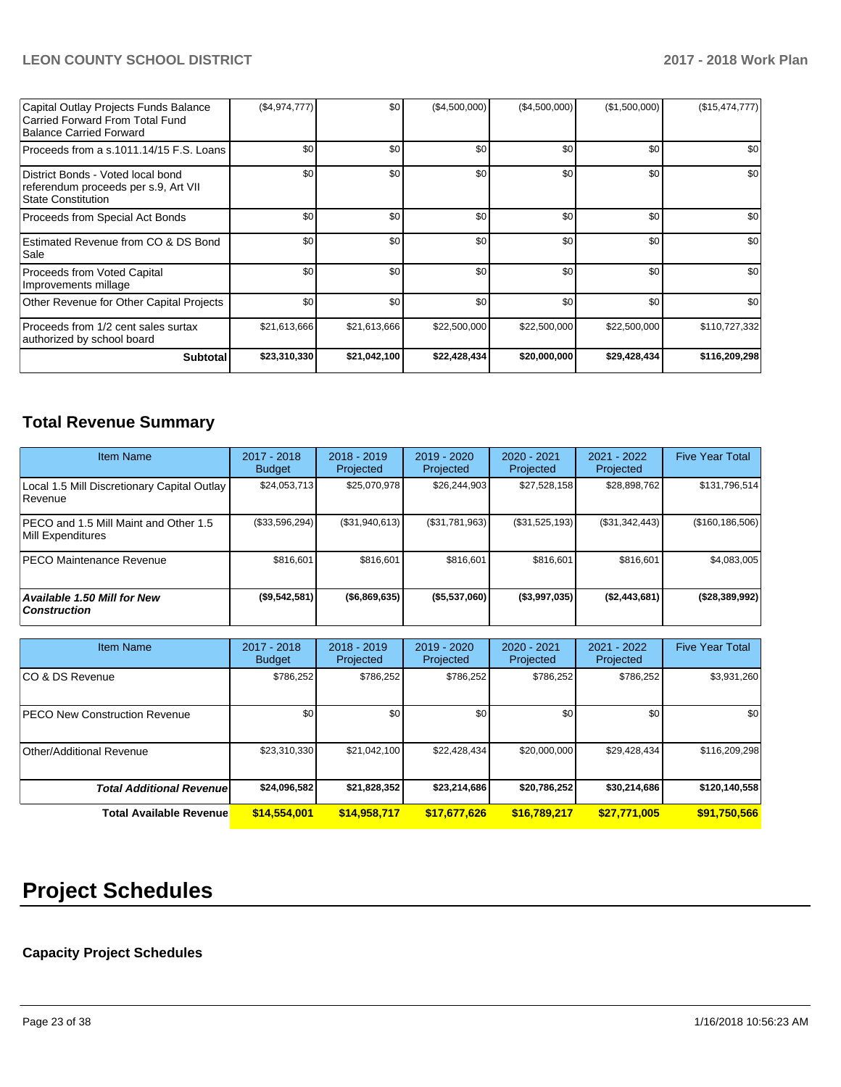| Capital Outlay Projects Funds Balance<br>Carried Forward From Total Fund<br>Balance Carried Forward    | (\$4,974,777) | \$0          | (\$4,500,000) | (\$4,500,000) | (\$1,500,000)    | (\$15,474,777) |
|--------------------------------------------------------------------------------------------------------|---------------|--------------|---------------|---------------|------------------|----------------|
| Proceeds from a s.1011.14/15 F.S. Loans                                                                | \$0           | \$0          | \$0           | \$0           | \$0 <sub>1</sub> | \$0            |
| District Bonds - Voted local bond<br>referendum proceeds per s.9, Art VII<br><b>State Constitution</b> | \$0           | \$0          | \$0           | \$0           | \$0              | \$0            |
| Proceeds from Special Act Bonds                                                                        | \$0           | \$0          | \$0           | \$0           | \$0              | \$0            |
| Estimated Revenue from CO & DS Bond<br>Sale                                                            | \$0           | \$0          | \$0           | \$0           | \$0 <sub>1</sub> | \$0            |
| <b>Proceeds from Voted Capital</b><br>Improvements millage                                             | \$0           | \$0          | \$0           | \$0           | \$0              | \$0            |
| Other Revenue for Other Capital Projects                                                               | \$0           | \$0          | \$0           | \$0           | \$0              | \$0            |
| Proceeds from 1/2 cent sales surtax<br>authorized by school board                                      | \$21,613,666  | \$21,613,666 | \$22,500,000  | \$22,500,000  | \$22,500,000     | \$110,727,332  |
| <b>Subtotal</b>                                                                                        | \$23,310,330  | \$21,042,100 | \$22,428,434  | \$20,000,000  | \$29,428,434     | \$116,209,298  |

## **Total Revenue Summary**

| <b>Item Name</b>                                                  | 2017 - 2018<br><b>Budget</b> | $2018 - 2019$<br>Projected | 2019 - 2020<br>Projected | $2020 - 2021$<br>Projected | 2021 - 2022<br>Projected | <b>Five Year Total</b> |
|-------------------------------------------------------------------|------------------------------|----------------------------|--------------------------|----------------------------|--------------------------|------------------------|
| Local 1.5 Mill Discretionary Capital Outlay<br><b>Revenue</b>     | \$24,053,713                 | \$25,070,978               | \$26,244,903             | \$27,528,158               | \$28,898,762             | \$131,796,514          |
| <b>PECO</b> and 1.5 Mill Maint and Other 1.5<br>Mill Expenditures | (\$33,596,294)               | (\$31,940,613)             | (\$31,781,963)           | (S31, 525, 193)            | (S31, 342, 443)          | (\$160, 186, 506)      |
| <b>PECO Maintenance Revenue</b>                                   | \$816,601                    | \$816,601                  | \$816,601                | \$816,601                  | \$816,601                | \$4,083,005            |
| <b>Available 1.50 Mill for New</b><br>  Construction              | (\$9,542,581)                | ( \$6,869,635)             | (\$5,537,060)            | (\$3,997,035)              | (\$2,443,681)            | ( \$28, 389, 992)      |

| <b>Item Name</b>                     | $2017 - 2018$<br><b>Budget</b> | $2018 - 2019$<br>Projected | $2019 - 2020$<br><b>Projected</b> | 2020 - 2021<br>Projected | $2021 - 2022$<br>Projected | <b>Five Year Total</b> |
|--------------------------------------|--------------------------------|----------------------------|-----------------------------------|--------------------------|----------------------------|------------------------|
| ICO & DS Revenue                     | \$786,252                      | \$786,252                  | \$786,252                         | \$786,252                | \$786,252                  | \$3,931,260            |
| <b>PECO New Construction Revenue</b> | \$0 <sub>1</sub>               | \$0                        | \$0                               | \$0                      | \$0 <sub>1</sub>           | \$0                    |
| Other/Additional Revenue             | \$23.310.330                   | \$21,042,100               | \$22.428.434                      | \$20,000,000             | \$29.428.434               | \$116,209,298          |
| <b>Total Additional Revenuel</b>     | \$24,096,582                   | \$21,828,352               | \$23,214,686                      | \$20,786,252             | \$30,214,686               | \$120,140,558          |
| <b>Total Available Revenue</b>       | \$14,554,001                   | \$14,958,717               | \$17,677,626                      | \$16,789,217             | \$27,771,005               | \$91,750,566           |

# **Project Schedules**

## **Capacity Project Schedules**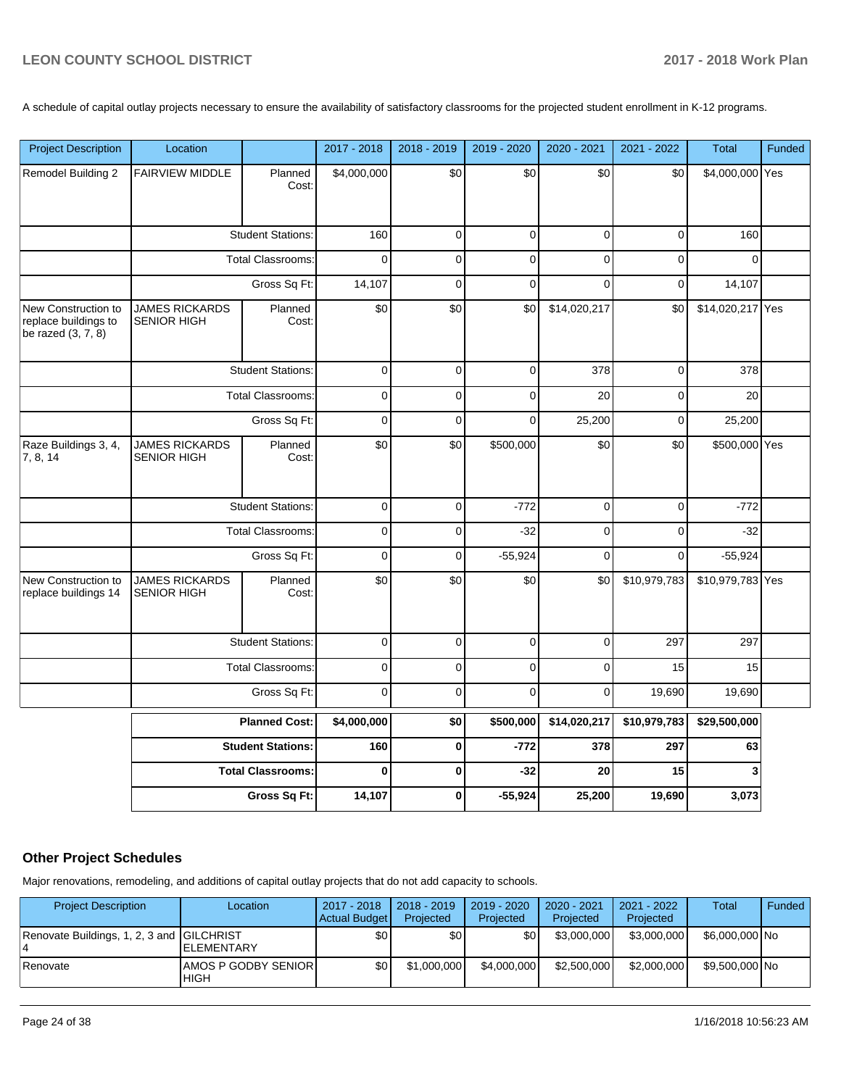A schedule of capital outlay projects necessary to ensure the availability of satisfactory classrooms for the projected student enrollment in K-12 programs.

| <b>Project Description</b>                                          | Location                                    |                          | 2017 - 2018 | 2018 - 2019 | 2019 - 2020 | 2020 - 2021  | 2021 - 2022  | <b>Total</b>     | Funded |
|---------------------------------------------------------------------|---------------------------------------------|--------------------------|-------------|-------------|-------------|--------------|--------------|------------------|--------|
| Remodel Building 2                                                  | <b>FAIRVIEW MIDDLE</b>                      | Planned<br>Cost:         | \$4,000,000 | \$0         | \$0         | \$0          | \$0          | \$4,000,000 Yes  |        |
|                                                                     |                                             | <b>Student Stations:</b> | 160         | $\mathsf 0$ | $\mathsf 0$ | $\mathbf 0$  | $\mathsf 0$  | 160              |        |
|                                                                     |                                             | <b>Total Classrooms:</b> | $\Omega$    | $\mathbf 0$ | $\mathbf 0$ | 0            | 0            | $\Omega$         |        |
|                                                                     | Gross Sq Ft:                                |                          | 14,107      | $\mathbf 0$ | $\mathbf 0$ | $\Omega$     | $\mathbf 0$  | 14,107           |        |
| New Construction to<br>replace buildings to<br>be razed $(3, 7, 8)$ | <b>JAMES RICKARDS</b><br><b>SENIOR HIGH</b> | Planned<br>Cost:         | \$0         | \$0         | \$0         | \$14,020,217 | \$0          | \$14,020,217 Yes |        |
|                                                                     |                                             | <b>Student Stations:</b> | $\mathbf 0$ | $\pmb{0}$   | $\mathbf 0$ | 378          | $\pmb{0}$    | 378              |        |
|                                                                     |                                             | <b>Total Classrooms:</b> | $\mathbf 0$ | $\mathbf 0$ | $\mathbf 0$ | 20           | 0            | 20               |        |
|                                                                     |                                             | Gross Sq Ft:             | $\pmb{0}$   | $\pmb{0}$   | $\pmb{0}$   | 25,200       | 0            | 25,200           |        |
| Raze Buildings 3, 4,<br>7, 8, 14                                    | <b>JAMES RICKARDS</b><br><b>SENIOR HIGH</b> | Planned<br>Cost:         | \$0         | \$0         | \$500,000   | \$0          | \$0          | \$500,000 Yes    |        |
|                                                                     |                                             | <b>Student Stations:</b> | $\pmb{0}$   | $\mathbf 0$ | $-772$      | $\mathbf 0$  | $\mathbf 0$  | $-772$           |        |
|                                                                     |                                             | <b>Total Classrooms:</b> | $\pmb{0}$   | 0           | $-32$       | 0            | 0            | $-32$            |        |
|                                                                     |                                             | Gross Sq Ft:             | $\pmb{0}$   | 0           | $-55,924$   | $\mathbf 0$  | $\mathbf 0$  | $-55,924$        |        |
| New Construction to<br>replace buildings 14                         | <b>JAMES RICKARDS</b><br><b>SENIOR HIGH</b> | Planned<br>Cost:         | \$0         | \$0         | \$0         | \$0          | \$10,979,783 | \$10,979,783 Yes |        |
|                                                                     |                                             | <b>Student Stations:</b> | $\pmb{0}$   | $\pmb{0}$   | $\mathbf 0$ | $\mathbf 0$  | 297          | 297              |        |
|                                                                     |                                             | <b>Total Classrooms:</b> | $\pmb{0}$   | 0           | $\pmb{0}$   | 0            | 15           | 15               |        |
|                                                                     |                                             | Gross Sq Ft:             | $\mathbf 0$ | $\mathbf 0$ | $\mathbf 0$ | $\mathbf 0$  | 19,690       | 19,690           |        |
|                                                                     |                                             | <b>Planned Cost:</b>     | \$4,000,000 | \$0         | \$500,000   | \$14,020,217 | \$10,979,783 | \$29,500,000     |        |
|                                                                     |                                             | <b>Student Stations:</b> | 160         | $\pmb{0}$   | $-772$      | 378          | 297          | 63               |        |
|                                                                     |                                             | <b>Total Classrooms:</b> | $\bf{0}$    | 0           | $-32$       | 20           | 15           | 3                |        |
|                                                                     |                                             | Gross Sq Ft:             | 14,107      | 0           | $-55,924$   | 25,200       | 19,690       | 3,073            |        |

## **Other Project Schedules**

Major renovations, remodeling, and additions of capital outlay projects that do not add capacity to schools.

| <b>Project Description</b>                | Location                                  | 2017 - 2018<br>Actual Budget | $12018 - 2019$<br>Projected | 2019 - 2020<br>Projected | $2020 - 2021$<br>Projected | 2021 - 2022<br>Projected | <b>Total</b>   | Funded |
|-------------------------------------------|-------------------------------------------|------------------------------|-----------------------------|--------------------------|----------------------------|--------------------------|----------------|--------|
| Renovate Buildings, 1, 2, 3 and GILCHRIST | <b>IELEMENTARY</b>                        | \$0                          | \$0                         | \$0                      | \$3,000,000                | \$3.000.000              | \$6,000,000 No |        |
| <b>Renovate</b>                           | <b>AMOS P GODBY SENIOR</b><br><b>HIGH</b> | \$0                          | \$1,000,000                 | \$4,000,000              | \$2,500,000                | \$2,000,000              | \$9.500,000 No |        |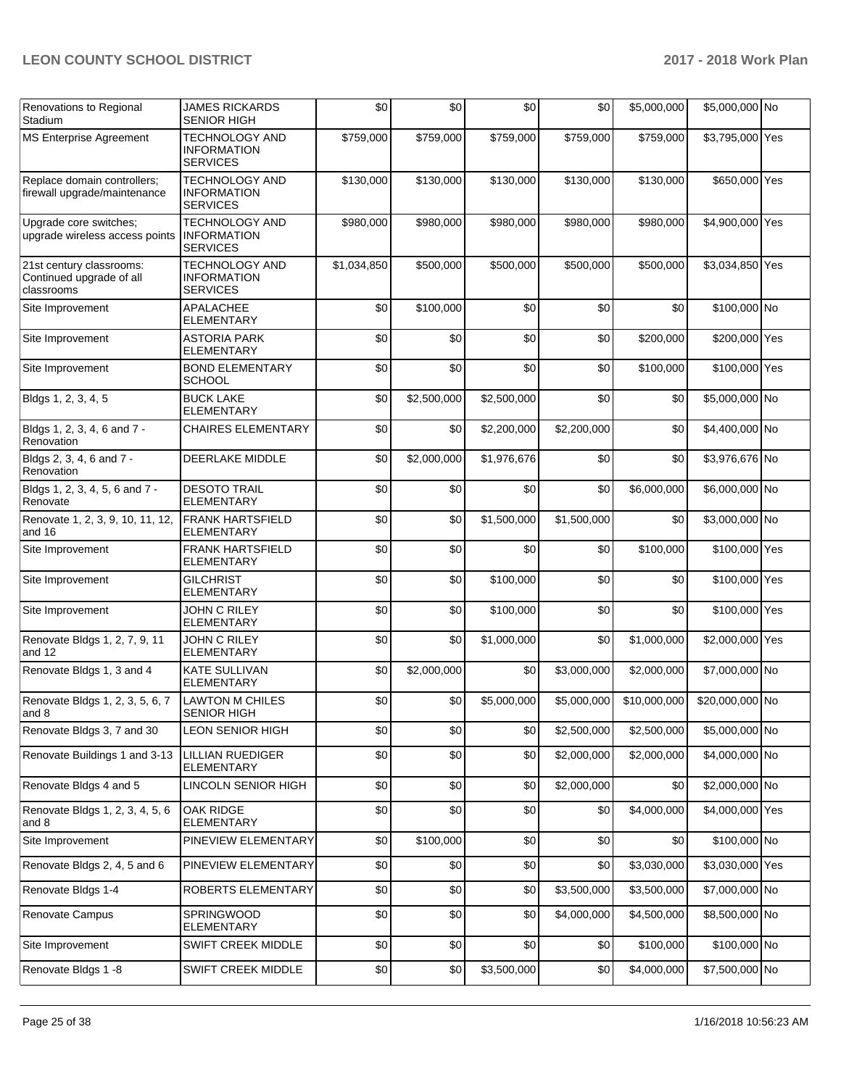| Renovations to Regional<br>Stadium                                 | JAMES RICKARDS<br><b>SENIOR HIGH</b>                           | \$0         | \$0         | \$0         | \$0         | \$5,000,000  | \$5,000,000 No  |  |
|--------------------------------------------------------------------|----------------------------------------------------------------|-------------|-------------|-------------|-------------|--------------|-----------------|--|
| <b>MS Enterprise Agreement</b>                                     | <b>TECHNOLOGY AND</b><br><b>INFORMATION</b><br><b>SERVICES</b> | \$759,000   | \$759,000   | \$759,000   | \$759,000   | \$759,000    | \$3,795,000 Yes |  |
| Replace domain controllers;<br>firewall upgrade/maintenance        | <b>TECHNOLOGY AND</b><br><b>INFORMATION</b><br><b>SERVICES</b> | \$130,000   | \$130,000   | \$130,000   | \$130,000   | \$130,000    | \$650,000 Yes   |  |
| Upgrade core switches;<br>upgrade wireless access points           | <b>TECHNOLOGY AND</b><br><b>INFORMATION</b><br><b>SERVICES</b> | \$980,000   | \$980,000   | \$980,000   | \$980,000   | \$980,000    | \$4,900,000 Yes |  |
| 21st century classrooms:<br>Continued upgrade of all<br>classrooms | <b>TECHNOLOGY AND</b><br><b>INFORMATION</b><br><b>SERVICES</b> | \$1,034,850 | \$500,000   | \$500,000   | \$500,000   | \$500,000    | \$3,034,850 Yes |  |
| Site Improvement                                                   | <b>APALACHEE</b><br><b>ELEMENTARY</b>                          | \$0         | \$100,000   | \$0         | \$0         | \$0          | \$100,000 No    |  |
| Site Improvement                                                   | <b>ASTORIA PARK</b><br><b>ELEMENTARY</b>                       | \$0         | \$0         | \$0         | \$0         | \$200,000    | \$200,000 Yes   |  |
| Site Improvement                                                   | <b>BOND ELEMENTARY</b><br><b>SCHOOL</b>                        | \$0         | \$0         | \$0         | \$0         | \$100,000    | \$100,000 Yes   |  |
| Bldgs 1, 2, 3, 4, 5                                                | <b>BUCK LAKE</b><br><b>ELEMENTARY</b>                          | \$0         | \$2,500,000 | \$2,500,000 | \$0         | \$0          | \$5,000,000 No  |  |
| Bldgs 1, 2, 3, 4, 6 and 7 -<br>Renovation                          | <b>CHAIRES ELEMENTARY</b>                                      | \$0         | \$0         | \$2,200,000 | \$2,200,000 | \$0          | \$4,400,000 No  |  |
| Bldgs 2, 3, 4, 6 and 7 -<br>Renovation                             | DEERLAKE MIDDLE                                                | \$0         | \$2,000,000 | \$1,976,676 | \$0         | \$0          | \$3,976,676 No  |  |
| Bldgs 1, 2, 3, 4, 5, 6 and 7 -<br>Renovate                         | <b>DESOTO TRAIL</b><br><b>ELEMENTARY</b>                       | \$0         | \$0         | \$0         | \$0         | \$6,000,000  | \$6,000,000 No  |  |
| Renovate 1, 2, 3, 9, 10, 11, 12,<br>and 16                         | <b>FRANK HARTSFIELD</b><br><b>ELEMENTARY</b>                   | \$0         | \$0         | \$1,500,000 | \$1,500,000 | \$0          | \$3,000,000 No  |  |
| Site Improvement                                                   | <b>FRANK HARTSFIELD</b><br><b>ELEMENTARY</b>                   | \$0         | \$0         | \$0         | \$0         | \$100,000    | \$100,000 Yes   |  |
| Site Improvement                                                   | <b>GILCHRIST</b><br><b>ELEMENTARY</b>                          | \$0         | \$0         | \$100,000   | \$0         | \$0          | \$100,000 Yes   |  |
| Site Improvement                                                   | JOHN C RILEY<br>ELEMENTARY                                     | \$0         | \$0         | \$100,000   | \$0         | \$0          | \$100,000 Yes   |  |
| Renovate Bldgs 1, 2, 7, 9, 11<br>and 12                            | <b>JOHN C RILEY</b><br><b>ELEMENTARY</b>                       | \$0         | \$0         | \$1,000,000 | \$0         | \$1,000,000  | \$2,000,000 Yes |  |
| Renovate Bldgs 1, 3 and 4                                          | <b>KATE SULLIVAN</b><br><b>ELEMENTARY</b>                      | \$0         | \$2,000,000 | \$0         | \$3,000,000 | \$2,000,000  | \$7,000,000 No  |  |
| Renovate Bldgs 1, 2, 3, 5, 6, 7<br>and 8                           | <b>LAWTON M CHILES</b><br>SENIOR HIGH                          | \$0         | \$0         | \$5,000,000 | \$5,000,000 | \$10,000,000 | \$20,000,000 No |  |
| Renovate Bldgs 3, 7 and 30                                         | <b>LEON SENIOR HIGH</b>                                        | \$0         | \$0         | \$0         | \$2,500,000 | \$2,500,000  | \$5,000,000 No  |  |
| Renovate Buildings 1 and 3-13                                      | <b>LILLIAN RUEDIGER</b><br><b>ELEMENTARY</b>                   | \$0         | \$0         | \$0         | \$2,000,000 | \$2,000,000  | \$4,000,000 No  |  |
| Renovate Bldgs 4 and 5                                             | LINCOLN SENIOR HIGH                                            | \$0         | \$0         | \$0         | \$2,000,000 | \$0          | \$2,000,000 No  |  |
| Renovate Bldgs 1, 2, 3, 4, 5, 6<br>and 8                           | OAK RIDGE<br><b>ELEMENTARY</b>                                 | \$0         | \$0         | \$0         | \$0         | \$4,000,000  | \$4,000,000 Yes |  |
| Site Improvement                                                   | PINEVIEW ELEMENTARY                                            | \$0         | \$100,000   | \$0         | \$0         | \$0          | \$100,000 No    |  |
| Renovate Bldgs 2, 4, 5 and 6                                       | PINEVIEW ELEMENTARY                                            | \$0         | \$0         | \$0         | \$0         | \$3,030,000  | \$3,030,000 Yes |  |
| Renovate Bldgs 1-4                                                 | ROBERTS ELEMENTARY                                             | \$0         | \$0         | \$0         | \$3,500,000 | \$3,500,000  | \$7,000,000 No  |  |
| Renovate Campus                                                    | SPRINGWOOD<br>ELEMENTARY                                       | \$0         | \$0         | \$0         | \$4,000,000 | \$4,500,000  | \$8,500,000 No  |  |
| Site Improvement                                                   | SWIFT CREEK MIDDLE                                             | \$0         | \$0         | \$0         | \$0         | \$100,000    | \$100,000 No    |  |
| Renovate Bldgs 1 -8                                                | SWIFT CREEK MIDDLE                                             | \$0         | \$0         | \$3,500,000 | \$0         | \$4,000,000  | \$7,500,000 No  |  |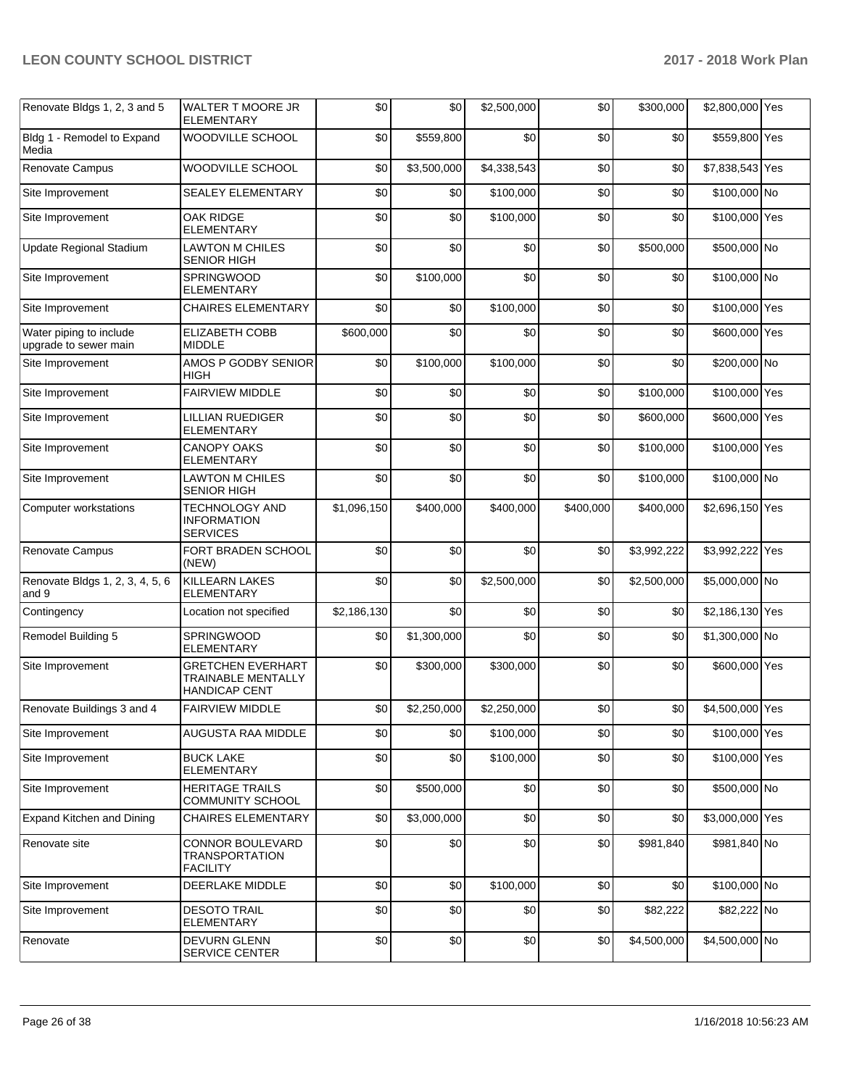| Renovate Bldgs 1, 2, 3 and 5                     | WALTER T MOORE JR<br><b>ELEMENTARY</b>                                        | \$0         | \$0         | \$2,500,000 | \$0              | \$300,000   | \$2,800,000 Yes |  |
|--------------------------------------------------|-------------------------------------------------------------------------------|-------------|-------------|-------------|------------------|-------------|-----------------|--|
| Bldg 1 - Remodel to Expand<br>Media              | WOODVILLE SCHOOL                                                              | \$0         | \$559,800   | \$0         | \$0              | \$0         | \$559,800 Yes   |  |
| Renovate Campus                                  | WOODVILLE SCHOOL                                                              | \$0         | \$3,500,000 | \$4,338,543 | \$0              | \$0         | \$7,838,543 Yes |  |
| Site Improvement                                 | <b>SEALEY ELEMENTARY</b>                                                      | \$0         | \$0         | \$100,000   | \$0              | \$0         | \$100,000 No    |  |
| Site Improvement                                 | <b>OAK RIDGE</b><br><b>ELEMENTARY</b>                                         | \$0         | \$0         | \$100,000   | \$0              | \$0         | \$100,000 Yes   |  |
| Update Regional Stadium                          | <b>LAWTON M CHILES</b><br>SENIOR HIGH                                         | \$0         | \$0         | \$0         | \$0              | \$500,000   | \$500,000 No    |  |
| Site Improvement                                 | <b>SPRINGWOOD</b><br><b>ELEMENTARY</b>                                        | \$0         | \$100,000   | \$0         | \$0              | \$0         | \$100,000 No    |  |
| Site Improvement                                 | <b>CHAIRES ELEMENTARY</b>                                                     | \$0         | \$0         | \$100,000   | \$0              | \$0         | \$100,000 Yes   |  |
| Water piping to include<br>upgrade to sewer main | <b>ELIZABETH COBB</b><br><b>MIDDLE</b>                                        | \$600,000   | \$0         | \$0         | \$0              | \$0         | \$600,000 Yes   |  |
| Site Improvement                                 | AMOS P GODBY SENIOR<br>HIGH                                                   | \$0         | \$100,000   | \$100,000   | \$0              | \$0         | \$200,000 No    |  |
| Site Improvement                                 | <b>FAIRVIEW MIDDLE</b>                                                        | \$0         | \$0         | \$0         | \$0              | \$100,000   | \$100,000 Yes   |  |
| Site Improvement                                 | <b>LILLIAN RUEDIGER</b><br><b>ELEMENTARY</b>                                  | \$0         | \$0         | \$0         | \$0              | \$600,000   | \$600,000 Yes   |  |
| Site Improvement                                 | <b>CANOPY OAKS</b><br><b>ELEMENTARY</b>                                       | \$0         | \$0         | \$0         | \$0              | \$100.000   | \$100,000 Yes   |  |
| Site Improvement                                 | <b>LAWTON M CHILES</b><br><b>SENIOR HIGH</b>                                  | \$0         | \$0         | \$0         | \$0              | \$100,000   | \$100,000 No    |  |
| Computer workstations                            | <b>TECHNOLOGY AND</b><br><b>INFORMATION</b><br><b>SERVICES</b>                | \$1,096,150 | \$400,000   | \$400,000   | \$400,000        | \$400,000   | \$2,696,150 Yes |  |
| Renovate Campus                                  | FORT BRADEN SCHOOL<br>(NEW)                                                   | \$0         | \$0         | \$0         | \$0              | \$3,992,222 | \$3,992,222 Yes |  |
| Renovate Bldgs 1, 2, 3, 4, 5, 6<br>and 9         | <b>KILLEARN LAKES</b><br><b>ELEMENTARY</b>                                    | \$0         | \$0         | \$2,500,000 | \$0              | \$2,500,000 | \$5,000,000 No  |  |
| Contingency                                      | Location not specified                                                        | \$2,186,130 | \$0         | \$0         | \$0              | \$0         | \$2,186,130 Yes |  |
| Remodel Building 5                               | SPRINGWOOD<br><b>ELEMENTARY</b>                                               | \$0         | \$1,300,000 | \$0         | \$0              | \$0         | \$1,300,000 No  |  |
| Site Improvement                                 | <b>GRETCHEN EVERHART</b><br><b>TRAINABLE MENTALLY</b><br><b>HANDICAP CENT</b> | \$0         | \$300,000   | \$300,000   | \$0              | \$0         | \$600,000 Yes   |  |
| Renovate Buildings 3 and 4                       | <b>FAIRVIEW MIDDLE</b>                                                        | \$0         | \$2,250,000 | \$2,250,000 | \$0 <sub>l</sub> | \$0         | \$4,500,000 Yes |  |
| Site Improvement                                 | AUGUSTA RAA MIDDLE                                                            | \$0         | \$0         | \$100.000   | \$0              | \$0         | \$100,000 Yes   |  |
| Site Improvement                                 | <b>BUCK LAKE</b><br><b>ELEMENTARY</b>                                         | \$0         | \$0         | \$100,000   | \$0              | \$0         | \$100,000 Yes   |  |
| Site Improvement                                 | <b>HERITAGE TRAILS</b><br><b>COMMUNITY SCHOOL</b>                             | \$0         | \$500,000   | \$0         | \$0              | \$0         | \$500,000 No    |  |
| Expand Kitchen and Dining                        | <b>CHAIRES ELEMENTARY</b>                                                     | \$0         | \$3,000,000 | \$0         | \$0              | \$0         | \$3,000,000 Yes |  |
| Renovate site                                    | CONNOR BOULEVARD<br><b>TRANSPORTATION</b><br><b>FACILITY</b>                  | \$0         | \$0         | \$0         | \$0              | \$981,840   | \$981,840 No    |  |
| Site Improvement                                 | DEERLAKE MIDDLE                                                               | \$0         | \$0         | \$100,000   | \$0              | \$0         | \$100,000 No    |  |
| Site Improvement                                 | <b>DESOTO TRAIL</b><br><b>ELEMENTARY</b>                                      | \$0         | \$0         | \$0         | \$0              | \$82,222    | \$82,222 No     |  |
| Renovate                                         | <b>DEVURN GLENN</b><br><b>SERVICE CENTER</b>                                  | \$0         | \$0         | \$0         | \$0              | \$4,500,000 | \$4,500,000 No  |  |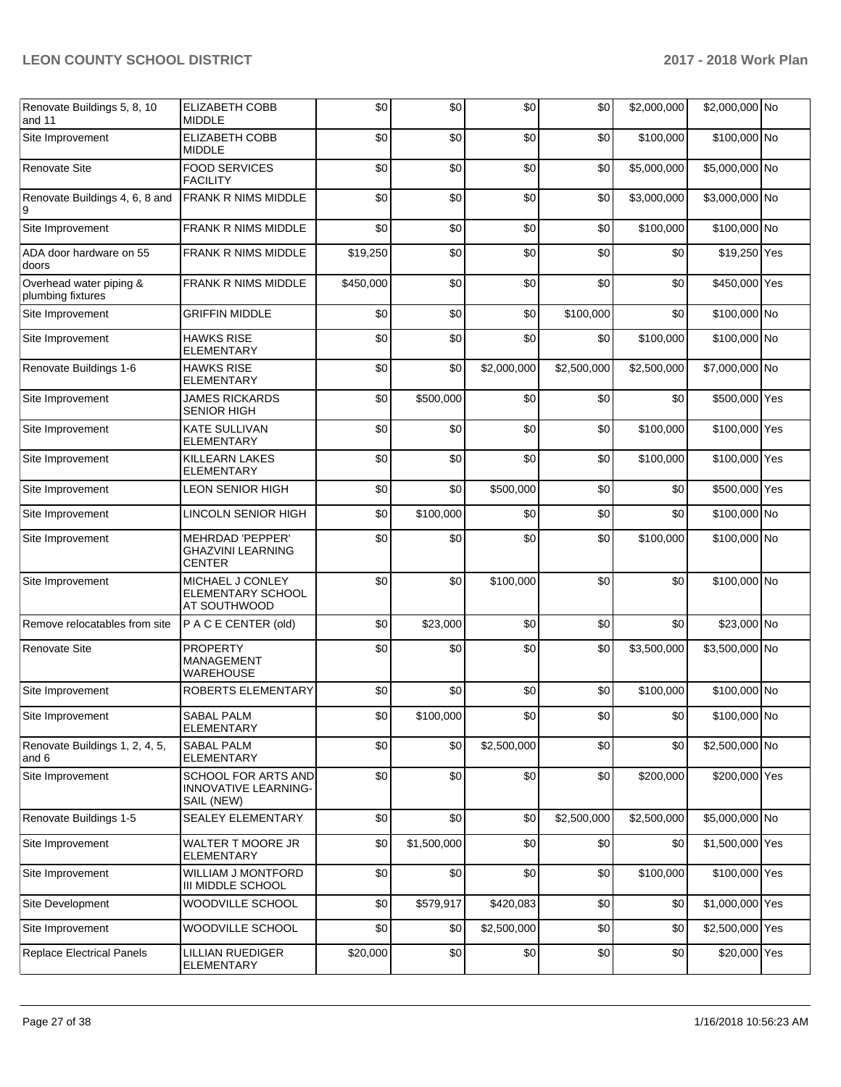| Renovate Buildings 5, 8, 10<br>and 11        | ELIZABETH COBB<br><b>MIDDLE</b>                                  | \$0       | \$0         | \$0         | \$0         | \$2,000,000 | \$2,000,000 No  |  |
|----------------------------------------------|------------------------------------------------------------------|-----------|-------------|-------------|-------------|-------------|-----------------|--|
| Site Improvement                             | ELIZABETH COBB<br><b>MIDDLE</b>                                  | \$0       | \$0         | \$0         | \$0         | \$100,000   | \$100,000 No    |  |
| <b>Renovate Site</b>                         | <b>FOOD SERVICES</b><br><b>FACILITY</b>                          | \$0       | \$0         | \$0         | \$0         | \$5,000,000 | \$5,000,000 No  |  |
| Renovate Buildings 4, 6, 8 and<br>9          | <b>FRANK R NIMS MIDDLE</b>                                       | \$0       | \$0         | \$0         | \$0         | \$3,000,000 | \$3,000,000 No  |  |
| Site Improvement                             | FRANK R NIMS MIDDLE                                              | \$0       | \$0         | \$0         | \$0         | \$100,000   | \$100,000 No    |  |
| ADA door hardware on 55<br>doors             | FRANK R NIMS MIDDLE                                              | \$19,250  | \$0         | \$0         | \$0         | \$0         | \$19,250 Yes    |  |
| Overhead water piping &<br>plumbing fixtures | FRANK R NIMS MIDDLE                                              | \$450,000 | \$0         | \$0         | \$0         | \$0         | \$450,000 Yes   |  |
| Site Improvement                             | <b>GRIFFIN MIDDLE</b>                                            | \$0       | \$0         | \$0         | \$100,000   | \$0         | \$100,000 No    |  |
| Site Improvement                             | <b>HAWKS RISE</b><br><b>ELEMENTARY</b>                           | \$0       | \$0         | \$0         | \$0         | \$100,000   | \$100,000 No    |  |
| Renovate Buildings 1-6                       | <b>HAWKS RISE</b><br><b>ELEMENTARY</b>                           | \$0       | \$0         | \$2,000,000 | \$2,500,000 | \$2,500,000 | \$7,000,000 No  |  |
| Site Improvement                             | <b>JAMES RICKARDS</b><br><b>SENIOR HIGH</b>                      | \$0       | \$500,000   | \$0         | \$0         | \$0         | \$500,000 Yes   |  |
| Site Improvement                             | <b>KATE SULLIVAN</b><br><b>ELEMENTARY</b>                        | \$0       | \$0         | \$0         | \$0         | \$100,000   | \$100,000 Yes   |  |
| Site Improvement                             | KILLEARN LAKES<br>ELEMENTARY                                     | \$0       | \$0         | \$0         | \$0         | \$100,000   | \$100,000 Yes   |  |
| Site Improvement                             | <b>LEON SENIOR HIGH</b>                                          | \$0       | \$0         | \$500,000   | \$0         | \$0         | \$500,000 Yes   |  |
| Site Improvement                             | LINCOLN SENIOR HIGH                                              | \$0       | \$100,000   | \$0         | \$0         | \$0         | \$100,000 No    |  |
| Site Improvement                             | MEHRDAD 'PEPPER'<br><b>GHAZVINI LEARNING</b><br><b>CENTER</b>    | \$0       | \$0         | \$0         | \$0         | \$100,000   | \$100,000 No    |  |
| Site Improvement                             | MICHAEL J CONLEY<br>ELEMENTARY SCHOOL<br>AT SOUTHWOOD            | \$0       | \$0         | \$100,000   | \$0         | \$0         | \$100,000 No    |  |
| Remove relocatables from site                | P A C E CENTER (old)                                             | \$0       | \$23,000    | \$0         | \$0         | \$0         | \$23,000 No     |  |
| <b>Renovate Site</b>                         | <b>PROPERTY</b><br><b>MANAGEMENT</b><br><b>WAREHOUSE</b>         | \$0       | \$0         | \$0         | \$0         | \$3,500,000 | \$3,500,000 No  |  |
| Site Improvement                             | ROBERTS ELEMENTARY                                               | \$0       | \$0         | \$0         | \$0         | \$100,000   | \$100,000 No    |  |
| Site Improvement                             | <b>SABAL PALM</b><br>ELEMENTARY                                  | \$0       | \$100,000   | \$0         | \$0         | \$0         | \$100,000 No    |  |
| Renovate Buildings 1, 2, 4, 5,<br>and 6      | <b>SABAL PALM</b><br>ELEMENTARY                                  | \$0       | \$0         | \$2,500,000 | \$0         | \$0         | \$2,500,000 No  |  |
| Site Improvement                             | SCHOOL FOR ARTS AND<br><b>INNOVATIVE LEARNING-</b><br>SAIL (NEW) | \$0       | \$0         | \$0         | \$0         | \$200,000   | \$200,000 Yes   |  |
| Renovate Buildings 1-5                       | SEALEY ELEMENTARY                                                | \$0       | \$0         | \$0         | \$2,500,000 | \$2,500,000 | \$5,000,000 No  |  |
| Site Improvement                             | <b>WALTER T MOORE JR</b><br><b>ELEMENTARY</b>                    | \$0       | \$1,500,000 | \$0         | \$0         | \$0         | \$1,500,000 Yes |  |
| Site Improvement                             | WILLIAM J MONTFORD<br>III MIDDLE SCHOOL                          | \$0       | \$0         | \$0         | \$0         | \$100,000   | \$100,000 Yes   |  |
| Site Development                             | WOODVILLE SCHOOL                                                 | \$0       | \$579,917   | \$420,083   | \$0         | \$0         | \$1,000,000 Yes |  |
| Site Improvement                             | WOODVILLE SCHOOL                                                 | \$0       | \$0         | \$2,500,000 | \$0         | \$0         | \$2,500,000 Yes |  |
| <b>Replace Electrical Panels</b>             | LILLIAN RUEDIGER<br>ELEMENTARY                                   | \$20,000  | \$0         | \$0         | \$0         | \$0         | \$20,000 Yes    |  |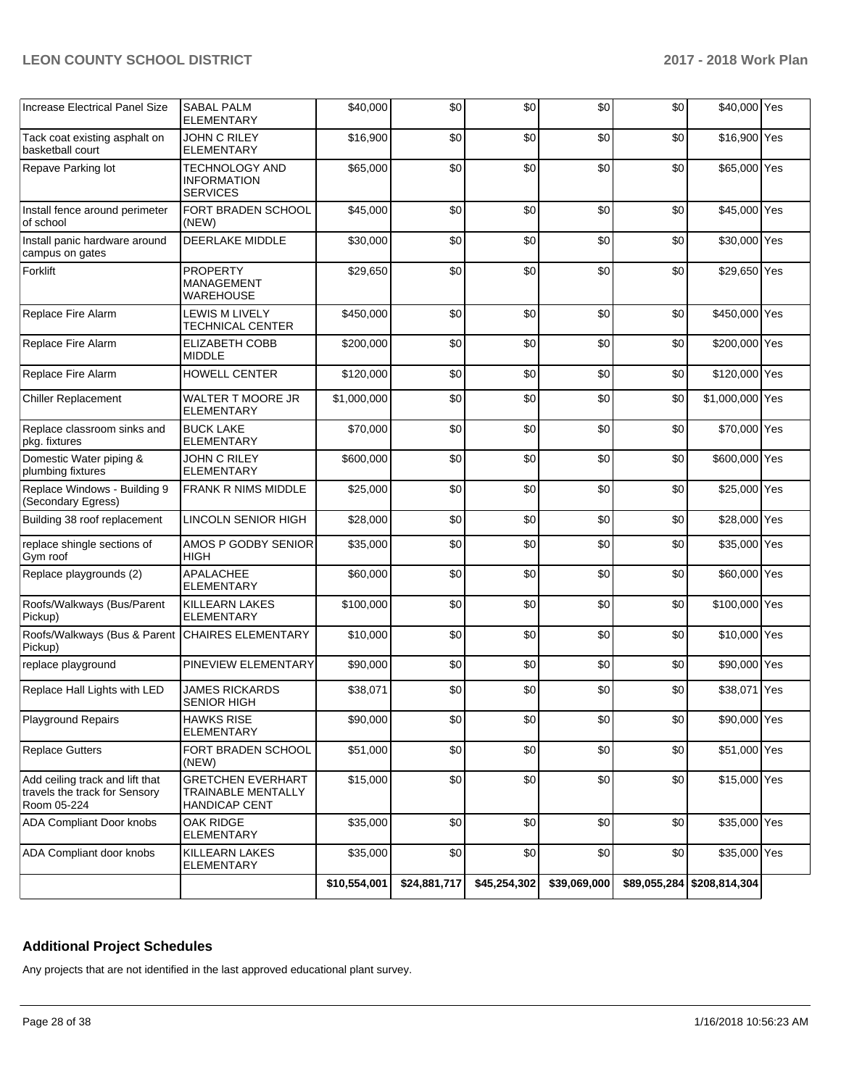| <b>Increase Electrical Panel Size</b>                                           | <b>SABAL PALM</b><br><b>ELEMENTARY</b>                                        | \$40,000     | \$0          | \$0          | \$0          | \$0 | \$40,000 Yes               |  |
|---------------------------------------------------------------------------------|-------------------------------------------------------------------------------|--------------|--------------|--------------|--------------|-----|----------------------------|--|
| Tack coat existing asphalt on<br>basketball court                               | <b>JOHN C RILEY</b><br><b>ELEMENTARY</b>                                      | \$16,900     | \$0          | \$0          | \$0          | \$0 | \$16,900 Yes               |  |
| Repave Parking lot                                                              | <b>TECHNOLOGY AND</b><br><b>INFORMATION</b><br><b>SERVICES</b>                | \$65,000     | \$0          | \$0          | \$0          | \$0 | \$65,000 Yes               |  |
| Install fence around perimeter<br>of school                                     | FORT BRADEN SCHOOL<br>(NEW)                                                   | \$45,000     | \$0          | \$0          | \$0          | \$0 | \$45,000 Yes               |  |
| Install panic hardware around<br>campus on gates                                | DEERLAKE MIDDLE                                                               | \$30,000     | \$0          | \$0          | \$0          | \$0 | \$30,000 Yes               |  |
| Forklift                                                                        | <b>PROPERTY</b><br><b>MANAGEMENT</b><br><b>WAREHOUSE</b>                      | \$29,650     | \$0          | \$0          | \$0          | \$0 | \$29,650 Yes               |  |
| Replace Fire Alarm                                                              | <b>LEWIS M LIVELY</b><br>TECHNICAL CENTER                                     | \$450,000    | \$0          | \$0          | \$0          | \$0 | \$450,000 Yes              |  |
| Replace Fire Alarm                                                              | <b>ELIZABETH COBB</b><br><b>MIDDLE</b>                                        | \$200,000    | \$0          | \$0          | \$0          | \$0 | \$200,000 Yes              |  |
| Replace Fire Alarm                                                              | HOWELL CENTER                                                                 | \$120,000    | \$0          | \$0          | \$0          | \$0 | \$120,000 Yes              |  |
| <b>Chiller Replacement</b>                                                      | WALTER T MOORE JR<br><b>ELEMENTARY</b>                                        | \$1,000,000  | \$0          | \$0          | \$0          | \$0 | \$1,000,000 Yes            |  |
| Replace classroom sinks and<br>pkg. fixtures                                    | <b>BUCK LAKE</b><br><b>ELEMENTARY</b>                                         | \$70,000     | \$0          | \$0          | \$0          | \$0 | \$70,000 Yes               |  |
| Domestic Water piping &<br>plumbing fixtures                                    | <b>JOHN C RILEY</b><br><b>ELEMENTARY</b>                                      | \$600,000    | \$0          | \$0          | \$0          | \$0 | \$600,000 Yes              |  |
| Replace Windows - Building 9<br>(Secondary Egress)                              | FRANK R NIMS MIDDLE                                                           | \$25,000     | \$0          | \$0          | \$0          | \$0 | \$25,000 Yes               |  |
| Building 38 roof replacement                                                    | <b>LINCOLN SENIOR HIGH</b>                                                    | \$28,000     | \$0          | \$0          | \$0          | \$0 | \$28,000 Yes               |  |
| replace shingle sections of<br>Gym roof                                         | AMOS P GODBY SENIOR<br><b>HIGH</b>                                            | \$35,000     | \$0          | \$0          | \$0          | \$0 | \$35,000 Yes               |  |
| Replace playgrounds (2)                                                         | <b>APALACHEE</b><br><b>ELEMENTARY</b>                                         | \$60,000     | \$0          | \$0          | \$0          | \$0 | \$60,000 Yes               |  |
| Roofs/Walkways (Bus/Parent<br>Pickup)                                           | KILLEARN LAKES<br>ELEMENTARY                                                  | \$100,000    | \$0          | \$0          | \$0          | \$0 | \$100,000 Yes              |  |
| Roofs/Walkways (Bus & Parent<br>Pickup)                                         | <b>CHAIRES ELEMENTARY</b>                                                     | \$10,000     | \$0          | \$0          | \$0          | \$0 | \$10,000 Yes               |  |
| replace playground                                                              | PINEVIEW ELEMENTARY                                                           | \$90,000     | \$0          | \$0          | \$0          | \$0 | \$90,000 Yes               |  |
| Replace Hall Lights with LED                                                    | <b>JAMES RICKARDS</b><br><b>SENIOR HIGH</b>                                   | \$38,071     | \$0          | \$0          | \$0          | \$0 | \$38,071 Yes               |  |
| <b>Playground Repairs</b>                                                       | <b>HAWKS RISE</b><br><b>ELEMENTARY</b>                                        | \$90,000     | \$0          | \$0          | \$0          | \$0 | \$90,000 Yes               |  |
| <b>Replace Gutters</b>                                                          | FORT BRADEN SCHOOL<br>(NEW)                                                   | \$51,000     | \$0          | \$0          | \$0          | \$0 | \$51,000 Yes               |  |
| Add ceiling track and lift that<br>travels the track for Sensory<br>Room 05-224 | <b>GRETCHEN EVERHART</b><br><b>TRAINABLE MENTALLY</b><br><b>HANDICAP CENT</b> | \$15,000     | \$0          | \$0          | \$0          | \$0 | \$15,000 Yes               |  |
| <b>ADA Compliant Door knobs</b>                                                 | OAK RIDGE<br><b>ELEMENTARY</b>                                                | \$35,000     | \$0          | \$0          | \$0          | \$0 | \$35,000 Yes               |  |
| ADA Compliant door knobs                                                        | KILLEARN LAKES<br>ELEMENTARY                                                  | \$35,000     | \$0          | \$0          | \$0          | \$0 | \$35,000 Yes               |  |
|                                                                                 |                                                                               | \$10,554,001 | \$24,881,717 | \$45,254,302 | \$39,069,000 |     | \$89,055,284 \$208,814,304 |  |

## **Additional Project Schedules**

Any projects that are not identified in the last approved educational plant survey.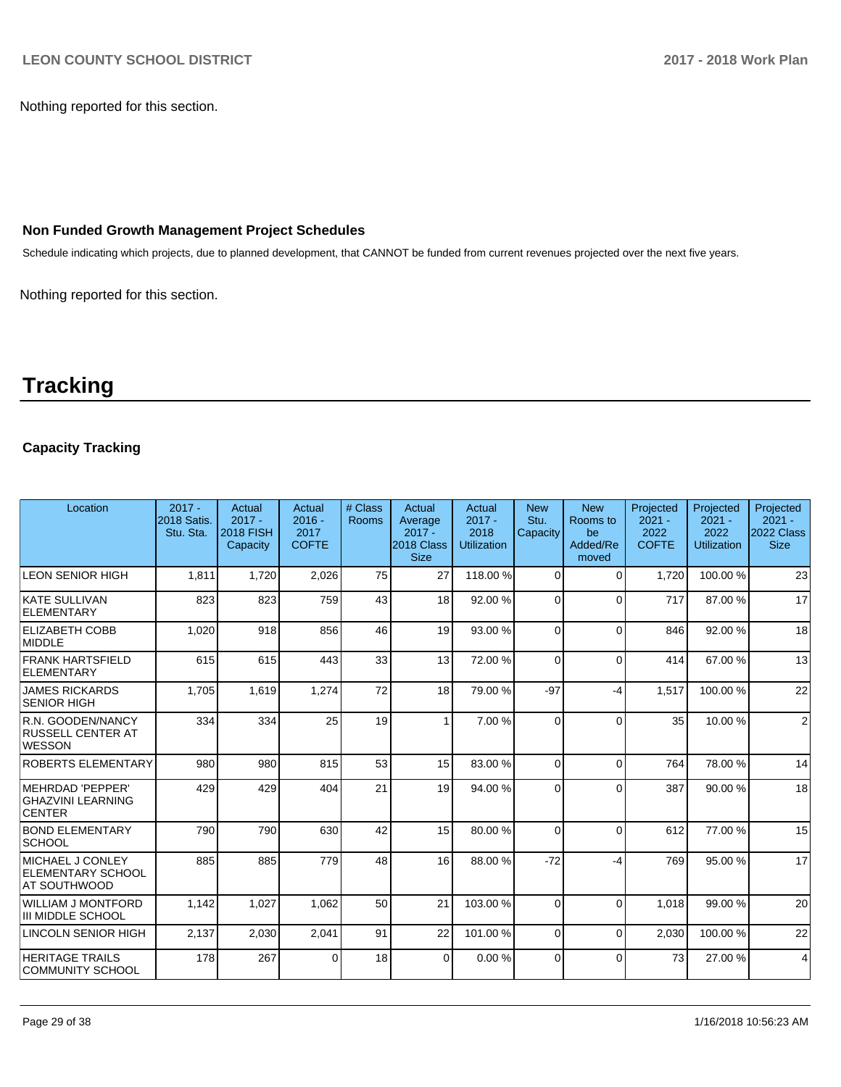Nothing reported for this section.

## **Non Funded Growth Management Project Schedules**

Schedule indicating which projects, due to planned development, that CANNOT be funded from current revenues projected over the next five years.

Nothing reported for this section.

# **Tracking**

## **Capacity Tracking**

| Location                                                            | $2017 -$<br><b>2018 Satis.</b><br>Stu. Sta. | Actual<br>$2017 -$<br><b>2018 FISH</b><br>Capacity | Actual<br>$2016 -$<br>2017<br><b>COFTE</b> | # Class<br>Rooms | Actual<br>Average<br>$2017 -$<br>2018 Class<br><b>Size</b> | Actual<br>$2017 -$<br>2018<br><b>Utilization</b> | <b>New</b><br>Stu.<br>Capacity | <b>New</b><br>Rooms to<br>be<br>Added/Re<br>moved | Projected<br>$2021 -$<br>2022<br><b>COFTE</b> | Projected<br>$2021 -$<br>2022<br><b>Utilization</b> | Projected<br>$2021 -$<br><b>2022 Class</b><br><b>Size</b> |
|---------------------------------------------------------------------|---------------------------------------------|----------------------------------------------------|--------------------------------------------|------------------|------------------------------------------------------------|--------------------------------------------------|--------------------------------|---------------------------------------------------|-----------------------------------------------|-----------------------------------------------------|-----------------------------------------------------------|
| <b>LEON SENIOR HIGH</b>                                             | 1.811                                       | 1,720                                              | 2,026                                      | 75               | 27                                                         | 118.00%                                          | $\Omega$                       | $\Omega$                                          | 1.720                                         | 100.00%                                             | 23                                                        |
| KATE SULLIVAN<br>ELEMENTARY                                         | 823                                         | 823                                                | 759                                        | 43               | 18                                                         | 92.00 %                                          | $\Omega$                       | $\Omega$                                          | 717                                           | 87.00 %                                             | 17                                                        |
| <b>ELIZABETH COBB</b><br>MIDDLE                                     | 1,020                                       | 918                                                | 856                                        | 46               | 19                                                         | 93.00 %                                          | $\Omega$                       | $\Omega$                                          | 846                                           | 92.00 %                                             | 18                                                        |
| <b>FRANK HARTSFIELD</b><br><b>ELEMENTARY</b>                        | 615                                         | 615                                                | 443                                        | 33               | 13                                                         | 72.00 %                                          | $\Omega$                       | $\Omega$                                          | 414                                           | 67.00 %                                             | 13                                                        |
| <b>JAMES RICKARDS</b><br><b>SENIOR HIGH</b>                         | 1,705                                       | 1,619                                              | 1,274                                      | 72               | 18                                                         | 79.00 %                                          | $-97$                          | -4                                                | 1,517                                         | 100.00%                                             | 22                                                        |
| R.N. GOODEN/NANCY<br>RUSSELL CENTER AT<br><b>WESSON</b>             | 334                                         | 334                                                | 25                                         | 19               | 1                                                          | 7.00 %                                           | $\Omega$                       | $\Omega$                                          | 35                                            | 10.00 %                                             | $\overline{2}$                                            |
| ROBERTS ELEMENTARY                                                  | 980                                         | 980                                                | 815                                        | 53               | 15                                                         | 83.00 %                                          | $\Omega$                       | $\Omega$                                          | 764                                           | 78.00 %                                             | 14                                                        |
| MEHRDAD 'PEPPER'<br><b>GHAZVINI LEARNING</b><br><b>CENTER</b>       | 429                                         | 429                                                | 404                                        | 21               | 19                                                         | 94.00 %                                          | $\Omega$                       | $\Omega$                                          | 387                                           | 90.00 %                                             | 18                                                        |
| <b>BOND ELEMENTARY</b><br><b>SCHOOL</b>                             | 790                                         | 790                                                | 630                                        | 42               | 15                                                         | 80.00 %                                          | 0                              | $\Omega$                                          | 612                                           | 77.00 %                                             | 15                                                        |
| MICHAEL J CONLEY<br><b>ELEMENTARY SCHOOL</b><br><b>AT SOUTHWOOD</b> | 885                                         | 885                                                | 779                                        | 48               | 16                                                         | 88.00 %                                          | $-72$                          | -4                                                | 769                                           | 95.00 %                                             | 17                                                        |
| WILLIAM J MONTFORD<br>III MIDDLE SCHOOL                             | 1,142                                       | 1,027                                              | 1,062                                      | 50               | 21                                                         | 103.00%                                          | $\Omega$                       | $\Omega$                                          | 1.018                                         | 99.00 %                                             | 20                                                        |
| LINCOLN SENIOR HIGH                                                 | 2,137                                       | 2,030                                              | 2,041                                      | 91               | 22                                                         | 101.00%                                          | $\Omega$                       | $\Omega$                                          | 2,030                                         | 100.00%                                             | 22                                                        |
| <b>HERITAGE TRAILS</b><br>COMMUNITY SCHOOL                          | 178                                         | 267                                                | $\Omega$                                   | 18               | $\Omega$                                                   | 0.00%                                            | $\Omega$                       | $\Omega$                                          | 73                                            | 27.00 %                                             | $\overline{4}$                                            |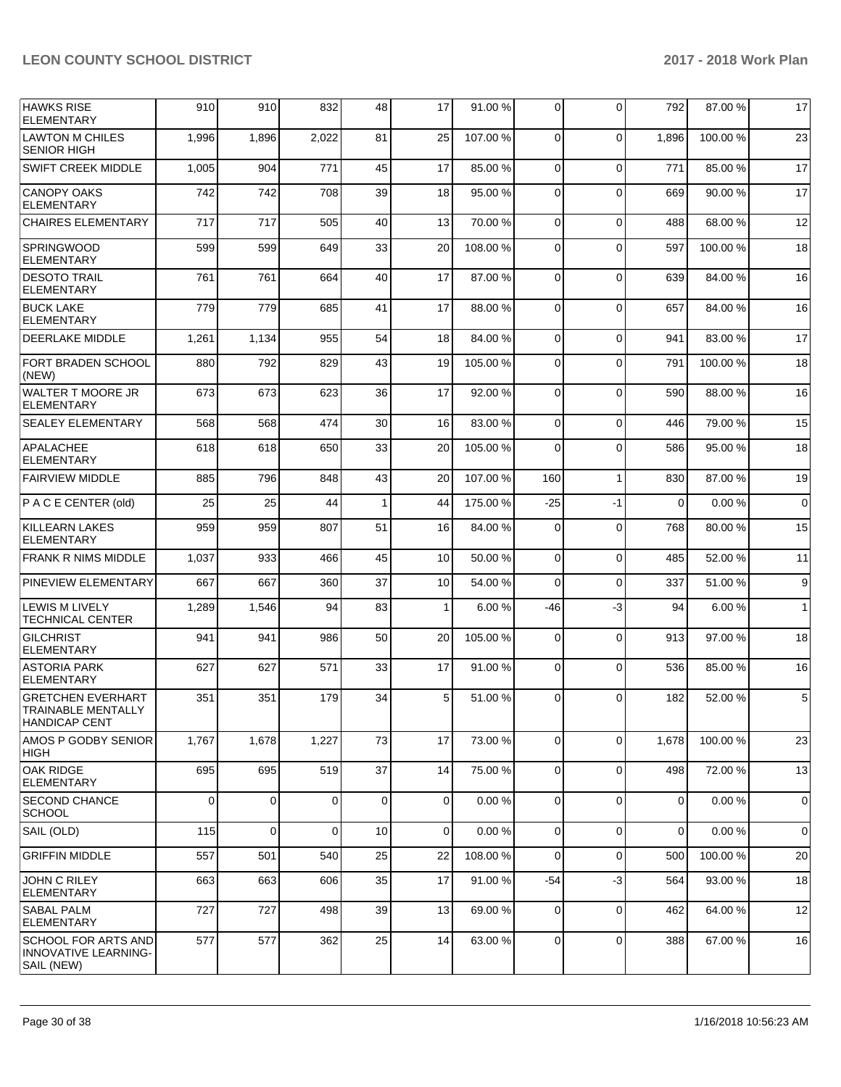| <b>HAWKS RISE</b><br><b>ELEMENTARY</b>                           | 910   | 910         | 832      | 48           | 17           | 91.00%   | $\Omega$    | $\Omega$     | 792         | 87.00 % | 17           |
|------------------------------------------------------------------|-------|-------------|----------|--------------|--------------|----------|-------------|--------------|-------------|---------|--------------|
| LAWTON M CHILES<br><b>SENIOR HIGH</b>                            | 1,996 | 1,896       | 2,022    | 81           | 25           | 107.00%  | $\mathbf 0$ | $\Omega$     | 1,896       | 100.00% | 23           |
| <b>SWIFT CREEK MIDDLE</b>                                        | 1,005 | 904         | 771      | 45           | 17           | 85.00 %  | $\Omega$    | $\Omega$     | 771         | 85.00 % | 17           |
| <b>CANOPY OAKS</b><br>ELEMENTARY                                 | 742   | 742         | 708      | 39           | 18           | 95.00 %  | $\Omega$    | $\Omega$     | 669         | 90.00 % | 17           |
| <b>CHAIRES ELEMENTARY</b>                                        | 717   | 717         | 505      | 40           | 13           | 70.00 %  | $\Omega$    | $\Omega$     | 488         | 68.00 % | 12           |
| <b>SPRINGWOOD</b><br><b>ELEMENTARY</b>                           | 599   | 599         | 649      | 33           | 20           | 108.00%  | $\Omega$    | $\Omega$     | 597         | 100.00% | 18           |
| <b>DESOTO TRAIL</b><br><b>ELEMENTARY</b>                         | 761   | 761         | 664      | 40           | 17           | 87.00 %  | $\mathbf 0$ | $\Omega$     | 639         | 84.00 % | 16           |
| <b>BUCK LAKE</b><br><b>ELEMENTARY</b>                            | 779   | 779         | 685      | 41           | 17           | 88.00 %  | $\Omega$    | $\Omega$     | 657         | 84.00 % | 16           |
| <b>DEERLAKE MIDDLE</b>                                           | 1,261 | 1,134       | 955      | 54           | 18           | 84.00 %  | $\Omega$    | $\Omega$     | 941         | 83.00 % | 17           |
| <b>FORT BRADEN SCHOOL</b><br>(NEW)                               | 880   | 792         | 829      | 43           | 19           | 105.00 % | $\Omega$    | $\Omega$     | 791         | 100.00% | 18           |
| WALTER T MOORE JR<br><b>ELEMENTARY</b>                           | 673   | 673         | 623      | 36           | 17           | 92.00 %  | $\mathbf 0$ | $\Omega$     | 590         | 88.00 % | 16           |
| <b>SEALEY ELEMENTARY</b>                                         | 568   | 568         | 474      | 30           | 16           | 83.00 %  | $\Omega$    | $\Omega$     | 446         | 79.00 % | 15           |
| APALACHEE<br><b>ELEMENTARY</b>                                   | 618   | 618         | 650      | 33           | 20           | 105.00%  | $\Omega$    | $\Omega$     | 586         | 95.00 % | 18           |
| <b>FAIRVIEW MIDDLE</b>                                           | 885   | 796         | 848      | 43           | 20           | 107.00%  | 160         | $\mathbf{1}$ | 830         | 87.00%  | 19           |
| P A C E CENTER (old)                                             | 25    | 25          | 44       | $\mathbf{1}$ | 44           | 175.00 % | $-25$       | $-1$         | $\Omega$    | 0.00%   | $\mathbf 0$  |
| <b>KILLEARN LAKES</b><br><b>ELEMENTARY</b>                       | 959   | 959         | 807      | 51           | 16           | 84.00 %  | $\Omega$    | $\Omega$     | 768         | 80.00 % | 15           |
| <b>FRANK R NIMS MIDDLE</b>                                       | 1,037 | 933         | 466      | 45           | 10           | 50.00 %  | $\mathbf 0$ | $\Omega$     | 485         | 52.00 % | 11           |
| <b>PINEVIEW ELEMENTARY</b>                                       | 667   | 667         | 360      | 37           | 10           | 54.00 %  | $\Omega$    | $\Omega$     | 337         | 51.00 % | 9            |
| <b>LEWIS M LIVELY</b><br><b>TECHNICAL CENTER</b>                 | 1,289 | 1,546       | 94       | 83           | $\mathbf{1}$ | 6.00%    | -46         | $-3$         | 94          | 6.00%   | $\mathbf{1}$ |
| <b>GILCHRIST</b><br><b>ELEMENTARY</b>                            | 941   | 941         | 986      | 50           | 20           | 105.00 % | $\Omega$    | $\Omega$     | 913         | 97.00 % | 18           |
| <b>ASTORIA PARK</b><br>ELEMENTARY                                | 627   | 627         | 571      | 33           | 17           | 91.00 %  | $\Omega$    | $\mathbf 0$  | 536         | 85.00%  | 16           |
| GRETCHEN EVERHART<br>TRAINABLE MENTALLY<br>HANDICAP CENT         | 351   | 351         | 179      | 34           | 5            | 51.00 %  | 0           | $\Omega$     | 182         | 52.00 % | 5            |
| AMOS P GODBY SENIOR<br>HIGH                                      | 1,767 | 1,678       | 1,227    | 73           | 17           | 73.00 %  | $\mathbf 0$ | $\mathbf 0$  | 1,678       | 100.00% | 23           |
| <b>OAK RIDGE</b><br><b>ELEMENTARY</b>                            | 695   | 695         | 519      | 37           | 14           | 75.00 %  | $\mathbf 0$ | $\mathbf 0$  | 498         | 72.00 % | 13           |
| <b>SECOND CHANCE</b><br><b>SCHOOL</b>                            | 0     | $\mathbf 0$ | $\Omega$ | $\mathbf 0$  | $\mathbf 0$  | 0.00%    | 0           | $\mathbf 0$  | 0           | 0.00%   | 0            |
| SAIL (OLD)                                                       | 115   | $\mathbf 0$ | $\Omega$ | 10           | $\mathbf 0$  | 0.00%    | $\mathbf 0$ | $\mathbf 0$  | $\mathbf 0$ | 0.00%   | $\mathbf 0$  |
| <b>GRIFFIN MIDDLE</b>                                            | 557   | 501         | 540      | 25           | 22           | 108.00%  | 0           | $\mathbf 0$  | 500         | 100.00% | 20           |
| <b>JOHN C RILEY</b><br><b>ELEMENTARY</b>                         | 663   | 663         | 606      | 35           | 17           | 91.00%   | -54         | $-3$         | 564         | 93.00 % | 18           |
| <b>SABAL PALM</b><br><b>ELEMENTARY</b>                           | 727   | 727         | 498      | 39           | 13           | 69.00 %  | $\Omega$    | $\mathbf 0$  | 462         | 64.00 % | 12           |
| <b>SCHOOL FOR ARTS AND</b><br>INNOVATIVE LEARNING-<br>SAIL (NEW) | 577   | 577         | 362      | 25           | 14           | 63.00 %  | 0           | $\mathbf 0$  | 388         | 67.00 % | 16           |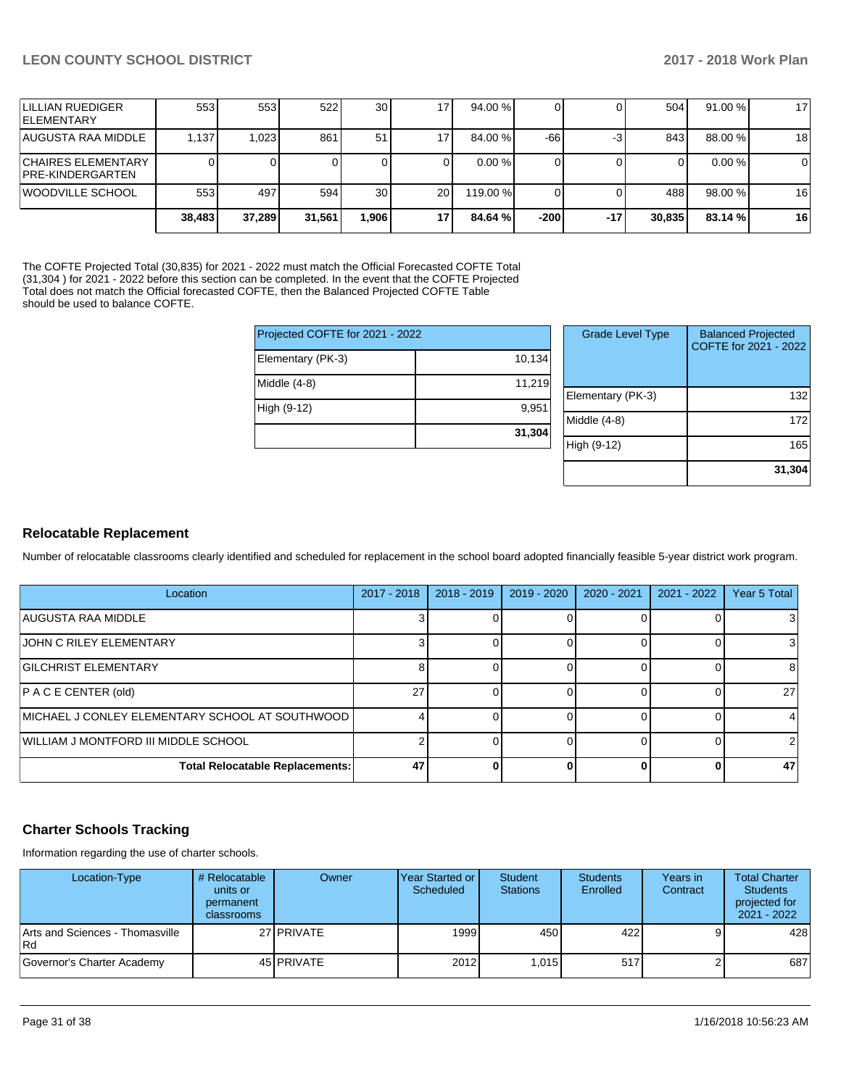| <b>ILILLIAN RUEDIGER</b><br><b>IELEMENTARY</b> | 553 l  | 553    | 522    | 30              | 7    | 94.00 %  |        |       | 504    | 91.00%  | 17 |
|------------------------------------------------|--------|--------|--------|-----------------|------|----------|--------|-------|--------|---------|----|
| <b>AUGUSTA RAA MIDDLE</b>                      | 1,137  | 1,023  | 861    | 51              |      | 84.00 %  | $-66$  | -3    | 843    | 88.00 % | 18 |
| <b>CHAIRES ELEMENTARY</b><br>PRE-KINDERGARTEN  |        |        |        |                 |      | 0.00%    |        |       |        | 0.00%   | 0  |
| <b>IWOODVILLE SCHOOL</b>                       | 553    | 497    | 594    | 30 <sub>1</sub> | 20 l | 119.00 % |        |       | 488    | 98.00 % | 16 |
|                                                | 38.483 | 37,289 | 31.561 | ,906            | 17   | 84.64%   | $-200$ | $-17$ | 30,835 | 83.14 % | 16 |

The COFTE Projected Total (30,835) for 2021 - 2022 must match the Official Forecasted COFTE Total (31,304 ) for 2021 - 2022 before this section can be completed. In the event that the COFTE Projected Total does not match the Official forecasted COFTE, then the Balanced Projected COFTE Table should be used to balance COFTE.

|                   | Projected COFTE for 2021 - 2022 |      |  |  |  |  |
|-------------------|---------------------------------|------|--|--|--|--|
| Elementary (PK-3) | 10,134                          |      |  |  |  |  |
| Middle $(4-8)$    | 11,219                          | Elem |  |  |  |  |
| High (9-12)       | 9,951                           | Midd |  |  |  |  |
|                   | 31,304                          | High |  |  |  |  |
|                   |                                 |      |  |  |  |  |

| <b>Grade Level Type</b> | <b>Balanced Projected</b><br>COFTE for 2021 - 2022 |
|-------------------------|----------------------------------------------------|
| Elementary (PK-3)       | 132                                                |
| Middle $(4-8)$          | 172                                                |
| High (9-12)             | 165                                                |
|                         | 31,304                                             |

## **Relocatable Replacement**

Number of relocatable classrooms clearly identified and scheduled for replacement in the school board adopted financially feasible 5-year district work program.

| Location                                           | $2017 - 2018$ | $2018 - 2019$ | 2019 - 2020 | 2020 - 2021 | $2021 - 2022$ | Year 5 Total   |
|----------------------------------------------------|---------------|---------------|-------------|-------------|---------------|----------------|
| IAUGUSTA RAA MIDDLE                                |               |               |             |             |               |                |
| <b>JOHN C RILEY ELEMENTARY</b>                     |               |               |             |             |               |                |
| <b>GILCHRIST ELEMENTARY</b>                        |               |               |             |             |               | 81             |
| P AC E CENTER (old)                                | 27            |               |             |             |               | 27             |
| IMICHAEL J CONLEY ELEMENTARY SCHOOL AT SOUTHWOOD I |               |               |             |             |               |                |
| WILLIAM J MONTFORD III MIDDLE SCHOOL               |               |               |             |             |               | $\overline{2}$ |
| <b>Total Relocatable Replacements:</b>             | 47            |               |             |             |               | 47             |

## **Charter Schools Tracking**

Information regarding the use of charter schools.

| Location-Type                           | # Relocatable<br>units or<br>permanent<br><b>classrooms</b> | Owner             | <b>Year Started or I</b><br>Scheduled | Student<br><b>Stations</b> | <b>Students</b><br>Enrolled | Years in<br>Contract | <b>Total Charter</b><br><b>Students</b><br>projected for<br>$2021 - 2022$ |
|-----------------------------------------|-------------------------------------------------------------|-------------------|---------------------------------------|----------------------------|-----------------------------|----------------------|---------------------------------------------------------------------------|
| Arts and Sciences - Thomasville<br>l Rd |                                                             | 27 PRIVATE        | 1999                                  | 450                        | 422 l                       |                      | 428                                                                       |
| Governor's Charter Academy              |                                                             | 45 <b>PRIVATE</b> | 2012                                  | 1.015                      | 517                         |                      | 687                                                                       |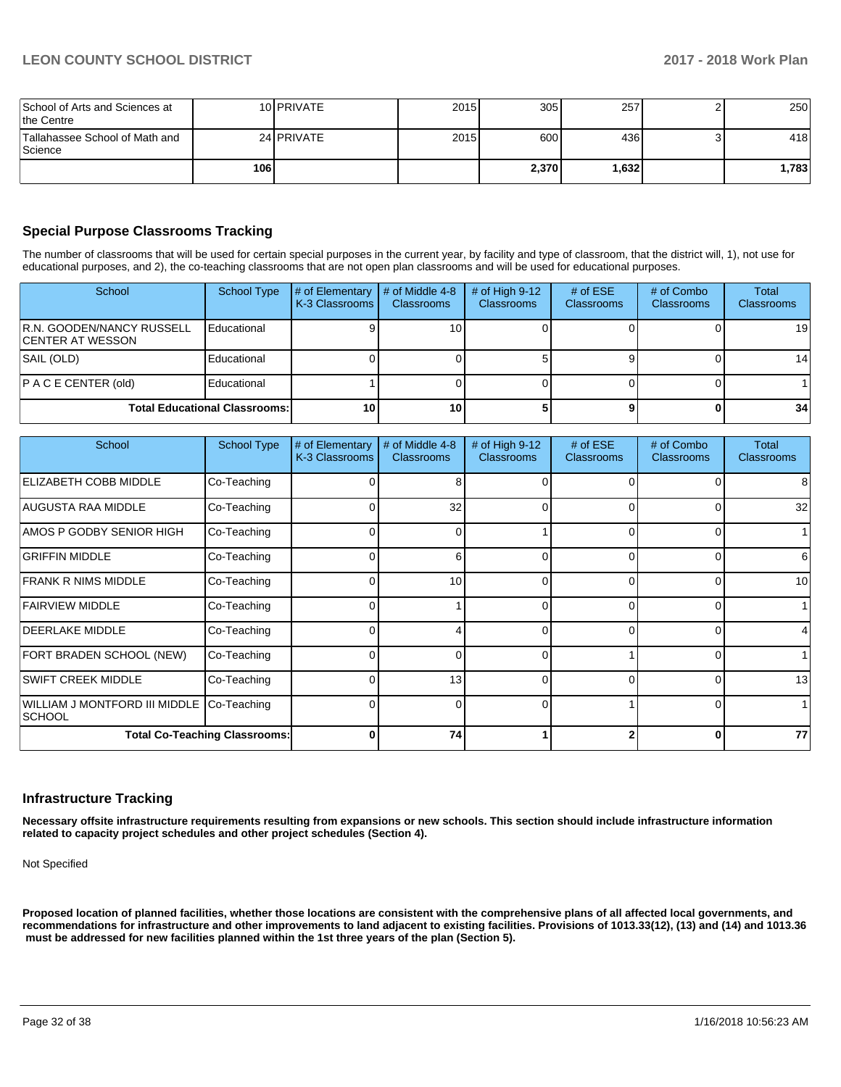| School of Arts and Sciences at<br>Ithe Centre |     | 10 PRIVATE | 2015 | 305   | 257   | 250   |
|-----------------------------------------------|-----|------------|------|-------|-------|-------|
| Tallahassee School of Math and<br>l Science   |     | 24 PRIVATE | 2015 | 600   | 436   | 418   |
|                                               | 106 |            |      | 2.370 | ا321. | 1,783 |

## **Special Purpose Classrooms Tracking**

The number of classrooms that will be used for certain special purposes in the current year, by facility and type of classroom, that the district will, 1), not use for educational purposes, and 2), the co-teaching classrooms that are not open plan classrooms and will be used for educational purposes.

| School                                                | School Type                          | # of Elementary<br>K-3 Classrooms | # of Middle 4-8<br><b>Classrooms</b> | # of High $9-12$<br><b>Classrooms</b> | # of $ESE$<br><b>Classrooms</b> | # of Combo<br><b>Classrooms</b> | Total<br><b>Classrooms</b> |
|-------------------------------------------------------|--------------------------------------|-----------------------------------|--------------------------------------|---------------------------------------|---------------------------------|---------------------------------|----------------------------|
| <b>R.N. GOODEN/NANCY RUSSELL</b><br>ICENTER AT WESSON | Educational                          |                                   | 10 <sup>1</sup>                      |                                       |                                 |                                 | 19                         |
| SAIL (OLD)                                            | Educational                          |                                   |                                      |                                       |                                 |                                 | 14                         |
| P AC E CENTER (old)                                   | Educational                          |                                   |                                      |                                       |                                 |                                 |                            |
|                                                       | <b>Total Educational Classrooms:</b> | 10                                | 10 <sup>1</sup>                      |                                       |                                 |                                 | 34                         |

| School                                   | <b>School Type</b> | # of Elementary<br>K-3 Classrooms | # of Middle 4-8<br><b>Classrooms</b> | # of High 9-12<br><b>Classrooms</b> | # of $ESE$<br><b>Classrooms</b> | # of Combo<br><b>Classrooms</b> | Total<br><b>Classrooms</b> |
|------------------------------------------|--------------------|-----------------------------------|--------------------------------------|-------------------------------------|---------------------------------|---------------------------------|----------------------------|
| ELIZABETH COBB MIDDLE                    | Co-Teaching        |                                   | 8                                    | 0                                   |                                 |                                 | 8                          |
| AUGUSTA RAA MIDDLE                       | Co-Teaching        |                                   | 32                                   | 0                                   | 0                               |                                 | 32                         |
| AMOS P GODBY SENIOR HIGH                 | Co-Teaching        |                                   | 0                                    |                                     | 0                               | 0                               |                            |
| <b>GRIFFIN MIDDLE</b>                    | Co-Teaching        |                                   | 6                                    | $\Omega$                            | <sup>0</sup>                    | ი                               | 6                          |
| FRANK R NIMS MIDDLE                      | Co-Teaching        |                                   | 10                                   | $\Omega$                            |                                 | 0                               | 10                         |
| <b>FAIRVIEW MIDDLE</b>                   | Co-Teaching        |                                   |                                      | $\Omega$                            | <sup>0</sup>                    | $\Omega$                        | 1                          |
| <b>DEERLAKE MIDDLE</b>                   | Co-Teaching        |                                   | 4                                    | $\Omega$                            | $\Omega$                        | 0                               | 4                          |
| FORT BRADEN SCHOOL (NEW)                 | Co-Teaching        |                                   | 0                                    | $\Omega$                            |                                 | 0                               |                            |
| <b>SWIFT CREEK MIDDLE</b>                | Co-Teaching        |                                   | 13                                   | 0                                   | $\Omega$                        | 0                               | 13                         |
| WILLIAM J MONTFORD III MIDDLE<br> SCHOOL | Co-Teaching        |                                   | 0                                    | $\Omega$                            |                                 | 0                               |                            |
| <b>Total Co-Teaching Classrooms:</b>     |                    |                                   | 74                                   |                                     |                                 | 0                               | 77                         |

#### **Infrastructure Tracking**

**Necessary offsite infrastructure requirements resulting from expansions or new schools. This section should include infrastructure information related to capacity project schedules and other project schedules (Section 4).** 

Not Specified

**Proposed location of planned facilities, whether those locations are consistent with the comprehensive plans of all affected local governments, and recommendations for infrastructure and other improvements to land adjacent to existing facilities. Provisions of 1013.33(12), (13) and (14) and 1013.36 must be addressed for new facilities planned within the 1st three years of the plan (Section 5).**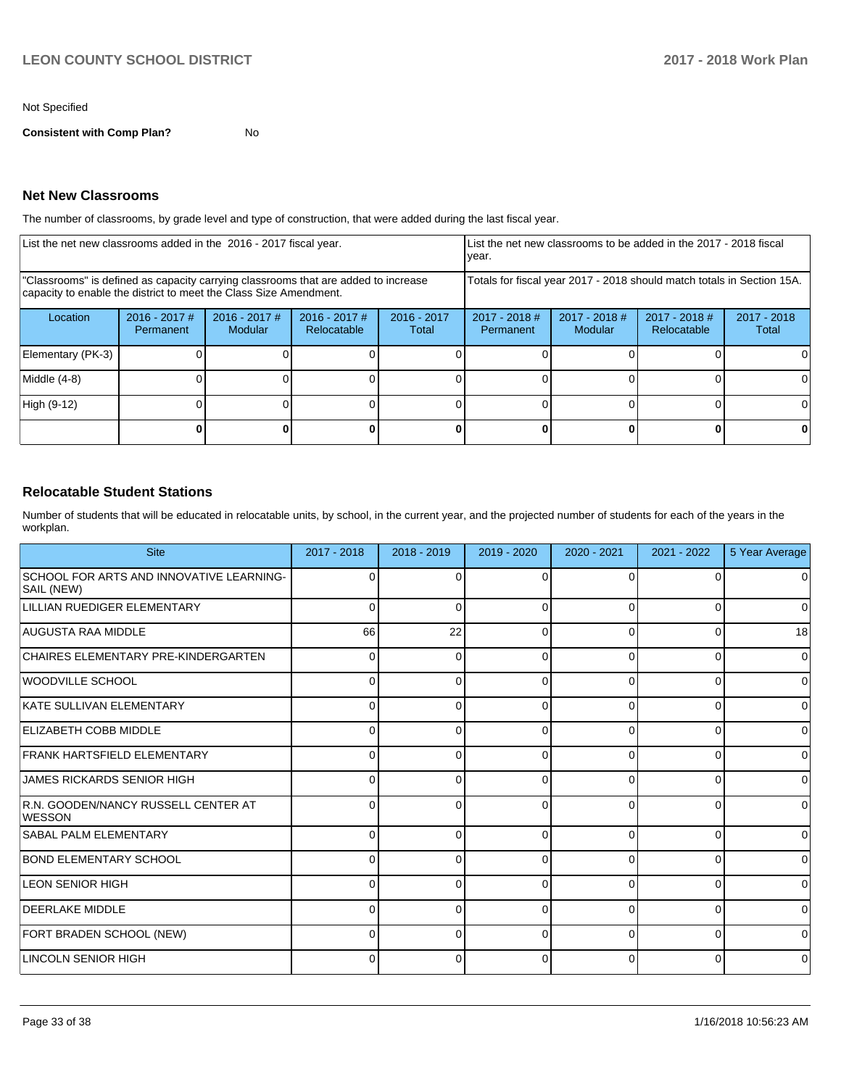#### Not Specified

**Consistent with Comp Plan?** No

## **Net New Classrooms**

The number of classrooms, by grade level and type of construction, that were added during the last fiscal year.

| List the net new classrooms added in the 2016 - 2017 fiscal year.                                                                                       |                                                                        |                                   | List the net new classrooms to be added in the 2017 - 2018 fiscal<br>year. |                        |                              |                        |  |          |
|---------------------------------------------------------------------------------------------------------------------------------------------------------|------------------------------------------------------------------------|-----------------------------------|----------------------------------------------------------------------------|------------------------|------------------------------|------------------------|--|----------|
| "Classrooms" is defined as capacity carrying classrooms that are added to increase<br>capacity to enable the district to meet the Class Size Amendment. | Totals for fiscal year 2017 - 2018 should match totals in Section 15A. |                                   |                                                                            |                        |                              |                        |  |          |
| Location                                                                                                                                                | $2016 - 2017$ #<br>Permanent                                           | $2016 - 2017$ #<br><b>Modular</b> | $2016 - 2017$ #<br>Relocatable                                             | $2016 - 2017$<br>Total | $2017 - 2018$ #<br>Permanent | $2017 - 2018$<br>Total |  |          |
| Elementary (PK-3)                                                                                                                                       |                                                                        |                                   |                                                                            |                        |                              |                        |  | $\Omega$ |
| Middle (4-8)                                                                                                                                            |                                                                        |                                   |                                                                            |                        |                              |                        |  | 0        |
| High (9-12)                                                                                                                                             |                                                                        |                                   |                                                                            |                        |                              |                        |  | 0        |
|                                                                                                                                                         |                                                                        |                                   |                                                                            |                        |                              |                        |  | 0        |

## **Relocatable Student Stations**

Number of students that will be educated in relocatable units, by school, in the current year, and the projected number of students for each of the years in the workplan.

| <b>Site</b>                                            | 2017 - 2018  | 2018 - 2019 | 2019 - 2020 | 2020 - 2021 | 2021 - 2022 | 5 Year Average |
|--------------------------------------------------------|--------------|-------------|-------------|-------------|-------------|----------------|
| SCHOOL FOR ARTS AND INNOVATIVE LEARNING-<br>SAIL (NEW) | 0            | 0           | $\Omega$    | 0           | 0           | 0              |
| LILLIAN RUEDIGER ELEMENTARY                            | O            | 0           | $\Omega$    | 0           | $\Omega$    | $\Omega$       |
| AUGUSTA RAA MIDDLE                                     | 66           | 22          | $\Omega$    | 0           | $\Omega$    | 18             |
| CHAIRES ELEMENTARY PRE-KINDERGARTEN                    | 0            | 0           | $\Omega$    | 0           | 0           | $\mathbf 0$    |
| WOODVILLE SCHOOL                                       | 0            | 0           | $\Omega$    | 0           | 0           | $\mathbf 0$    |
| KATE SULLIVAN ELEMENTARY                               | 0            | 0           | $\Omega$    | 0           | 0           | $\mathbf 0$    |
| <b>ELIZABETH COBB MIDDLE</b>                           | <sup>0</sup> | 0           | $\Omega$    | 0           | 0           | $\mathbf 0$    |
| FRANK HARTSFIELD ELEMENTARY                            | O            | O           | $\Omega$    | $\Omega$    | $\Omega$    | $\mathbf 0$    |
| <b>JAMES RICKARDS SENIOR HIGH</b>                      |              | $\Omega$    | $\Omega$    | 0           | 0           | $\mathbf 0$    |
| R.N. GOODEN/NANCY RUSSELL CENTER AT<br><b>WESSON</b>   | 0            | 0           | $\Omega$    | 0           | 0           | $\mathbf 0$    |
| <b>SABAL PALM ELEMENTARY</b>                           |              | $\Omega$    | $\Omega$    | 0           | $\Omega$    | $\mathbf 0$    |
| <b>BOND ELEMENTARY SCHOOL</b>                          |              | ŋ           | $\Omega$    | $\Omega$    | $\Omega$    | $\mathbf 0$    |
| LEON SENIOR HIGH                                       | 0            | 0           | $\Omega$    | 0           | 0           | $\mathbf 0$    |
| <b>DEERLAKE MIDDLE</b>                                 | 0            | 0           | $\Omega$    | 0           | $\Omega$    | $\mathbf 0$    |
| FORT BRADEN SCHOOL (NEW)                               | 0            | 0           | $\Omega$    | 0           | 0           | $\mathbf 0$    |
| LINCOLN SENIOR HIGH                                    | 0            | 0           | $\Omega$    | 0           | 0           | $\mathbf 0$    |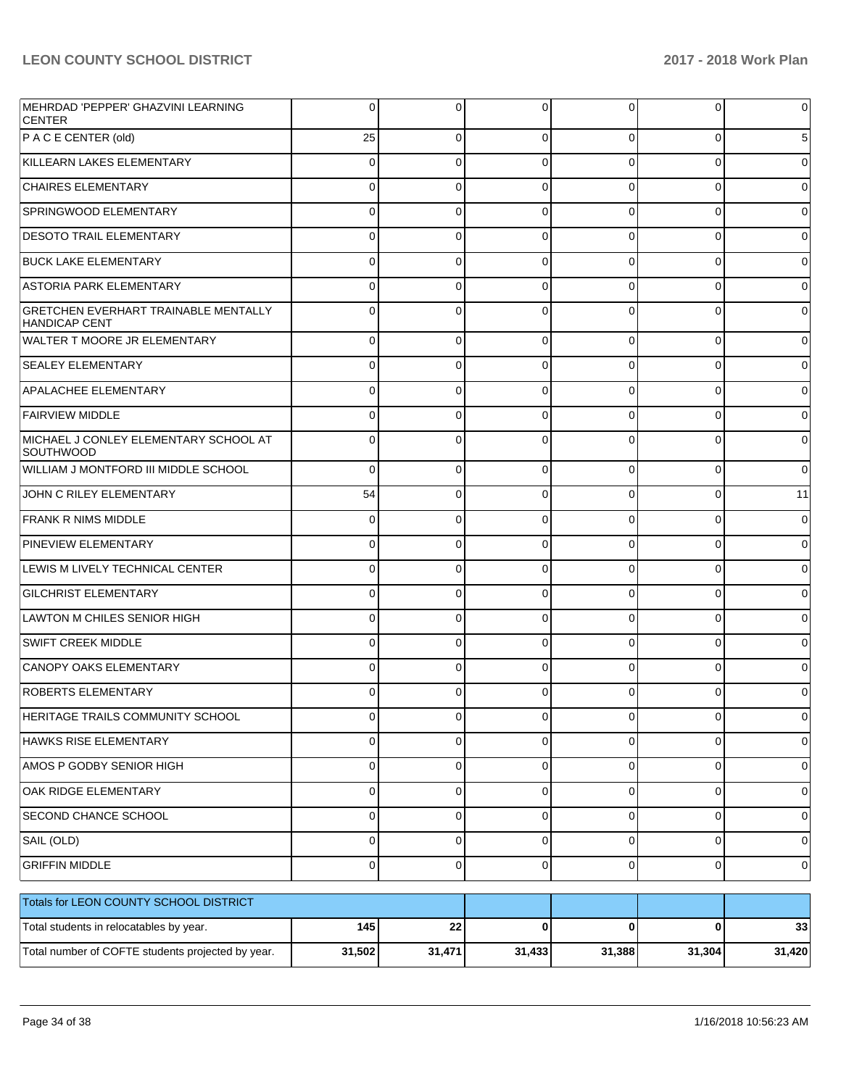| MEHRDAD 'PEPPER' GHAZVINI LEARNING<br><b>CENTER</b>                 |          | 0        | 0           | 0        | 0        | $\mathbf 0$ |
|---------------------------------------------------------------------|----------|----------|-------------|----------|----------|-------------|
| P AC E CENTER (old)                                                 | 25       | $\Omega$ | $\Omega$    | 0        | 0        | 5           |
| KILLEARN LAKES ELEMENTARY                                           | 0        | $\Omega$ | $\Omega$    | $\Omega$ | 0        | $\pmb{0}$   |
| <b>CHAIRES ELEMENTARY</b>                                           | 0        | $\Omega$ | $\Omega$    | $\Omega$ | 0        | $\pmb{0}$   |
| SPRINGWOOD ELEMENTARY                                               | O        | $\Omega$ | $\Omega$    | $\Omega$ | 0        | $\pmb{0}$   |
| <b>DESOTO TRAIL ELEMENTARY</b>                                      | 0        | $\Omega$ | $\Omega$    | 0        | 0        | $\pmb{0}$   |
| <b>BUCK LAKE ELEMENTARY</b>                                         | $\Omega$ | $\Omega$ | $\Omega$    | $\Omega$ | $\Omega$ | $\pmb{0}$   |
| <b>ASTORIA PARK ELEMENTARY</b>                                      | $\Omega$ | $\Omega$ | $\Omega$    | 0        | 0        | $\pmb{0}$   |
| <b>GRETCHEN EVERHART TRAINABLE MENTALLY</b><br><b>HANDICAP CENT</b> |          | $\Omega$ | $\Omega$    | $\Omega$ | $\Omega$ | $\pmb{0}$   |
| <b>WALTER T MOORE JR ELEMENTARY</b>                                 | 0        | $\Omega$ | $\Omega$    | $\Omega$ | 0        | $\mathbf 0$ |
| <b>SEALEY ELEMENTARY</b>                                            | 0        | 0        | $\Omega$    | 0        | 0        | $\mathbf 0$ |
| <b>APALACHEE ELEMENTARY</b>                                         |          | $\Omega$ | $\Omega$    | $\Omega$ | 0        | $\mathbf 0$ |
| <b>FAIRVIEW MIDDLE</b>                                              | $\Omega$ | $\Omega$ | $\Omega$    | $\Omega$ | 0        | $\mathbf 0$ |
| MICHAEL J CONLEY ELEMENTARY SCHOOL AT<br><b>SOUTHWOOD</b>           |          | $\Omega$ | $\Omega$    | $\Omega$ | $\Omega$ | $\mathbf 0$ |
| WILLIAM J MONTFORD III MIDDLE SCHOOL                                | $\Omega$ | $\Omega$ | $\Omega$    | $\Omega$ | 0        | $\mathbf 0$ |
| JOHN C RILEY ELEMENTARY                                             | 54       | $\Omega$ | $\Omega$    | $\Omega$ | 0        | 11          |
| <b>FRANK R NIMS MIDDLE</b>                                          | 0        | $\Omega$ | $\Omega$    | $\Omega$ | 0        | $\mathbf 0$ |
| <b>PINEVIEW ELEMENTARY</b>                                          | 0        | $\Omega$ | $\Omega$    | $\Omega$ | 0        | $\mathbf 0$ |
| LEWIS M LIVELY TECHNICAL CENTER                                     | $\Omega$ | $\Omega$ | $\Omega$    | $\Omega$ | 0        | $\mathbf 0$ |
| <b>GILCHRIST ELEMENTARY</b>                                         | 0        | $\Omega$ | $\Omega$    | $\Omega$ | 0        | $\mathbf 0$ |
| LAWTON M CHILES SENIOR HIGH                                         | $\Omega$ | $\Omega$ | $\Omega$    | $\Omega$ | 0        | $\mathbf 0$ |
| <b>SWIFT CREEK MIDDLE</b>                                           | 0        | $\Omega$ | $\Omega$    | $\Omega$ | 0        | $\mathbf 0$ |
| CANOPY OAKS ELEMENTARY                                              |          | $\Omega$ | $\Omega$    | $\Omega$ | 0        | $\mathbf 0$ |
| <b>ROBERTS ELEMENTARY</b>                                           | $\Omega$ | $\Omega$ | $\Omega$    | 0        | 0        | $\mathbf 0$ |
| <b>HERITAGE TRAILS COMMUNITY SCHOOL</b>                             | υ        | v        | U           | U        | v        | 0           |
| HAWKS RISE ELEMENTARY                                               | 0        | 0        | $\Omega$    | 0        | 0        | $\mathbf 0$ |
| AMOS P GODBY SENIOR HIGH                                            | 0        | 0        | $\mathbf 0$ | 0        | 0        | $\mathbf 0$ |
| OAK RIDGE ELEMENTARY                                                | 0        | 0        | 0           | 0        | 0        | $\mathbf 0$ |
| SECOND CHANCE SCHOOL                                                | 0        | 0        | 0           | 0        | 0        | $\mathbf 0$ |
| SAIL (OLD)                                                          | 0        | 0        | $\mathbf 0$ | 0        | 0        | $\mathbf 0$ |
| <b>GRIFFIN MIDDLE</b>                                               | 0        | 0        | $\mathbf 0$ | 0        | 0        | $\mathbf 0$ |
| Totals for LEON COUNTY SCHOOL DISTRICT                              |          |          |             |          |          |             |
| Total students in relocatables by year.                             | 145      | 22       | 0           | 0        | 0        | 33          |
| Total number of COFTE students projected by year.                   | 31,502   | 31,471   | 31,433      | 31,388   | 31,304   | 31,420      |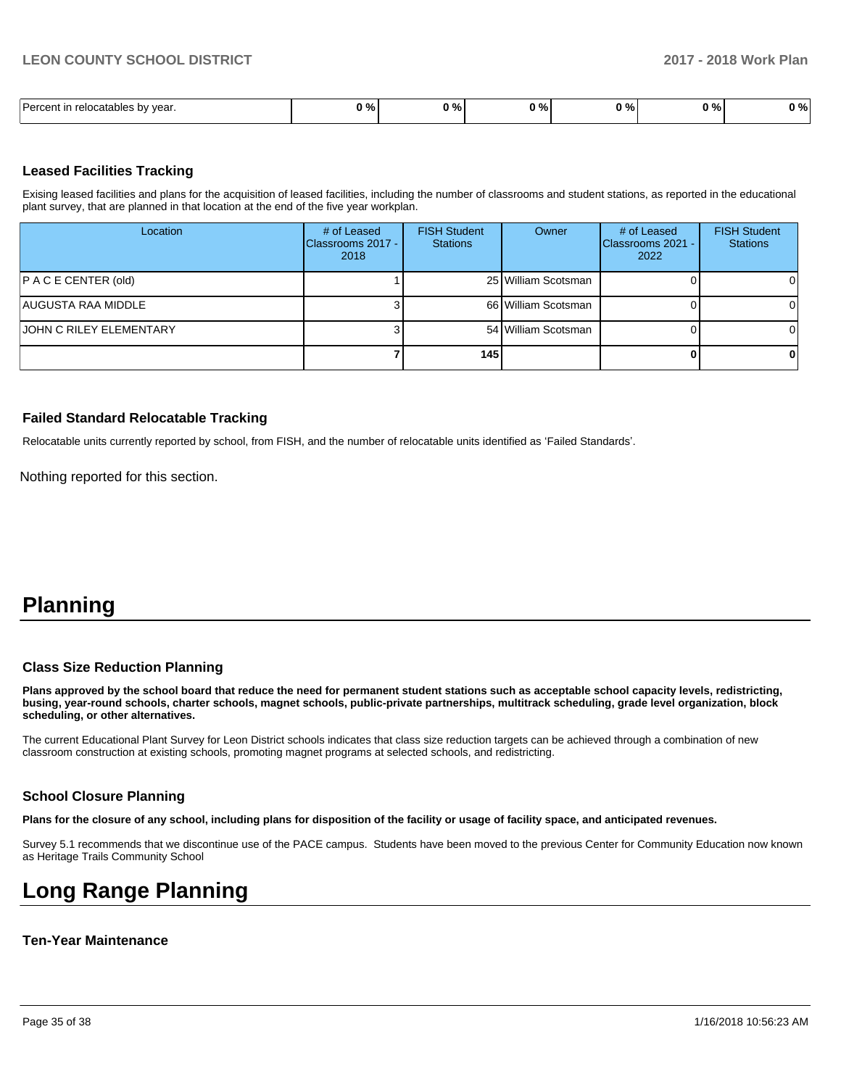| Darcont<br>vear.<br>relocatables by | n o/<br>,,,, | $\sim$<br>70. | ົດ ທ<br>- | 70 I | <b>07.07</b><br>7٥ | $\sqrt{0}$<br>70 I |
|-------------------------------------|--------------|---------------|-----------|------|--------------------|--------------------|

#### **Leased Facilities Tracking**

Exising leased facilities and plans for the acquisition of leased facilities, including the number of classrooms and student stations, as reported in the educational plant survey, that are planned in that location at the end of the five year workplan.

| Location                       | # of Leased<br>Classrooms 2017 -<br>2018 | <b>FISH Student</b><br><b>Stations</b> | Owner               | # of Leased<br>Classrooms 2021 -<br>2022 | <b>FISH Student</b><br><b>Stations</b> |
|--------------------------------|------------------------------------------|----------------------------------------|---------------------|------------------------------------------|----------------------------------------|
| P AC E CENTER (old)            |                                          |                                        | 25 William Scotsman |                                          | ΟI                                     |
| AUGUSTA RAA MIDDLE             |                                          |                                        | 66 William Scotsman |                                          | ΩI                                     |
| <b>JOHN C RILEY ELEMENTARY</b> |                                          |                                        | 54 William Scotsman |                                          | ΩI                                     |
|                                |                                          | 145                                    |                     |                                          | $\Omega$                               |

#### **Failed Standard Relocatable Tracking**

Relocatable units currently reported by school, from FISH, and the number of relocatable units identified as 'Failed Standards'.

Nothing reported for this section.

## **Planning**

#### **Class Size Reduction Planning**

**Plans approved by the school board that reduce the need for permanent student stations such as acceptable school capacity levels, redistricting, busing, year-round schools, charter schools, magnet schools, public-private partnerships, multitrack scheduling, grade level organization, block scheduling, or other alternatives.**

The current Educational Plant Survey for Leon District schools indicates that class size reduction targets can be achieved through a combination of new classroom construction at existing schools, promoting magnet programs at selected schools, and redistricting.

#### **School Closure Planning**

**Plans for the closure of any school, including plans for disposition of the facility or usage of facility space, and anticipated revenues.** 

Survey 5.1 recommends that we discontinue use of the PACE campus. Students have been moved to the previous Center for Community Education now known as Heritage Trails Community School

## **Long Range Planning**

#### **Ten-Year Maintenance**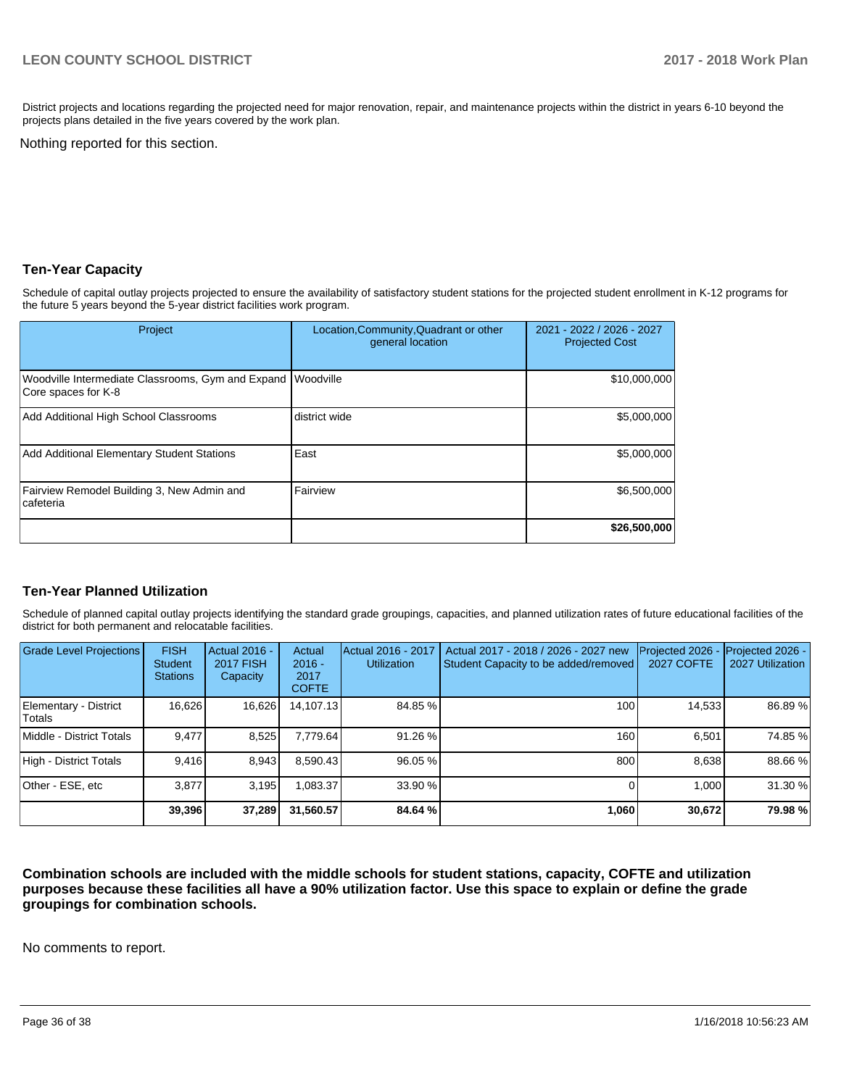District projects and locations regarding the projected need for major renovation, repair, and maintenance projects within the district in years 6-10 beyond the projects plans detailed in the five years covered by the work plan.

Nothing reported for this section.

## **Ten-Year Capacity**

Schedule of capital outlay projects projected to ensure the availability of satisfactory student stations for the projected student enrollment in K-12 programs for the future 5 years beyond the 5-year district facilities work program.

| Project                                                                            | Location, Community, Quadrant or other<br>general location | 2021 - 2022 / 2026 - 2027<br><b>Projected Cost</b> |
|------------------------------------------------------------------------------------|------------------------------------------------------------|----------------------------------------------------|
| Woodville Intermediate Classrooms, Gym and Expand Woodville<br>Core spaces for K-8 |                                                            | \$10,000,000                                       |
| Add Additional High School Classrooms                                              | district wide                                              | \$5,000,000                                        |
| Add Additional Elementary Student Stations                                         | East                                                       | \$5,000,000                                        |
| Fairview Remodel Building 3, New Admin and<br>cafeteria                            | Fairview                                                   | \$6,500,000                                        |
|                                                                                    |                                                            | \$26,500,000                                       |

#### **Ten-Year Planned Utilization**

Schedule of planned capital outlay projects identifying the standard grade groupings, capacities, and planned utilization rates of future educational facilities of the district for both permanent and relocatable facilities.

| <b>Grade Level Projections</b>  | <b>FISH</b><br><b>Student</b><br><b>Stations</b> | Actual 2016 -<br><b>2017 FISH</b><br>Capacity | Actual<br>$2016 -$<br>2017<br><b>COFTE</b> | Actual 2016 - 2017<br><b>Utilization</b> | Actual 2017 - 2018 / 2026 - 2027 new<br>Student Capacity to be added/removed | Projected 2026 -<br><b>2027 COFTE</b> | Projected 2026 -<br>2027 Utilization |
|---------------------------------|--------------------------------------------------|-----------------------------------------------|--------------------------------------------|------------------------------------------|------------------------------------------------------------------------------|---------------------------------------|--------------------------------------|
| Elementary - District<br>Totals | 16,626                                           | 16,626                                        | 14,107.13                                  | 84.85 %                                  | 100                                                                          | 14,533                                | 86.89 %                              |
| Middle - District Totals        | 9.477                                            | 8,525                                         | 7.779.64                                   | 91.26 %                                  | 160                                                                          | 6.501                                 | 74.85 %                              |
| High - District Totals          | 9.416                                            | 8,943                                         | 8.590.43                                   | 96.05 %                                  | 800                                                                          | 8,638                                 | 88.66 %                              |
| Other - ESE, etc                | 3.877                                            | 3.195                                         | 1.083.37                                   | 33.90 %                                  |                                                                              | 1.000                                 | 31.30 %                              |
|                                 | 39,396                                           | 37,289                                        | 31,560.57                                  | 84.64 %                                  | 1,060                                                                        | 30,672                                | 79.98 %                              |

**Combination schools are included with the middle schools for student stations, capacity, COFTE and utilization purposes because these facilities all have a 90% utilization factor. Use this space to explain or define the grade groupings for combination schools.** 

No comments to report.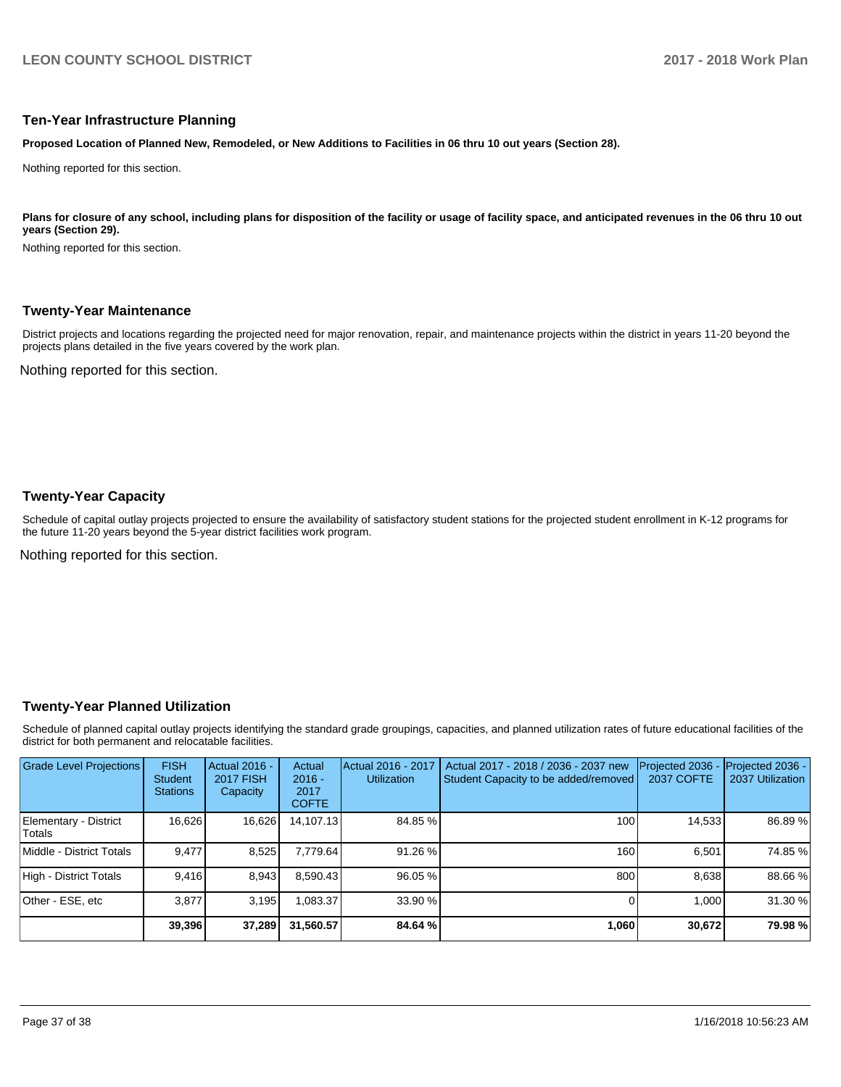#### **Ten-Year Infrastructure Planning**

**Proposed Location of Planned New, Remodeled, or New Additions to Facilities in 06 thru 10 out years (Section 28).**

Nothing reported for this section.

Plans for closure of any school, including plans for disposition of the facility or usage of facility space, and anticipated revenues in the 06 thru 10 out **years (Section 29).**

Nothing reported for this section.

#### **Twenty-Year Maintenance**

District projects and locations regarding the projected need for major renovation, repair, and maintenance projects within the district in years 11-20 beyond the projects plans detailed in the five years covered by the work plan.

Nothing reported for this section.

## **Twenty-Year Capacity**

Schedule of capital outlay projects projected to ensure the availability of satisfactory student stations for the projected student enrollment in K-12 programs for the future 11-20 years beyond the 5-year district facilities work program.

Nothing reported for this section.

#### **Twenty-Year Planned Utilization**

Schedule of planned capital outlay projects identifying the standard grade groupings, capacities, and planned utilization rates of future educational facilities of the district for both permanent and relocatable facilities.

| <b>Grade Level Projections</b>   | <b>FISH</b><br><b>Student</b><br><b>Stations</b> | <b>Actual 2016 -</b><br><b>2017 FISH</b><br>Capacity | Actual<br>$2016 -$<br>2017<br><b>COFTE</b> | Actual 2016 - 2017<br><b>Utilization</b> | Actual 2017 - 2018 / 2036 - 2037 new<br>Student Capacity to be added/removed | Projected 2036<br>2037 COFTE | Projected 2036 -<br>2037 Utilization |
|----------------------------------|--------------------------------------------------|------------------------------------------------------|--------------------------------------------|------------------------------------------|------------------------------------------------------------------------------|------------------------------|--------------------------------------|
| Elementary - District<br> Totals | 16,626                                           | 16,626                                               | 14,107.13                                  | 84.85 %                                  | 100 <sub>1</sub>                                                             | 14,533                       | 86.89 %                              |
| Middle - District Totals         | 9.477                                            | 8,525                                                | 7,779.64                                   | 91.26 %                                  | 160                                                                          | 6.501                        | 74.85 %                              |
| High - District Totals           | 9.416                                            | 8,943                                                | 8.590.43                                   | 96.05 %                                  | 800                                                                          | 8.638                        | 88.66 %                              |
| Other - ESE, etc                 | 3.877                                            | 3.195                                                | .083.37                                    | 33.90 %                                  |                                                                              | 1.000                        | 31.30%                               |
|                                  | 39,396                                           | 37,289                                               | 31,560.57                                  | 84.64 %                                  | 1,060                                                                        | 30,672                       | 79.98 %                              |